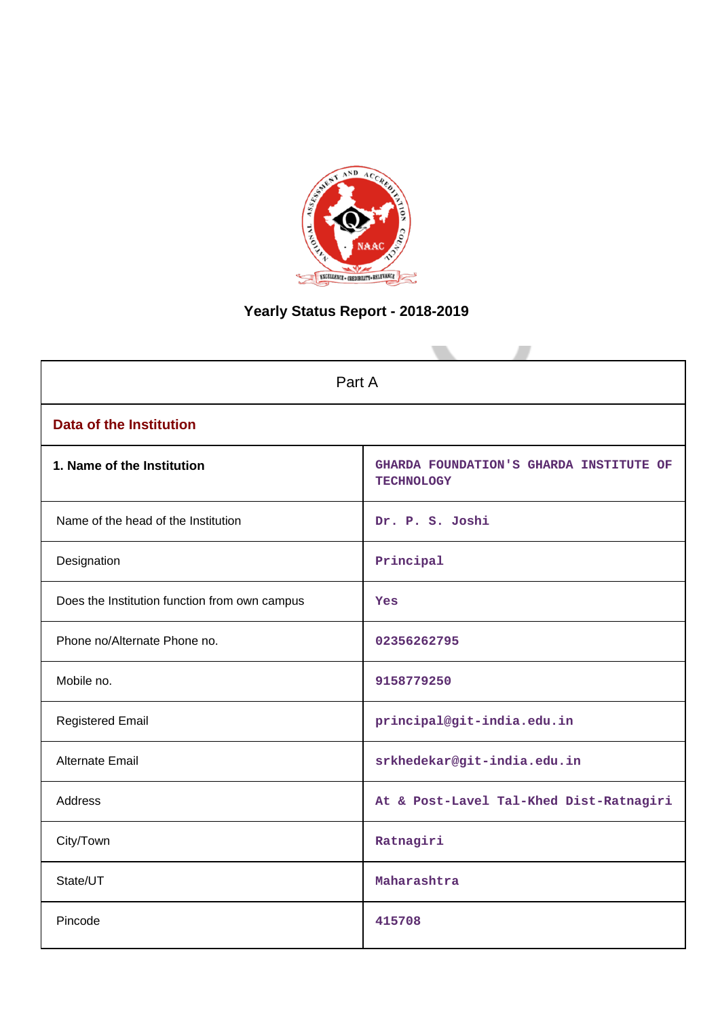

# **Yearly Status Report - 2018-2019**

| Part A                                        |                                                              |  |  |  |
|-----------------------------------------------|--------------------------------------------------------------|--|--|--|
| <b>Data of the Institution</b>                |                                                              |  |  |  |
| 1. Name of the Institution                    | GHARDA FOUNDATION'S GHARDA INSTITUTE OF<br><b>TECHNOLOGY</b> |  |  |  |
| Name of the head of the Institution           | Dr. P. S. Joshi                                              |  |  |  |
| Designation                                   | Principal                                                    |  |  |  |
| Does the Institution function from own campus | Yes                                                          |  |  |  |
| Phone no/Alternate Phone no.                  | 02356262795                                                  |  |  |  |
| Mobile no.                                    | 9158779250                                                   |  |  |  |
| <b>Registered Email</b>                       | principal@git-india.edu.in                                   |  |  |  |
| <b>Alternate Email</b>                        | srkhedekar@git-india.edu.in                                  |  |  |  |
| <b>Address</b>                                | At & Post-Lavel Tal-Khed Dist-Ratnagiri                      |  |  |  |
| City/Town                                     | Ratnagiri                                                    |  |  |  |
| State/UT                                      | Maharashtra                                                  |  |  |  |
| Pincode                                       | 415708                                                       |  |  |  |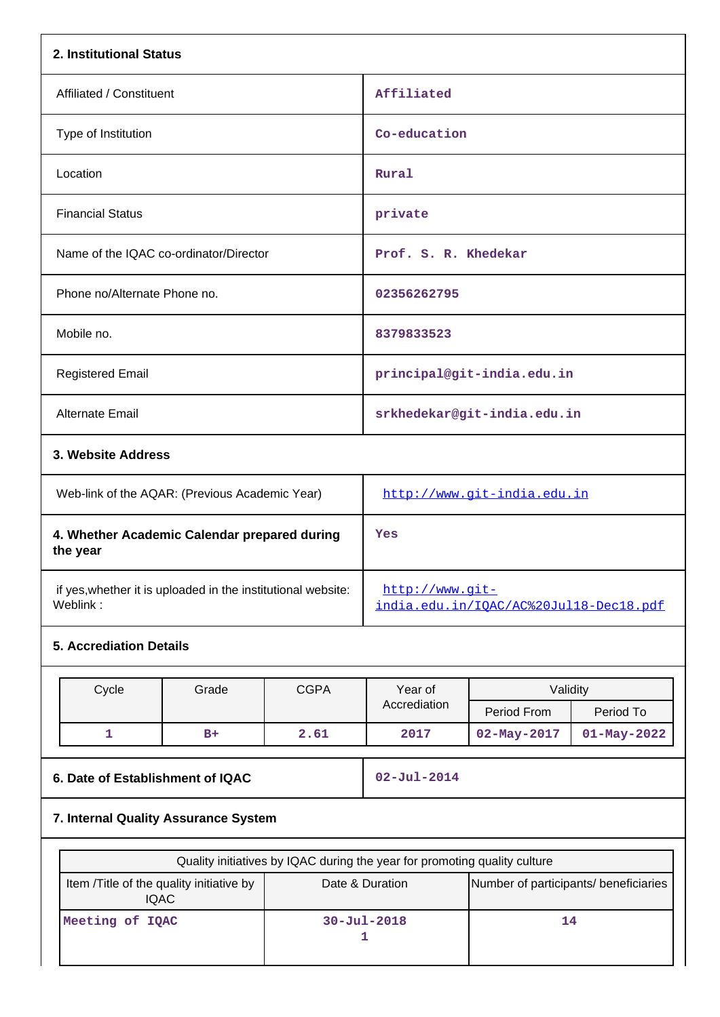| 2. Institutional Status                                                  |       |             |                                                                           |                                        |                   |  |
|--------------------------------------------------------------------------|-------|-------------|---------------------------------------------------------------------------|----------------------------------------|-------------------|--|
| Affiliated / Constituent                                                 |       |             | Affiliated                                                                |                                        |                   |  |
| Type of Institution                                                      |       |             |                                                                           | Co-education                           |                   |  |
| Location                                                                 |       |             | Rural                                                                     |                                        |                   |  |
| <b>Financial Status</b>                                                  |       |             | private                                                                   |                                        |                   |  |
| Name of the IQAC co-ordinator/Director                                   |       |             | Prof. S. R. Khedekar                                                      |                                        |                   |  |
| Phone no/Alternate Phone no.                                             |       |             | 02356262795                                                               |                                        |                   |  |
| Mobile no.                                                               |       |             |                                                                           |                                        |                   |  |
| <b>Registered Email</b>                                                  |       |             | principal@git-india.edu.in                                                |                                        |                   |  |
| Alternate Email                                                          |       |             |                                                                           | srkhedekar@git-india.edu.in            |                   |  |
| 3. Website Address                                                       |       |             |                                                                           |                                        |                   |  |
| Web-link of the AQAR: (Previous Academic Year)                           |       |             | http://www.git-india.edu.in                                               |                                        |                   |  |
| 4. Whether Academic Calendar prepared during<br>the year                 |       |             | Yes                                                                       |                                        |                   |  |
| if yes, whether it is uploaded in the institutional website:<br>Weblink: |       |             | $http://www.qit-$                                                         | india.edu.in/IQAC/AC%20Jul18-Dec18.pdf |                   |  |
| <b>5. Accrediation Details</b>                                           |       |             |                                                                           |                                        |                   |  |
| Cycle                                                                    | Grade | <b>CGPA</b> | Year of                                                                   | Validity                               |                   |  |
|                                                                          |       |             | Accrediation                                                              | Period From                            | Period To         |  |
| $\mathbf{1}$                                                             | $B+$  | 2.61        | 2017                                                                      | 02-May-2017                            | $01 - May - 2022$ |  |
| 6. Date of Establishment of IQAC                                         |       |             | $02 - Jul - 2014$                                                         |                                        |                   |  |
| 7. Internal Quality Assurance System                                     |       |             |                                                                           |                                        |                   |  |
|                                                                          |       |             | Quality initiatives by IQAC during the year for promoting quality culture |                                        |                   |  |
| Item /Title of the quality initiative by<br><b>IQAC</b>                  |       |             | Date & Duration                                                           | Number of participants/ beneficiaries  |                   |  |
| Meeting of IQAC                                                          |       |             | $30 - Ju1 - 2018$<br>1                                                    | 14                                     |                   |  |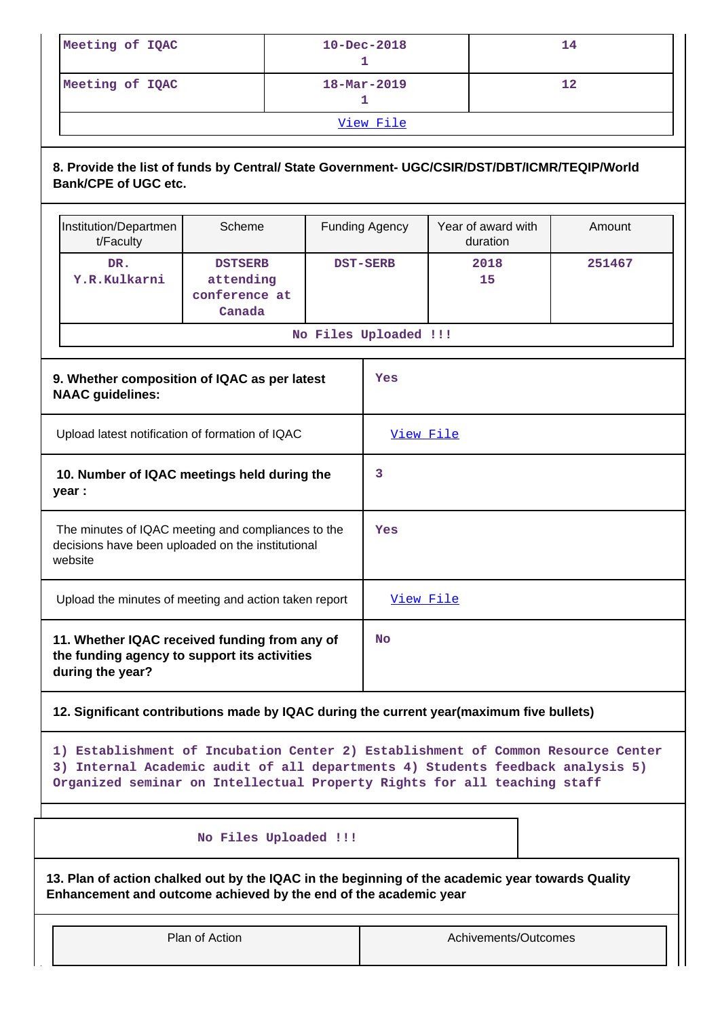| Meeting of IQAC | $10 - Dec - 2018$        | 14 |  |  |  |  |
|-----------------|--------------------------|----|--|--|--|--|
| Meeting of IQAC | $18 - \text{Mar} - 2019$ | 12 |  |  |  |  |
| View File       |                          |    |  |  |  |  |

# **8. Provide the list of funds by Central/ State Government- UGC/CSIR/DST/DBT/ICMR/TEQIP/World Bank/CPE of UGC etc.**

| Institution/Departmen                                                                                              | Scheme                                                 |                 | <b>Funding Agency</b> | Year of award with | Amount |
|--------------------------------------------------------------------------------------------------------------------|--------------------------------------------------------|-----------------|-----------------------|--------------------|--------|
| t/Faculty                                                                                                          |                                                        |                 |                       | duration           |        |
| DR.<br>Y.R.Kulkarni                                                                                                | <b>DSTSERB</b><br>attending<br>conference at<br>Canada | <b>DST-SERB</b> |                       | 2018<br>15         | 251467 |
|                                                                                                                    |                                                        |                 | No Files Uploaded !!! |                    |        |
| 9. Whether composition of IQAC as per latest<br><b>NAAC</b> guidelines:                                            |                                                        |                 |                       |                    |        |
| Upload latest notification of formation of IQAC                                                                    |                                                        |                 | View File             |                    |        |
| 10. Number of IQAC meetings held during the<br>year :                                                              |                                                        |                 | 3                     |                    |        |
| The minutes of IQAC meeting and compliances to the<br>decisions have been uploaded on the institutional<br>website |                                                        |                 | <b>Yes</b>            |                    |        |
| Upload the minutes of meeting and action taken report                                                              |                                                        |                 | View File             |                    |        |
| 11. Whether IQAC received funding from any of<br>the funding agency to support its activities<br>during the year?  |                                                        |                 | <b>No</b>             |                    |        |

## **12. Significant contributions made by IQAC during the current year(maximum five bullets)**

**1) Establishment of Incubation Center 2) Establishment of Common Resource Center 3) Internal Academic audit of all departments 4) Students feedback analysis 5) Organized seminar on Intellectual Property Rights for all teaching staff**

# **No Files Uploaded !!!**

**13. Plan of action chalked out by the IQAC in the beginning of the academic year towards Quality Enhancement and outcome achieved by the end of the academic year**

Plan of Action and Achivements/Outcomes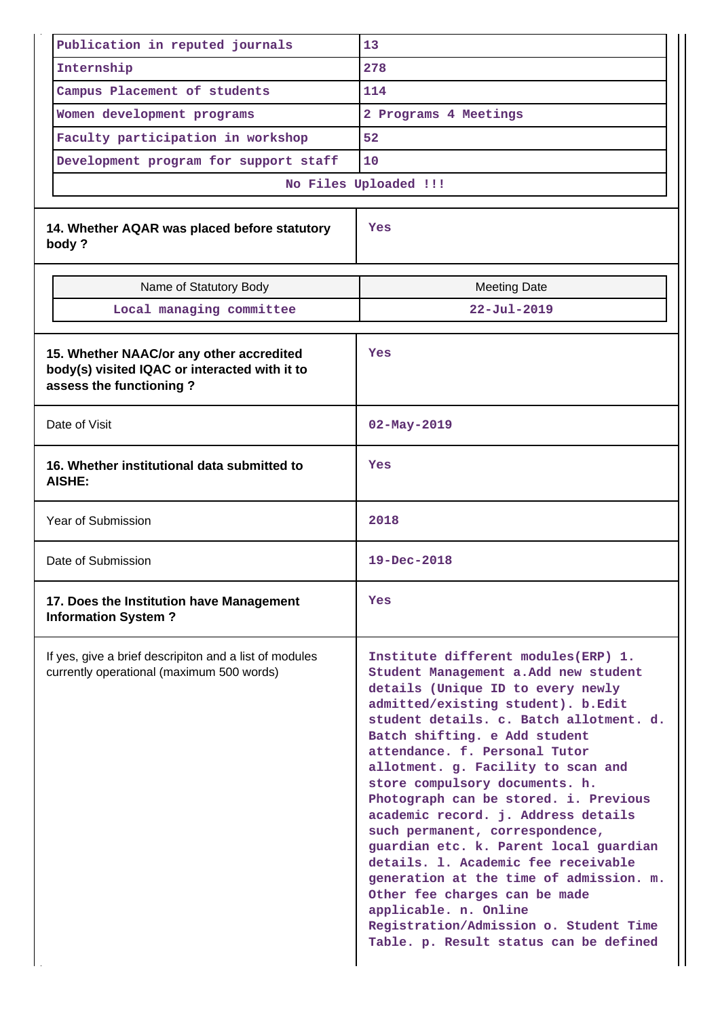| Publication in reputed journals                                                                                      | 13                                                                                                                                                                                                                                                                                                                                                                                                                                                                                                                                                                                                                                                                                                                                       |
|----------------------------------------------------------------------------------------------------------------------|------------------------------------------------------------------------------------------------------------------------------------------------------------------------------------------------------------------------------------------------------------------------------------------------------------------------------------------------------------------------------------------------------------------------------------------------------------------------------------------------------------------------------------------------------------------------------------------------------------------------------------------------------------------------------------------------------------------------------------------|
| Internship                                                                                                           | 278                                                                                                                                                                                                                                                                                                                                                                                                                                                                                                                                                                                                                                                                                                                                      |
| Campus Placement of students                                                                                         | 114                                                                                                                                                                                                                                                                                                                                                                                                                                                                                                                                                                                                                                                                                                                                      |
| Women development programs                                                                                           | 2 Programs 4 Meetings                                                                                                                                                                                                                                                                                                                                                                                                                                                                                                                                                                                                                                                                                                                    |
| Faculty participation in workshop                                                                                    | 52                                                                                                                                                                                                                                                                                                                                                                                                                                                                                                                                                                                                                                                                                                                                       |
| Development program for support staff                                                                                | 10                                                                                                                                                                                                                                                                                                                                                                                                                                                                                                                                                                                                                                                                                                                                       |
|                                                                                                                      | No Files Uploaded !!!                                                                                                                                                                                                                                                                                                                                                                                                                                                                                                                                                                                                                                                                                                                    |
| 14. Whether AQAR was placed before statutory<br>body?                                                                | Yes                                                                                                                                                                                                                                                                                                                                                                                                                                                                                                                                                                                                                                                                                                                                      |
| Name of Statutory Body                                                                                               | <b>Meeting Date</b>                                                                                                                                                                                                                                                                                                                                                                                                                                                                                                                                                                                                                                                                                                                      |
| Local managing committee                                                                                             | $22 - Ju1 - 2019$                                                                                                                                                                                                                                                                                                                                                                                                                                                                                                                                                                                                                                                                                                                        |
|                                                                                                                      |                                                                                                                                                                                                                                                                                                                                                                                                                                                                                                                                                                                                                                                                                                                                          |
| 15. Whether NAAC/or any other accredited<br>body(s) visited IQAC or interacted with it to<br>assess the functioning? | Yes                                                                                                                                                                                                                                                                                                                                                                                                                                                                                                                                                                                                                                                                                                                                      |
| Date of Visit                                                                                                        | $02 - May - 2019$                                                                                                                                                                                                                                                                                                                                                                                                                                                                                                                                                                                                                                                                                                                        |
| 16. Whether institutional data submitted to<br>AISHE:                                                                | Yes                                                                                                                                                                                                                                                                                                                                                                                                                                                                                                                                                                                                                                                                                                                                      |
| Year of Submission                                                                                                   | 2018                                                                                                                                                                                                                                                                                                                                                                                                                                                                                                                                                                                                                                                                                                                                     |
| Date of Submission                                                                                                   | $19 - Dec - 2018$                                                                                                                                                                                                                                                                                                                                                                                                                                                                                                                                                                                                                                                                                                                        |
| 17. Does the Institution have Management<br><b>Information System?</b>                                               | <b>Yes</b>                                                                                                                                                                                                                                                                                                                                                                                                                                                                                                                                                                                                                                                                                                                               |
| If yes, give a brief descripiton and a list of modules<br>currently operational (maximum 500 words)                  | Institute different modules(ERP) 1.<br>Student Management a.Add new student<br>details (Unique ID to every newly<br>admitted/existing student). b.Edit<br>student details. c. Batch allotment. d.<br>Batch shifting. e Add student<br>attendance. f. Personal Tutor<br>allotment. g. Facility to scan and<br>store compulsory documents. h.<br>Photograph can be stored. i. Previous<br>academic record. j. Address details<br>such permanent, correspondence,<br>guardian etc. k. Parent local guardian<br>details. 1. Academic fee receivable<br>generation at the time of admission. m.<br>Other fee charges can be made<br>applicable. n. Online<br>Registration/Admission o. Student Time<br>Table. p. Result status can be defined |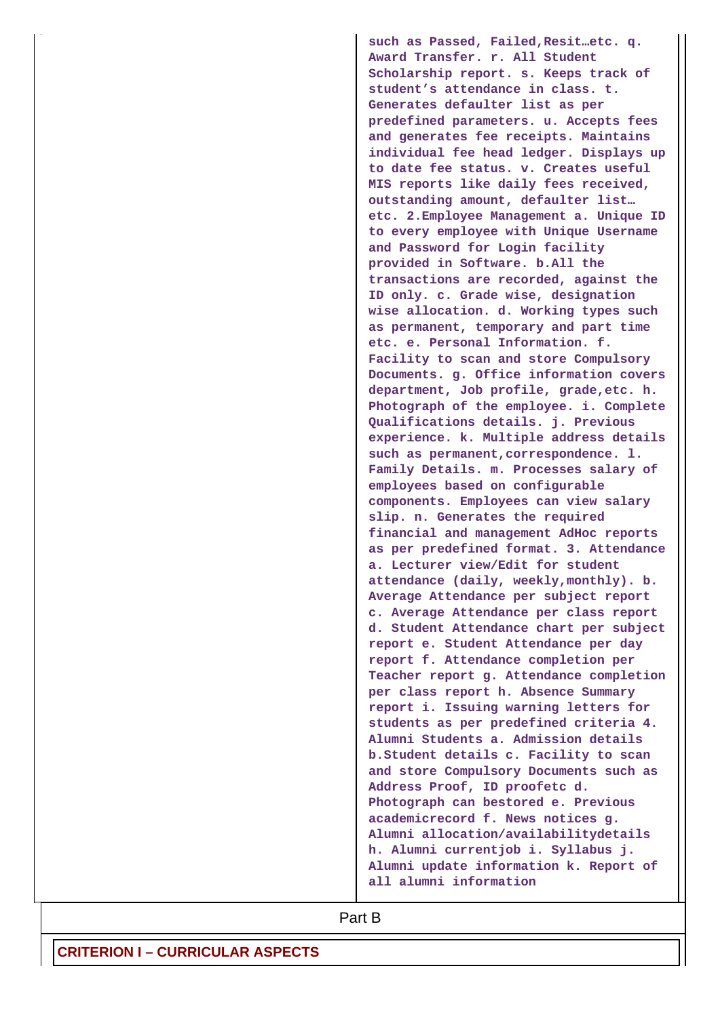**such as Passed, Failed,Resit…etc. q. Award Transfer. r. All Student Scholarship report. s. Keeps track of student's attendance in class. t. Generates defaulter list as per predefined parameters. u. Accepts fees and generates fee receipts. Maintains individual fee head ledger. Displays up to date fee status. v. Creates useful MIS reports like daily fees received, outstanding amount, defaulter list… etc. 2.Employee Management a. Unique ID to every employee with Unique Username and Password for Login facility provided in Software. b.All the transactions are recorded, against the ID only. c. Grade wise, designation wise allocation. d. Working types such as permanent, temporary and part time etc. e. Personal Information. f. Facility to scan and store Compulsory Documents. g. Office information covers department, Job profile, grade,etc. h. Photograph of the employee. i. Complete Qualifications details. j. Previous experience. k. Multiple address details such as permanent,correspondence. l. Family Details. m. Processes salary of employees based on configurable components. Employees can view salary slip. n. Generates the required financial and management AdHoc reports as per predefined format. 3. Attendance a. Lecturer view/Edit for student attendance (daily, weekly,monthly). b. Average Attendance per subject report c. Average Attendance per class report d. Student Attendance chart per subject report e. Student Attendance per day report f. Attendance completion per Teacher report g. Attendance completion per class report h. Absence Summary report i. Issuing warning letters for students as per predefined criteria 4. Alumni Students a. Admission details b.Student details c. Facility to scan and store Compulsory Documents such as Address Proof, ID proofetc d. Photograph can bestored e. Previous academicrecord f. News notices g. Alumni allocation/availabilitydetails h. Alumni currentjob i. Syllabus j. Alumni update information k. Report of all alumni information**

**Part B**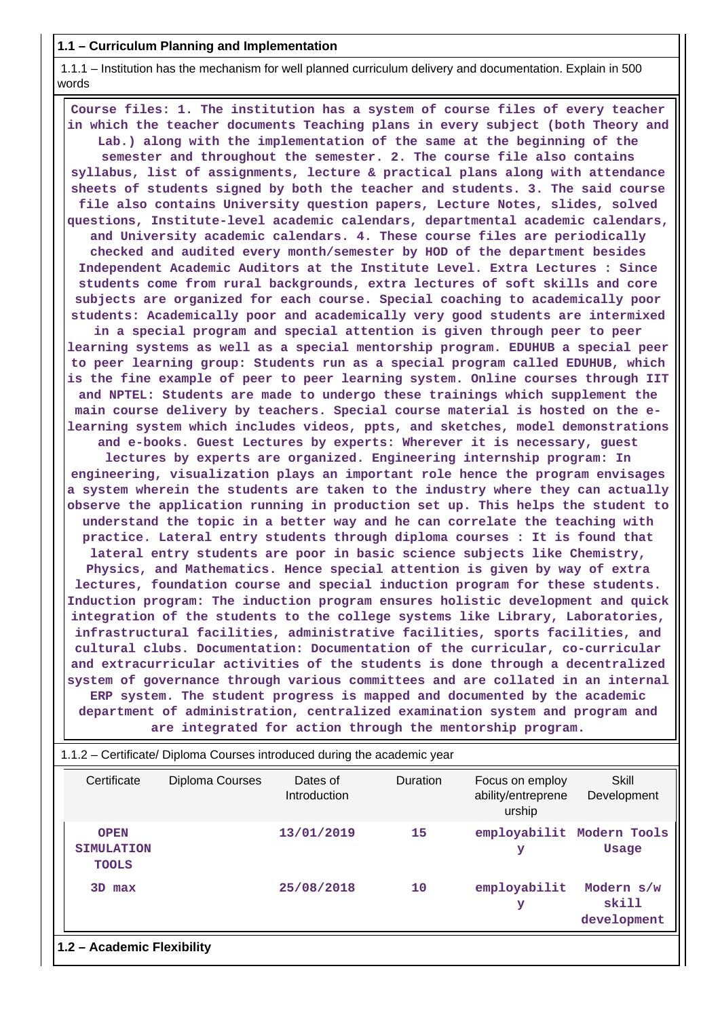#### **1.1 – Curriculum Planning and Implementation**

 1.1.1 – Institution has the mechanism for well planned curriculum delivery and documentation. Explain in 500 words

 **Course files: 1. The institution has a system of course files of every teacher in which the teacher documents Teaching plans in every subject (both Theory and Lab.) along with the implementation of the same at the beginning of the semester and throughout the semester. 2. The course file also contains syllabus, list of assignments, lecture & practical plans along with attendance sheets of students signed by both the teacher and students. 3. The said course file also contains University question papers, Lecture Notes, slides, solved questions, Institute-level academic calendars, departmental academic calendars, and University academic calendars. 4. These course files are periodically checked and audited every month/semester by HOD of the department besides Independent Academic Auditors at the Institute Level. Extra Lectures : Since students come from rural backgrounds, extra lectures of soft skills and core subjects are organized for each course. Special coaching to academically poor students: Academically poor and academically very good students are intermixed in a special program and special attention is given through peer to peer learning systems as well as a special mentorship program. EDUHUB a special peer to peer learning group: Students run as a special program called EDUHUB, which is the fine example of peer to peer learning system. Online courses through IIT and NPTEL: Students are made to undergo these trainings which supplement the main course delivery by teachers. Special course material is hosted on the elearning system which includes videos, ppts, and sketches, model demonstrations and e-books. Guest Lectures by experts: Wherever it is necessary, guest lectures by experts are organized. Engineering internship program: In engineering, visualization plays an important role hence the program envisages a system wherein the students are taken to the industry where they can actually observe the application running in production set up. This helps the student to understand the topic in a better way and he can correlate the teaching with practice. Lateral entry students through diploma courses : It is found that lateral entry students are poor in basic science subjects like Chemistry, Physics, and Mathematics. Hence special attention is given by way of extra lectures, foundation course and special induction program for these students. Induction program: The induction program ensures holistic development and quick integration of the students to the college systems like Library, Laboratories, infrastructural facilities, administrative facilities, sports facilities, and cultural clubs. Documentation: Documentation of the curricular, co-curricular and extracurricular activities of the students is done through a decentralized system of governance through various committees and are collated in an internal ERP system. The student progress is mapped and documented by the academic department of administration, centralized examination system and program and are integrated for action through the mentorship program.**

| 1.1.2 – Certificate/ Diploma Courses introduced during the academic year |                 |                          |                 |                                                 |                                           |  |  |
|--------------------------------------------------------------------------|-----------------|--------------------------|-----------------|-------------------------------------------------|-------------------------------------------|--|--|
| Certificate                                                              | Diploma Courses | Dates of<br>Introduction | <b>Duration</b> | Focus on employ<br>ability/entreprene<br>urship | Skill<br>Development                      |  |  |
| <b>OPEN</b><br><b>SIMULATION</b><br><b>TOOLS</b>                         |                 | 13/01/2019               | 15              | У                                               | employabilit Modern Tools<br><b>Usage</b> |  |  |
| 3D max                                                                   |                 | 25/08/2018               | 10              | employabilit<br>У                               | Modern s/w<br>skill<br>development        |  |  |
| 1.2 - Academic Flexibility                                               |                 |                          |                 |                                                 |                                           |  |  |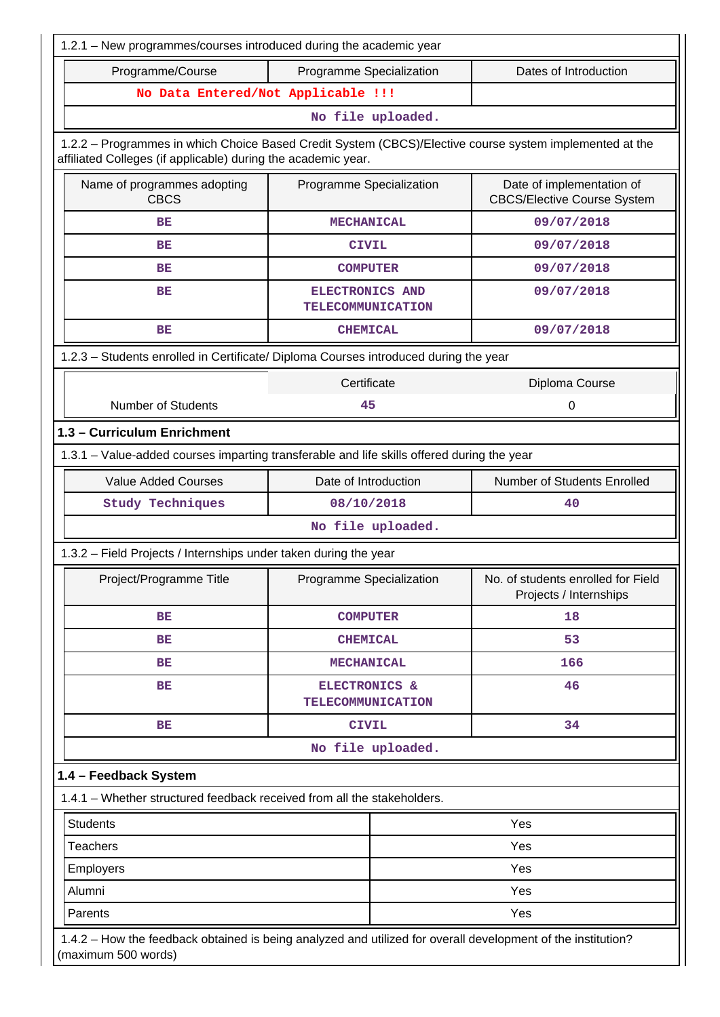| 1.2.1 - New programmes/courses introduced during the academic year                                                                                                                                                                      |                                                    |                                                                 |  |  |  |  |
|-----------------------------------------------------------------------------------------------------------------------------------------------------------------------------------------------------------------------------------------|----------------------------------------------------|-----------------------------------------------------------------|--|--|--|--|
| Programme/Course                                                                                                                                                                                                                        | Programme Specialization                           | Dates of Introduction                                           |  |  |  |  |
| No Data Entered/Not Applicable !!!                                                                                                                                                                                                      |                                                    |                                                                 |  |  |  |  |
|                                                                                                                                                                                                                                         | No file uploaded.                                  |                                                                 |  |  |  |  |
| 1.2.2 - Programmes in which Choice Based Credit System (CBCS)/Elective course system implemented at the<br>affiliated Colleges (if applicable) during the academic year.                                                                |                                                    |                                                                 |  |  |  |  |
| Name of programmes adopting<br><b>CBCS</b>                                                                                                                                                                                              | Programme Specialization                           | Date of implementation of<br><b>CBCS/Elective Course System</b> |  |  |  |  |
| ВE                                                                                                                                                                                                                                      | <b>MECHANICAL</b>                                  | 09/07/2018                                                      |  |  |  |  |
| BE                                                                                                                                                                                                                                      | <b>CIVIL</b>                                       | 09/07/2018                                                      |  |  |  |  |
| ВE                                                                                                                                                                                                                                      | <b>COMPUTER</b>                                    | 09/07/2018                                                      |  |  |  |  |
| <b>BE</b>                                                                                                                                                                                                                               | <b>ELECTRONICS AND</b><br><b>TELECOMMUNICATION</b> | 09/07/2018                                                      |  |  |  |  |
| BE                                                                                                                                                                                                                                      | <b>CHEMICAL</b>                                    | 09/07/2018                                                      |  |  |  |  |
| 1.2.3 - Students enrolled in Certificate/ Diploma Courses introduced during the year                                                                                                                                                    |                                                    |                                                                 |  |  |  |  |
| Certificate<br>Diploma Course                                                                                                                                                                                                           |                                                    |                                                                 |  |  |  |  |
| <b>Number of Students</b>                                                                                                                                                                                                               | 45                                                 | 0                                                               |  |  |  |  |
| 1.3 - Curriculum Enrichment                                                                                                                                                                                                             |                                                    |                                                                 |  |  |  |  |
| 1.3.1 – Value-added courses imparting transferable and life skills offered during the year                                                                                                                                              |                                                    |                                                                 |  |  |  |  |
| <b>Value Added Courses</b>                                                                                                                                                                                                              | Date of Introduction                               | Number of Students Enrolled                                     |  |  |  |  |
| <b>Study Techniques</b>                                                                                                                                                                                                                 | 08/10/2018                                         | 40                                                              |  |  |  |  |
|                                                                                                                                                                                                                                         | No file uploaded.                                  |                                                                 |  |  |  |  |
| 1.3.2 - Field Projects / Internships under taken during the year                                                                                                                                                                        |                                                    |                                                                 |  |  |  |  |
| Project/Programme Title                                                                                                                                                                                                                 | Programme Specialization                           | No. of students enrolled for Field<br>Projects / Internships    |  |  |  |  |
| BE                                                                                                                                                                                                                                      | <b>COMPUTER</b>                                    | 18                                                              |  |  |  |  |
| ВE                                                                                                                                                                                                                                      | <b>CHEMICAL</b>                                    | 53                                                              |  |  |  |  |
| ВE                                                                                                                                                                                                                                      | <b>MECHANICAL</b>                                  | 166                                                             |  |  |  |  |
| ВE                                                                                                                                                                                                                                      | ELECTRONICS &<br><b>TELECOMMUNICATION</b>          | 46                                                              |  |  |  |  |
| ВE                                                                                                                                                                                                                                      | <b>CIVIL</b>                                       | 34                                                              |  |  |  |  |
|                                                                                                                                                                                                                                         | No file uploaded.                                  |                                                                 |  |  |  |  |
|                                                                                                                                                                                                                                         |                                                    |                                                                 |  |  |  |  |
|                                                                                                                                                                                                                                         |                                                    |                                                                 |  |  |  |  |
| <b>Students</b>                                                                                                                                                                                                                         |                                                    | Yes                                                             |  |  |  |  |
| <b>Teachers</b>                                                                                                                                                                                                                         |                                                    | Yes                                                             |  |  |  |  |
| <b>Employers</b>                                                                                                                                                                                                                        |                                                    | Yes                                                             |  |  |  |  |
| Alumni                                                                                                                                                                                                                                  |                                                    | Yes                                                             |  |  |  |  |
| Parents                                                                                                                                                                                                                                 |                                                    | Yes                                                             |  |  |  |  |
| 1.4 - Feedback System<br>1.4.1 - Whether structured feedback received from all the stakeholders.<br>1.4.2 – How the feedback obtained is being analyzed and utilized for overall development of the institution?<br>(maximum 500 words) |                                                    |                                                                 |  |  |  |  |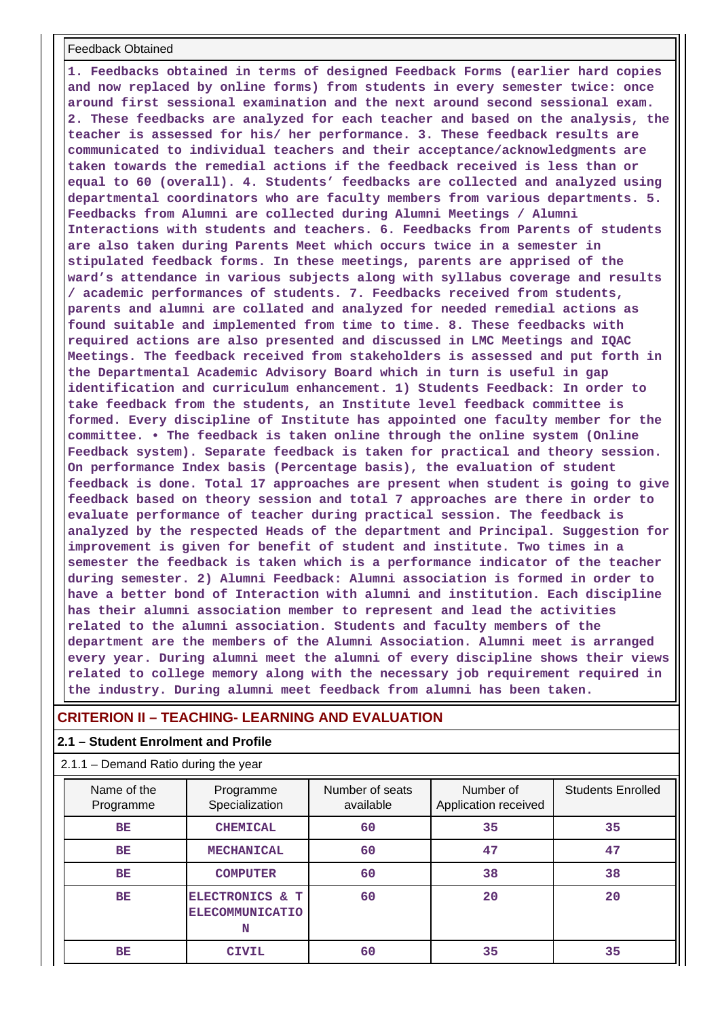#### Feedback Obtained

**1. Feedbacks obtained in terms of designed Feedback Forms (earlier hard copies and now replaced by online forms) from students in every semester twice: once around first sessional examination and the next around second sessional exam. 2. These feedbacks are analyzed for each teacher and based on the analysis, the teacher is assessed for his/ her performance. 3. These feedback results are communicated to individual teachers and their acceptance/acknowledgments are taken towards the remedial actions if the feedback received is less than or equal to 60 (overall). 4. Students' feedbacks are collected and analyzed using departmental coordinators who are faculty members from various departments. 5. Feedbacks from Alumni are collected during Alumni Meetings / Alumni Interactions with students and teachers. 6. Feedbacks from Parents of students are also taken during Parents Meet which occurs twice in a semester in stipulated feedback forms. In these meetings, parents are apprised of the ward's attendance in various subjects along with syllabus coverage and results / academic performances of students. 7. Feedbacks received from students, parents and alumni are collated and analyzed for needed remedial actions as found suitable and implemented from time to time. 8. These feedbacks with required actions are also presented and discussed in LMC Meetings and IQAC Meetings. The feedback received from stakeholders is assessed and put forth in the Departmental Academic Advisory Board which in turn is useful in gap identification and curriculum enhancement. 1) Students Feedback: In order to take feedback from the students, an Institute level feedback committee is formed. Every discipline of Institute has appointed one faculty member for the committee. • The feedback is taken online through the online system (Online Feedback system). Separate feedback is taken for practical and theory session. On performance Index basis (Percentage basis), the evaluation of student feedback is done. Total 17 approaches are present when student is going to give feedback based on theory session and total 7 approaches are there in order to evaluate performance of teacher during practical session. The feedback is analyzed by the respected Heads of the department and Principal. Suggestion for improvement is given for benefit of student and institute. Two times in a semester the feedback is taken which is a performance indicator of the teacher during semester. 2) Alumni Feedback: Alumni association is formed in order to have a better bond of Interaction with alumni and institution. Each discipline has their alumni association member to represent and lead the activities related to the alumni association. Students and faculty members of the department are the members of the Alumni Association. Alumni meet is arranged every year. During alumni meet the alumni of every discipline shows their views related to college memory along with the necessary job requirement required in the industry. During alumni meet feedback from alumni has been taken.**

## **CRITERION II – TEACHING- LEARNING AND EVALUATION**

#### **2.1 – Student Enrolment and Profile**

2.1.1 – Demand Ratio during the year

| Name of the<br>Programme | Programme<br>Specialization                    | Number of seats<br>available | Number of<br>Application received | <b>Students Enrolled</b> |
|--------------------------|------------------------------------------------|------------------------------|-----------------------------------|--------------------------|
| BE                       | <b>CHEMICAL</b>                                | 60                           | 35                                | 35                       |
| BE                       | <b>MECHANICAL</b>                              | 60                           | 47                                | 47                       |
| BE                       | <b>COMPUTER</b>                                | 60                           | 38                                | 38                       |
| BE                       | ELECTRONICS & T<br><b>ELECOMMUNICATIO</b><br>N | 60                           | 20                                | 20                       |
| ВE                       | <b>CIVIL</b>                                   | 60                           | 35                                | 35                       |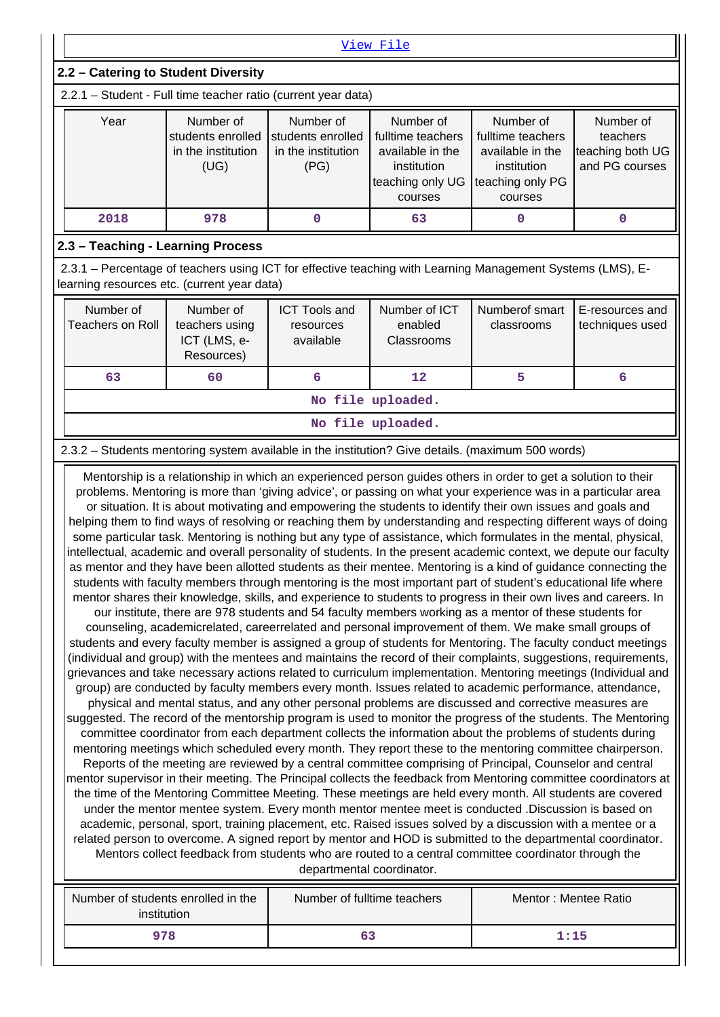| View File                                                                                                                                                                                                                                                                                                                                                                                                   |                                                           |                                                |                                        |                              |                                    |  |  |  |
|-------------------------------------------------------------------------------------------------------------------------------------------------------------------------------------------------------------------------------------------------------------------------------------------------------------------------------------------------------------------------------------------------------------|-----------------------------------------------------------|------------------------------------------------|----------------------------------------|------------------------------|------------------------------------|--|--|--|
| 2.2 - Catering to Student Diversity                                                                                                                                                                                                                                                                                                                                                                         |                                                           |                                                |                                        |                              |                                    |  |  |  |
| 2.2.1 - Student - Full time teacher ratio (current year data)                                                                                                                                                                                                                                                                                                                                               |                                                           |                                                |                                        |                              |                                    |  |  |  |
| Number of<br>Number of<br>Year<br>Number of<br>Number of<br>Number of<br>students enrolled<br>students enrolled<br>fulltime teachers<br>fulltime teachers<br>teachers<br>teaching both UG<br>in the institution<br>in the institution<br>available in the<br>available in the<br>and PG courses<br>(UG)<br>(PG)<br>institution<br>institution<br>teaching only UG<br>teaching only PG<br>courses<br>courses |                                                           |                                                |                                        |                              |                                    |  |  |  |
| 2018<br>978<br>0<br>63<br>$\Omega$<br>$\mathbf 0$                                                                                                                                                                                                                                                                                                                                                           |                                                           |                                                |                                        |                              |                                    |  |  |  |
| 2.3 - Teaching - Learning Process                                                                                                                                                                                                                                                                                                                                                                           |                                                           |                                                |                                        |                              |                                    |  |  |  |
|                                                                                                                                                                                                                                                                                                                                                                                                             |                                                           |                                                |                                        |                              |                                    |  |  |  |
| 2.3.1 – Percentage of teachers using ICT for effective teaching with Learning Management Systems (LMS), E-<br>learning resources etc. (current year data)                                                                                                                                                                                                                                                   |                                                           |                                                |                                        |                              |                                    |  |  |  |
| Number of<br>Teachers on Roll                                                                                                                                                                                                                                                                                                                                                                               | Number of<br>teachers using<br>ICT (LMS, e-<br>Resources) | <b>ICT Tools and</b><br>resources<br>available | Number of ICT<br>enabled<br>Classrooms | Numberof smart<br>classrooms | E-resources and<br>techniques used |  |  |  |
| 63                                                                                                                                                                                                                                                                                                                                                                                                          | 60                                                        | 6                                              | 12                                     | 5                            | 6                                  |  |  |  |
|                                                                                                                                                                                                                                                                                                                                                                                                             |                                                           |                                                | No file uploaded.                      |                              |                                    |  |  |  |

### 2.3.2 – Students mentoring system available in the institution? Give details. (maximum 500 words)

 Mentorship is a relationship in which an experienced person guides others in order to get a solution to their problems. Mentoring is more than 'giving advice', or passing on what your experience was in a particular area or situation. It is about motivating and empowering the students to identify their own issues and goals and helping them to find ways of resolving or reaching them by understanding and respecting different ways of doing some particular task. Mentoring is nothing but any type of assistance, which formulates in the mental, physical, intellectual, academic and overall personality of students. In the present academic context, we depute our faculty as mentor and they have been allotted students as their mentee. Mentoring is a kind of guidance connecting the students with faculty members through mentoring is the most important part of student's educational life where mentor shares their knowledge, skills, and experience to students to progress in their own lives and careers. In our institute, there are 978 students and 54 faculty members working as a mentor of these students for counseling, academicrelated, careerrelated and personal improvement of them. We make small groups of students and every faculty member is assigned a group of students for Mentoring. The faculty conduct meetings (individual and group) with the mentees and maintains the record of their complaints, suggestions, requirements, grievances and take necessary actions related to curriculum implementation. Mentoring meetings (Individual and group) are conducted by faculty members every month. Issues related to academic performance, attendance, physical and mental status, and any other personal problems are discussed and corrective measures are suggested. The record of the mentorship program is used to monitor the progress of the students. The Mentoring committee coordinator from each department collects the information about the problems of students during mentoring meetings which scheduled every month. They report these to the mentoring committee chairperson. Reports of the meeting are reviewed by a central committee comprising of Principal, Counselor and central mentor supervisor in their meeting. The Principal collects the feedback from Mentoring committee coordinators at the time of the Mentoring Committee Meeting. These meetings are held every month. All students are covered under the mentor mentee system. Every month mentor mentee meet is conducted .Discussion is based on academic, personal, sport, training placement, etc. Raised issues solved by a discussion with a mentee or a related person to overcome. A signed report by mentor and HOD is submitted to the departmental coordinator. Mentors collect feedback from students who are routed to a central committee coordinator through the departmental coordinator.

| Number of students enrolled in the<br>institution | Number of fulltime teachers | Mentor: Mentee Ratio |
|---------------------------------------------------|-----------------------------|----------------------|
| 978                                               |                             | 1:15                 |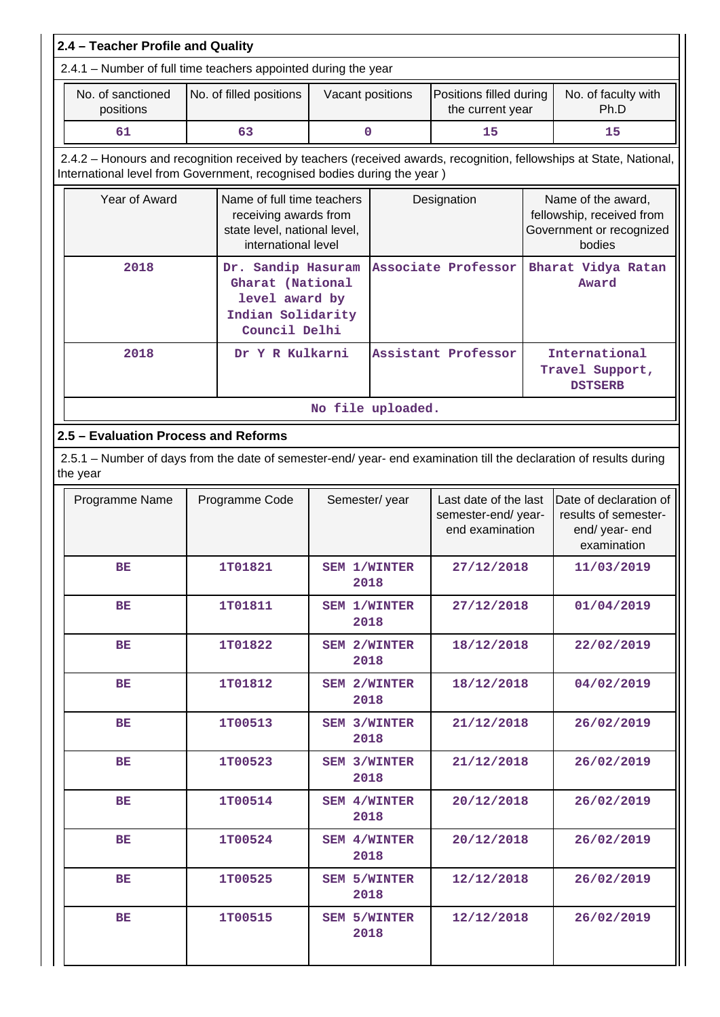| 2.4 - Teacher Profile and Quality                                                                                              |  |                                                                                                                           |                     |                                                                                       |                                                                |                             |                                                                                                                     |
|--------------------------------------------------------------------------------------------------------------------------------|--|---------------------------------------------------------------------------------------------------------------------------|---------------------|---------------------------------------------------------------------------------------|----------------------------------------------------------------|-----------------------------|---------------------------------------------------------------------------------------------------------------------|
| 2.4.1 - Number of full time teachers appointed during the year                                                                 |  |                                                                                                                           |                     |                                                                                       |                                                                |                             |                                                                                                                     |
| No. of sanctioned<br>positions                                                                                                 |  | No. of filled positions<br>Vacant positions                                                                               |                     | Positions filled during<br>the current year                                           |                                                                | No. of faculty with<br>Ph.D |                                                                                                                     |
| 61                                                                                                                             |  | 63                                                                                                                        |                     | 0                                                                                     | 15                                                             |                             | 15                                                                                                                  |
| International level from Government, recognised bodies during the year)                                                        |  |                                                                                                                           |                     |                                                                                       |                                                                |                             | 2.4.2 - Honours and recognition received by teachers (received awards, recognition, fellowships at State, National, |
| Year of Award                                                                                                                  |  | Name of full time teachers<br>Designation<br>receiving awards from<br>state level, national level,<br>international level |                     | Name of the award,<br>fellowship, received from<br>Government or recognized<br>bodies |                                                                |                             |                                                                                                                     |
| 2018                                                                                                                           |  | Dr. Sandip Hasuram<br>Gharat (National<br>level award by<br>Indian Solidarity<br>Council Delhi                            | Associate Professor |                                                                                       |                                                                | Bharat Vidya Ratan<br>Award |                                                                                                                     |
| 2018                                                                                                                           |  | Dr Y R Kulkarni                                                                                                           |                     |                                                                                       | Assistant Professor                                            |                             | International<br>Travel Support,<br><b>DSTSERB</b>                                                                  |
|                                                                                                                                |  | No file uploaded.                                                                                                         |                     |                                                                                       |                                                                |                             |                                                                                                                     |
| 2.5 - Evaluation Process and Reforms                                                                                           |  |                                                                                                                           |                     |                                                                                       |                                                                |                             |                                                                                                                     |
| 2.5.1 - Number of days from the date of semester-end/ year- end examination till the declaration of results during<br>the year |  |                                                                                                                           |                     |                                                                                       |                                                                |                             |                                                                                                                     |
| Programme Name                                                                                                                 |  | Programme Code                                                                                                            |                     | Semester/year                                                                         | Last date of the last<br>semester-end/year-<br>end examination |                             | Date of declaration of<br>results of semester-<br>end/year-end<br>examination                                       |
| ВE                                                                                                                             |  | 1T01821                                                                                                                   |                     | <b>SEM 1/WINTER</b><br>2018                                                           | 27/12/2018                                                     |                             | 11/03/2019                                                                                                          |
| BE                                                                                                                             |  | 1T01811                                                                                                                   |                     | <b>SEM 1/WINTER</b><br>2018                                                           | 27/12/2018                                                     |                             | 01/04/2019                                                                                                          |
| BE                                                                                                                             |  | 1T01822                                                                                                                   |                     | <b>SEM 2/WINTER</b><br>2018                                                           | 18/12/2018                                                     |                             | 22/02/2019                                                                                                          |
| BE                                                                                                                             |  | 1T01812                                                                                                                   |                     | <b>SEM 2/WINTER</b><br>2018                                                           | 18/12/2018                                                     |                             | 04/02/2019                                                                                                          |
| BE                                                                                                                             |  | 1T00513                                                                                                                   |                     | <b>SEM 3/WINTER</b><br>2018                                                           | 21/12/2018                                                     |                             | 26/02/2019                                                                                                          |
| BE                                                                                                                             |  | 1T00523                                                                                                                   |                     | <b>SEM 3/WINTER</b><br>2018                                                           | 21/12/2018                                                     |                             | 26/02/2019                                                                                                          |
| BE                                                                                                                             |  | 1T00514                                                                                                                   |                     | SEM 4/WINTER<br>2018                                                                  | 20/12/2018                                                     |                             | 26/02/2019                                                                                                          |
| BE                                                                                                                             |  | 1T00524                                                                                                                   |                     | SEM 4/WINTER<br>2018                                                                  | 20/12/2018                                                     |                             | 26/02/2019                                                                                                          |
| BE                                                                                                                             |  | 1T00525                                                                                                                   |                     | <b>SEM 5/WINTER</b><br>2018                                                           | 12/12/2018                                                     |                             | 26/02/2019                                                                                                          |
| BE                                                                                                                             |  | 1T00515                                                                                                                   |                     | <b>SEM 5/WINTER</b><br>2018                                                           | 12/12/2018                                                     |                             | 26/02/2019                                                                                                          |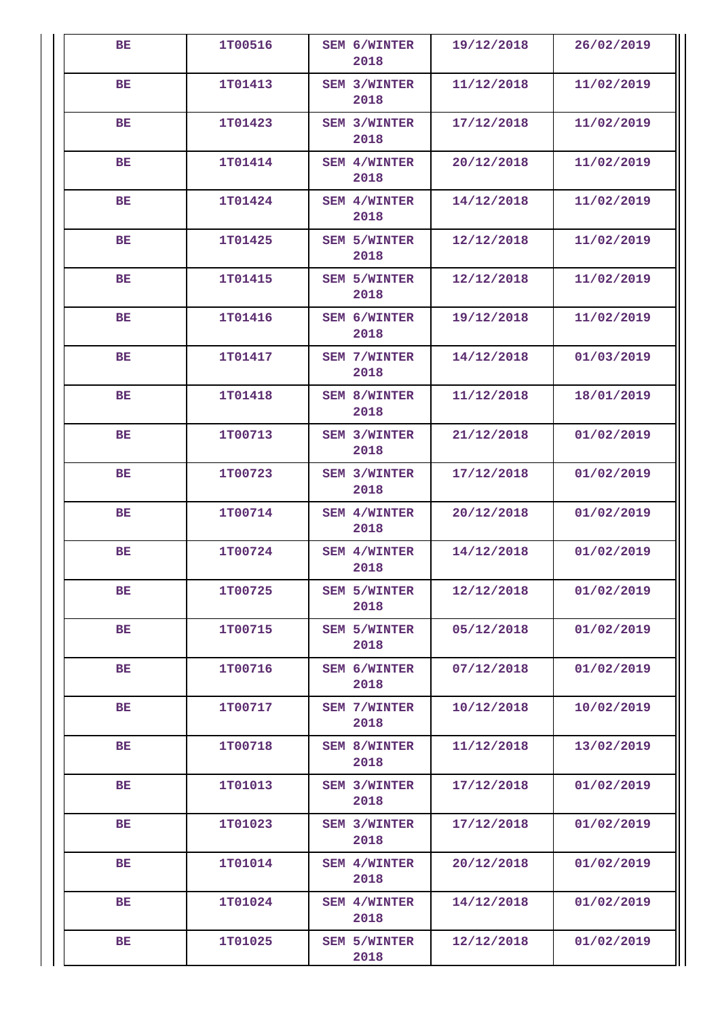| BE        | 1T00516 | <b>SEM 6/WINTER</b><br>2018 | 19/12/2018 | 26/02/2019 |
|-----------|---------|-----------------------------|------------|------------|
| BE.       | 1T01413 | SEM 3/WINTER<br>2018        | 11/12/2018 | 11/02/2019 |
| <b>BE</b> | 1T01423 | SEM 3/WINTER<br>2018        | 17/12/2018 | 11/02/2019 |
| <b>BE</b> | 1T01414 | SEM 4/WINTER<br>2018        | 20/12/2018 | 11/02/2019 |
| <b>BE</b> | 1T01424 | SEM 4/WINTER<br>2018        | 14/12/2018 | 11/02/2019 |
| <b>BE</b> | 1T01425 | <b>SEM 5/WINTER</b><br>2018 | 12/12/2018 | 11/02/2019 |
| <b>BE</b> | 1T01415 | <b>SEM 5/WINTER</b><br>2018 | 12/12/2018 | 11/02/2019 |
| BE.       | 1T01416 | SEM 6/WINTER<br>2018        | 19/12/2018 | 11/02/2019 |
| <b>BE</b> | 1T01417 | <b>SEM 7/WINTER</b><br>2018 | 14/12/2018 | 01/03/2019 |
| BE        | 1T01418 | <b>SEM 8/WINTER</b><br>2018 | 11/12/2018 | 18/01/2019 |
| <b>BE</b> | 1T00713 | <b>SEM 3/WINTER</b><br>2018 | 21/12/2018 | 01/02/2019 |
| <b>BE</b> | 1T00723 | <b>SEM 3/WINTER</b><br>2018 | 17/12/2018 | 01/02/2019 |
| BE        | 1T00714 | <b>SEM 4/WINTER</b><br>2018 | 20/12/2018 | 01/02/2019 |
| <b>BE</b> | 1T00724 | SEM 4/WINTER<br>2018        | 14/12/2018 | 01/02/2019 |
| BE        | 1T00725 | <b>SEM 5/WINTER</b><br>2018 | 12/12/2018 | 01/02/2019 |
| BE        | 1T00715 | <b>SEM 5/WINTER</b><br>2018 | 05/12/2018 | 01/02/2019 |
| BE        | 1T00716 | SEM 6/WINTER<br>2018        | 07/12/2018 | 01/02/2019 |
| BE.       | 1T00717 | <b>SEM 7/WINTER</b><br>2018 | 10/12/2018 | 10/02/2019 |
| BE        | 1T00718 | <b>SEM 8/WINTER</b><br>2018 | 11/12/2018 | 13/02/2019 |
| BE.       | 1T01013 | <b>SEM 3/WINTER</b><br>2018 | 17/12/2018 | 01/02/2019 |
| BE        | 1T01023 | <b>SEM 3/WINTER</b><br>2018 | 17/12/2018 | 01/02/2019 |
| BE        | 1T01014 | SEM 4/WINTER<br>2018        | 20/12/2018 | 01/02/2019 |
| BE        | 1T01024 | <b>SEM 4/WINTER</b><br>2018 | 14/12/2018 | 01/02/2019 |
| BE        | 1T01025 | <b>SEM 5/WINTER</b><br>2018 | 12/12/2018 | 01/02/2019 |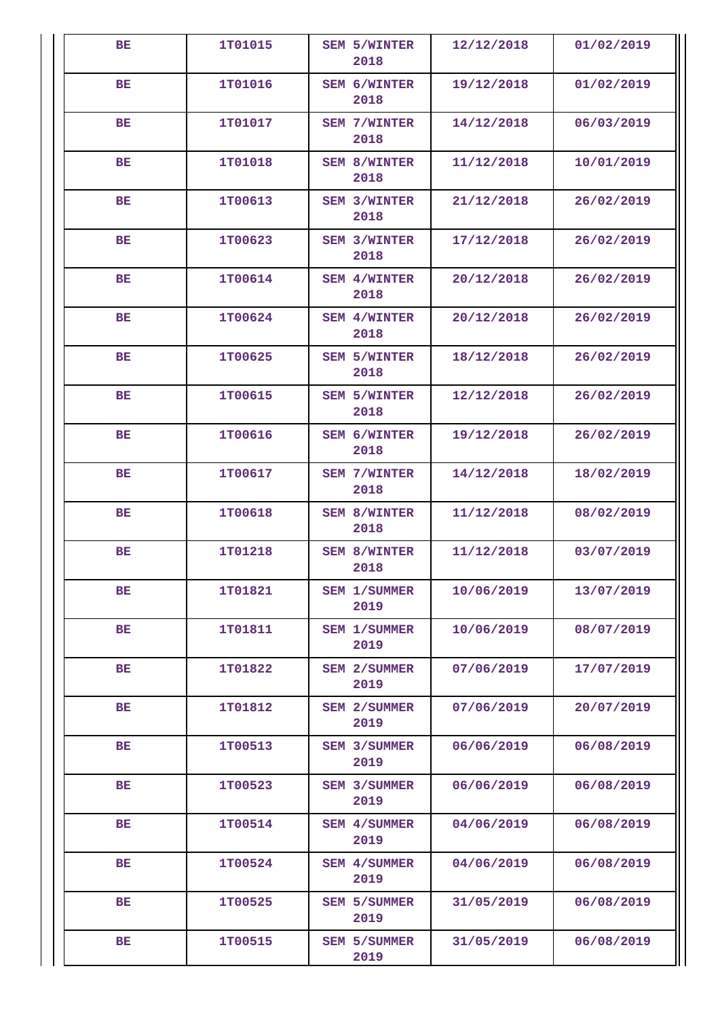| BE        | 1T01015 | <b>SEM 5/WINTER</b><br>2018 | 12/12/2018 | 01/02/2019 |
|-----------|---------|-----------------------------|------------|------------|
| BE        | 1T01016 | SEM 6/WINTER<br>2018        | 19/12/2018 | 01/02/2019 |
| <b>BE</b> | 1T01017 | <b>SEM 7/WINTER</b><br>2018 | 14/12/2018 | 06/03/2019 |
| BE        | 1T01018 | <b>SEM 8/WINTER</b><br>2018 | 11/12/2018 | 10/01/2019 |
| BE        | 1T00613 | <b>SEM 3/WINTER</b><br>2018 | 21/12/2018 | 26/02/2019 |
| <b>BE</b> | 1T00623 | <b>SEM 3/WINTER</b><br>2018 | 17/12/2018 | 26/02/2019 |
| <b>BE</b> | 1T00614 | SEM 4/WINTER<br>2018        | 20/12/2018 | 26/02/2019 |
| BE        | 1T00624 | SEM 4/WINTER<br>2018        | 20/12/2018 | 26/02/2019 |
| <b>BE</b> | 1T00625 | <b>SEM 5/WINTER</b><br>2018 | 18/12/2018 | 26/02/2019 |
| BE        | 1T00615 | <b>SEM 5/WINTER</b><br>2018 | 12/12/2018 | 26/02/2019 |
| <b>BE</b> | 1T00616 | SEM 6/WINTER<br>2018        | 19/12/2018 | 26/02/2019 |
| <b>BE</b> | 1T00617 | <b>SEM 7/WINTER</b><br>2018 | 14/12/2018 | 18/02/2019 |
| BE        | 1T00618 | <b>SEM 8/WINTER</b><br>2018 | 11/12/2018 | 08/02/2019 |
| <b>BE</b> | 1T01218 | SEM 8/WINTER<br>2018        | 11/12/2018 | 03/07/2019 |
| BE        | 1T01821 | <b>SEM 1/SUMMER</b><br>2019 | 10/06/2019 | 13/07/2019 |
| BE        | 1T01811 | SEM 1/SUMMER<br>2019        | 10/06/2019 | 08/07/2019 |
| BE        | 1T01822 | SEM 2/SUMMER<br>2019        | 07/06/2019 | 17/07/2019 |
| BE.       | 1T01812 | <b>SEM 2/SUMMER</b><br>2019 | 07/06/2019 | 20/07/2019 |
| BE        | 1T00513 | SEM 3/SUMMER<br>2019        | 06/06/2019 | 06/08/2019 |
| BE.       | 1T00523 | SEM 3/SUMMER<br>2019        | 06/06/2019 | 06/08/2019 |
| BE        | 1T00514 | SEM 4/SUMMER<br>2019        | 04/06/2019 | 06/08/2019 |
| BE        | 1T00524 | SEM 4/SUMMER<br>2019        | 04/06/2019 | 06/08/2019 |
| BE        | 1T00525 | <b>SEM 5/SUMMER</b><br>2019 | 31/05/2019 | 06/08/2019 |
| BE        | 1T00515 | SEM 5/SUMMER<br>2019        | 31/05/2019 | 06/08/2019 |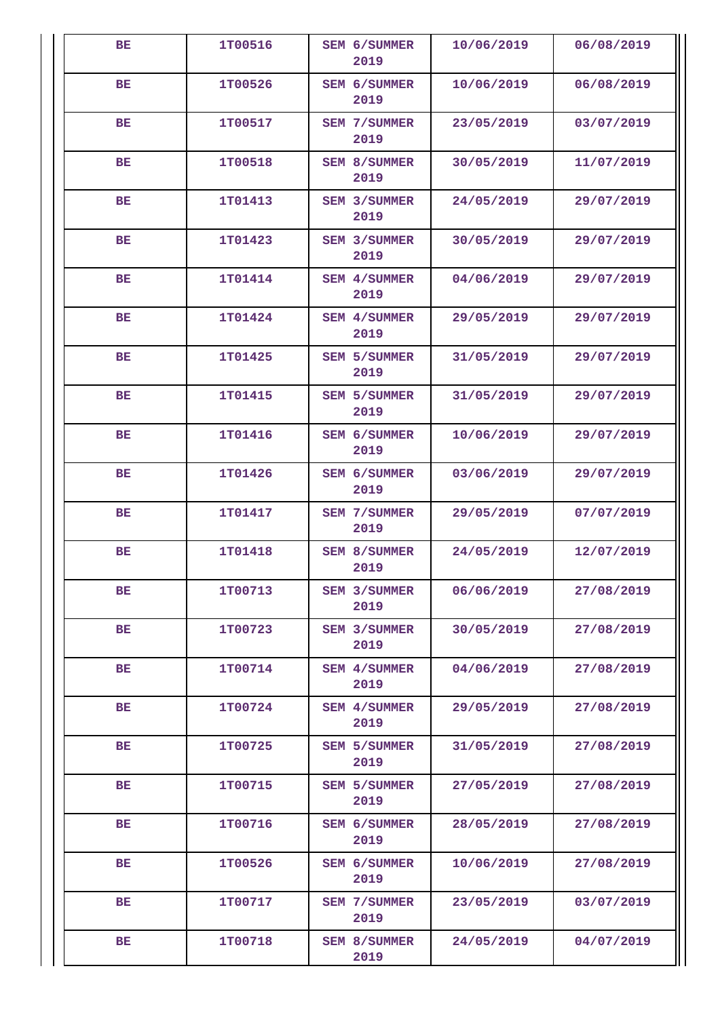| BE        | 1T00516 | SEM 6/SUMMER<br>2019        | 10/06/2019 | 06/08/2019 |
|-----------|---------|-----------------------------|------------|------------|
| <b>BE</b> | 1T00526 | SEM 6/SUMMER<br>2019        | 10/06/2019 | 06/08/2019 |
| BE        | 1T00517 | <b>SEM 7/SUMMER</b><br>2019 | 23/05/2019 | 03/07/2019 |
| <b>BE</b> | 1T00518 | SEM 8/SUMMER<br>2019        | 30/05/2019 | 11/07/2019 |
| BE        | 1T01413 | SEM 3/SUMMER<br>2019        | 24/05/2019 | 29/07/2019 |
| <b>BE</b> | 1T01423 | SEM 3/SUMMER<br>2019        | 30/05/2019 | 29/07/2019 |
| BE        | 1T01414 | SEM 4/SUMMER<br>2019        | 04/06/2019 | 29/07/2019 |
| BE        | 1T01424 | SEM 4/SUMMER<br>2019        | 29/05/2019 | 29/07/2019 |
| <b>BE</b> | 1T01425 | <b>SEM 5/SUMMER</b><br>2019 | 31/05/2019 | 29/07/2019 |
| BE        | 1T01415 | <b>SEM 5/SUMMER</b><br>2019 | 31/05/2019 | 29/07/2019 |
| BE.       | 1T01416 | SEM 6/SUMMER<br>2019        | 10/06/2019 | 29/07/2019 |
| BE        | 1T01426 | SEM 6/SUMMER<br>2019        | 03/06/2019 | 29/07/2019 |
| BE        | 1T01417 | SEM 7/SUMMER<br>2019        | 29/05/2019 | 07/07/2019 |
| <b>BE</b> | 1T01418 | SEM 8/SUMMER<br>2019        | 24/05/2019 | 12/07/2019 |
| BE        | 1T00713 | SEM 3/SUMMER<br>2019        | 06/06/2019 | 27/08/2019 |
| BЕ        | 1T00723 | SEM 3/SUMMER<br>2019        | 30/05/2019 | 27/08/2019 |
| <b>BE</b> | 1T00714 | SEM 4/SUMMER<br>2019        | 04/06/2019 | 27/08/2019 |
| BE        | 1T00724 | SEM 4/SUMMER<br>2019        | 29/05/2019 | 27/08/2019 |
| BE        | 1T00725 | SEM 5/SUMMER<br>2019        | 31/05/2019 | 27/08/2019 |
| BE        | 1T00715 | <b>SEM 5/SUMMER</b><br>2019 | 27/05/2019 | 27/08/2019 |
| BE        | 1T00716 | SEM 6/SUMMER<br>2019        | 28/05/2019 | 27/08/2019 |
| BE.       | 1T00526 | SEM 6/SUMMER<br>2019        | 10/06/2019 | 27/08/2019 |
| BE        | 1T00717 | <b>SEM 7/SUMMER</b><br>2019 | 23/05/2019 | 03/07/2019 |
| BE        | 1T00718 | SEM 8/SUMMER<br>2019        | 24/05/2019 | 04/07/2019 |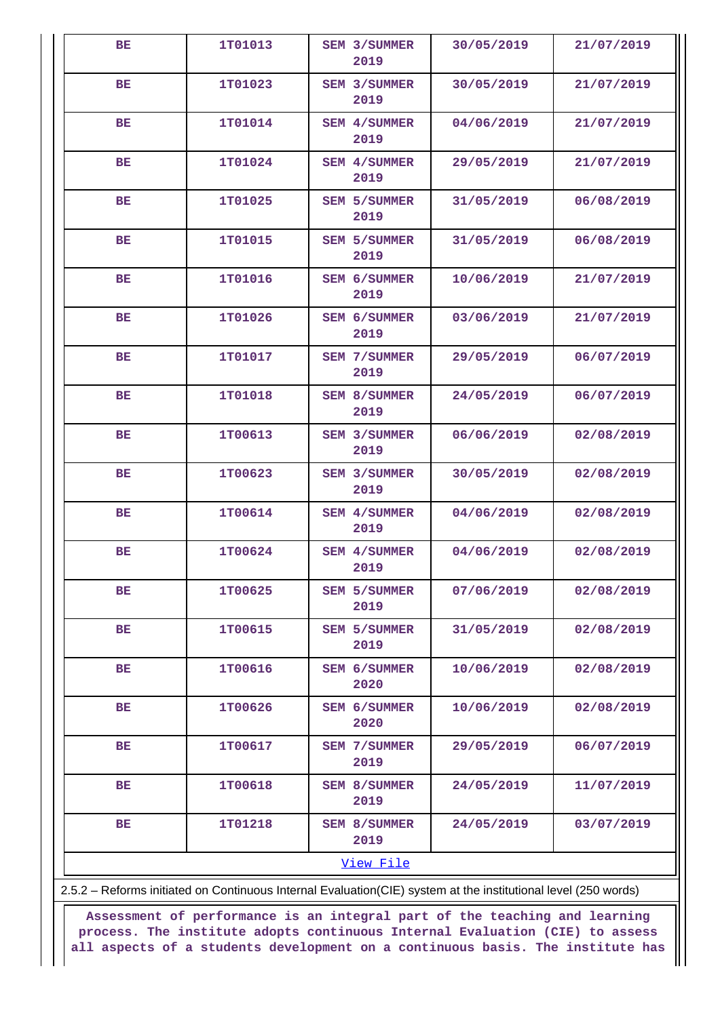| BE        | 1T01013 | SEM 3/SUMMER<br>2019                                                                                           | 30/05/2019 | 21/07/2019 |
|-----------|---------|----------------------------------------------------------------------------------------------------------------|------------|------------|
| BE        | 1T01023 | SEM 3/SUMMER                                                                                                   | 30/05/2019 | 21/07/2019 |
|           |         | 2019                                                                                                           |            |            |
| BE        | 1T01014 | SEM 4/SUMMER<br>2019                                                                                           | 04/06/2019 | 21/07/2019 |
| BE        | 1T01024 | SEM 4/SUMMER<br>2019                                                                                           | 29/05/2019 | 21/07/2019 |
| BE        | 1T01025 | <b>SEM 5/SUMMER</b><br>2019                                                                                    | 31/05/2019 | 06/08/2019 |
| <b>BE</b> | 1T01015 | <b>SEM 5/SUMMER</b><br>2019                                                                                    | 31/05/2019 | 06/08/2019 |
| BE        | 1T01016 | SEM 6/SUMMER<br>2019                                                                                           | 10/06/2019 | 21/07/2019 |
| <b>BE</b> | 1T01026 | SEM 6/SUMMER<br>2019                                                                                           | 03/06/2019 | 21/07/2019 |
| BE        | 1T01017 | SEM 7/SUMMER<br>2019                                                                                           | 29/05/2019 | 06/07/2019 |
| BE        | 1T01018 | <b>SEM 8/SUMMER</b><br>2019                                                                                    | 24/05/2019 | 06/07/2019 |
| BE        | 1T00613 | SEM 3/SUMMER<br>2019                                                                                           | 06/06/2019 | 02/08/2019 |
| <b>BE</b> | 1T00623 | SEM 3/SUMMER<br>2019                                                                                           | 30/05/2019 | 02/08/2019 |
| BE        | 1T00614 | SEM 4/SUMMER<br>2019                                                                                           | 04/06/2019 | 02/08/2019 |
| <b>BE</b> | 1T00624 | SEM 4/SUMMER<br>2019                                                                                           | 04/06/2019 | 02/08/2019 |
| <b>BE</b> | 1T00625 | <b>SEM 5/SUMMER</b><br>2019                                                                                    | 07/06/2019 | 02/08/2019 |
| BE        | 1T00615 | <b>SEM 5/SUMMER</b><br>2019                                                                                    | 31/05/2019 | 02/08/2019 |
| <b>BE</b> | 1T00616 | SEM 6/SUMMER<br>2020                                                                                           | 10/06/2019 | 02/08/2019 |
| <b>BE</b> | 1T00626 | SEM 6/SUMMER<br>2020                                                                                           | 10/06/2019 | 02/08/2019 |
| BE        | 1T00617 | <b>SEM 7/SUMMER</b><br>2019                                                                                    | 29/05/2019 | 06/07/2019 |
| BE        | 1T00618 | SEM 8/SUMMER<br>2019                                                                                           | 24/05/2019 | 11/07/2019 |
| BE        | 1T01218 | SEM 8/SUMMER<br>2019                                                                                           | 24/05/2019 | 03/07/2019 |
|           |         | View File                                                                                                      |            |            |
|           |         | 2.5.2 - Reforms initiated on Continuous Internal Evaluation(CIE) system at the institutional level (250 words) |            |            |

**Assessment of performance is an integral part of the teaching and learning**

**process. The institute adopts continuous Internal Evaluation (CIE) to assess all aspects of a students development on a continuous basis. The institute has**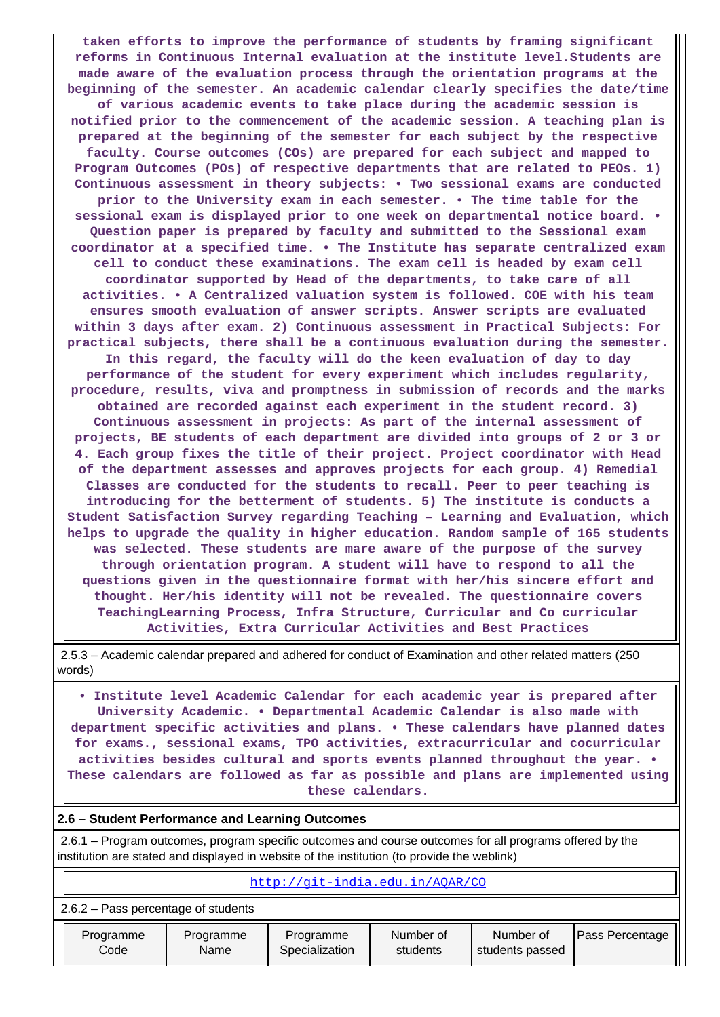**taken efforts to improve the performance of students by framing significant reforms in Continuous Internal evaluation at the institute level.Students are made aware of the evaluation process through the orientation programs at the beginning of the semester. An academic calendar clearly specifies the date/time of various academic events to take place during the academic session is notified prior to the commencement of the academic session. A teaching plan is prepared at the beginning of the semester for each subject by the respective faculty. Course outcomes (COs) are prepared for each subject and mapped to Program Outcomes (POs) of respective departments that are related to PEOs. 1) Continuous assessment in theory subjects: • Two sessional exams are conducted prior to the University exam in each semester. • The time table for the sessional exam is displayed prior to one week on departmental notice board. • Question paper is prepared by faculty and submitted to the Sessional exam coordinator at a specified time. • The Institute has separate centralized exam cell to conduct these examinations. The exam cell is headed by exam cell coordinator supported by Head of the departments, to take care of all activities. • A Centralized valuation system is followed. COE with his team ensures smooth evaluation of answer scripts. Answer scripts are evaluated within 3 days after exam. 2) Continuous assessment in Practical Subjects: For practical subjects, there shall be a continuous evaluation during the semester. In this regard, the faculty will do the keen evaluation of day to day performance of the student for every experiment which includes regularity, procedure, results, viva and promptness in submission of records and the marks obtained are recorded against each experiment in the student record. 3) Continuous assessment in projects: As part of the internal assessment of projects, BE students of each department are divided into groups of 2 or 3 or 4. Each group fixes the title of their project. Project coordinator with Head of the department assesses and approves projects for each group. 4) Remedial Classes are conducted for the students to recall. Peer to peer teaching is introducing for the betterment of students. 5) The institute is conducts a Student Satisfaction Survey regarding Teaching – Learning and Evaluation, which helps to upgrade the quality in higher education. Random sample of 165 students was selected. These students are mare aware of the purpose of the survey through orientation program. A student will have to respond to all the questions given in the questionnaire format with her/his sincere effort and thought. Her/his identity will not be revealed. The questionnaire covers TeachingLearning Process, Infra Structure, Curricular and Co curricular Activities, Extra Curricular Activities and Best Practices**

 2.5.3 – Academic calendar prepared and adhered for conduct of Examination and other related matters (250 words)

 **• Institute level Academic Calendar for each academic year is prepared after University Academic. • Departmental Academic Calendar is also made with department specific activities and plans. • These calendars have planned dates for exams., sessional exams, TPO activities, extracurricular and cocurricular activities besides cultural and sports events planned throughout the year. • These calendars are followed as far as possible and plans are implemented using these calendars.**

#### **2.6 – Student Performance and Learning Outcomes**

 2.6.1 – Program outcomes, program specific outcomes and course outcomes for all programs offered by the institution are stated and displayed in website of the institution (to provide the weblink)

| http://git-india.edu.in/AQAR/CO       |                   |                             |                       |                              |                 |  |  |  |
|---------------------------------------|-------------------|-----------------------------|-----------------------|------------------------------|-----------------|--|--|--|
| $2.6.2$ – Pass percentage of students |                   |                             |                       |                              |                 |  |  |  |
| Programme<br>Code                     | Programme<br>Name | Programme<br>Specialization | Number of<br>students | Number of<br>students passed | Pass Percentage |  |  |  |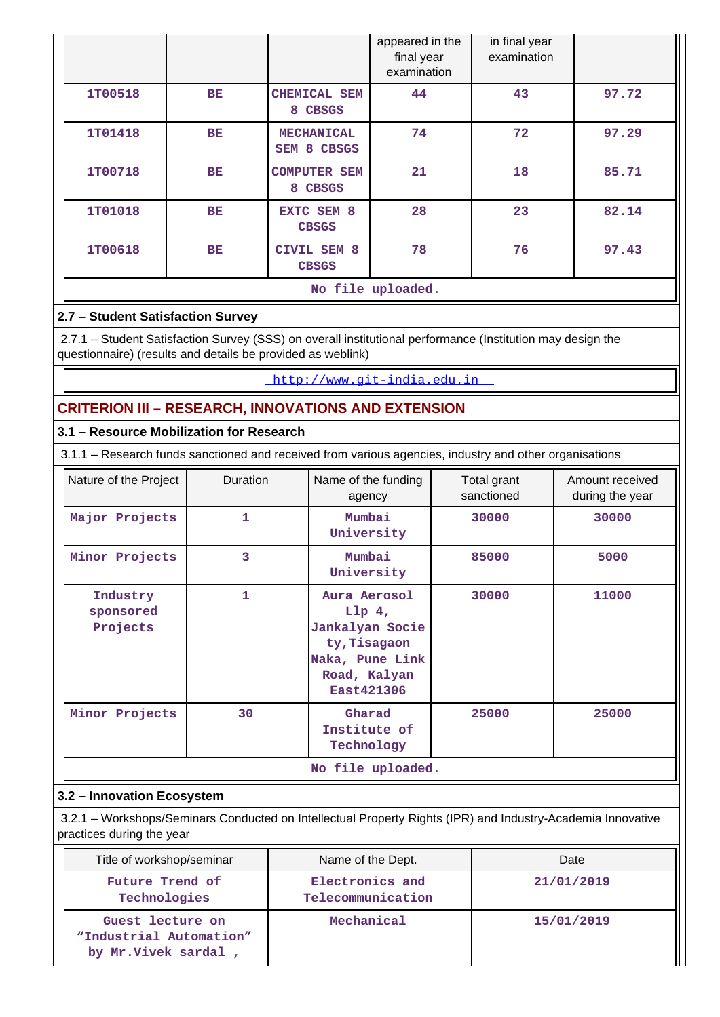|         |           |                                  | appeared in the<br>final year<br>examination | in final year<br>examination |       |
|---------|-----------|----------------------------------|----------------------------------------------|------------------------------|-------|
| 1T00518 | <b>BE</b> | CHEMICAL SEM<br>8 CBSGS          | 44                                           | 43                           | 97.72 |
| 1T01418 | BE.       | <b>MECHANICAL</b><br>SEM 8 CBSGS | 74                                           | 72                           | 97.29 |
| 1T00718 | <b>BE</b> | <b>COMPUTER SEM</b><br>8 CBSGS   | 21                                           | 18                           | 85.71 |
| 1T01018 | <b>BE</b> | EXTC SEM 8<br><b>CBSGS</b>       | 28                                           | 23                           | 82.14 |
| 1T00618 | <b>BE</b> | CIVIL SEM 8<br><b>CBSGS</b>      | 78                                           | 76                           | 97.43 |
|         |           |                                  | No file uploaded.                            |                              |       |

# **2.7 – Student Satisfaction Survey**

 2.7.1 – Student Satisfaction Survey (SSS) on overall institutional performance (Institution may design the questionnaire) (results and details be provided as weblink)

## <http://www.git-india.edu.in>

# **CRITERION III – RESEARCH, INNOVATIONS AND EXTENSION**

# **3.1 – Resource Mobilization for Research**

3.1.1 – Research funds sanctioned and received from various agencies, industry and other organisations

| Nature of the Project             | Duration | Name of the funding<br>agency                                                                                     | Total grant<br>sanctioned | Amount received<br>during the year |
|-----------------------------------|----------|-------------------------------------------------------------------------------------------------------------------|---------------------------|------------------------------------|
| Major Projects                    | 1        | Mumbai<br>University                                                                                              | 30000                     | 30000                              |
| Minor Projects                    | 3        | Mumbai<br>University                                                                                              | 85000                     | 5000                               |
| Industry<br>sponsored<br>Projects | 1        | Aura Aerosol<br>Llp 4,<br>Jankalyan Socie<br>ty, Tisagaon<br>Naka, Pune Link<br>Road, Kalyan<br><b>East421306</b> | 30000                     | 11000                              |
| Minor Projects                    | 30       | Gharad<br>Institute of<br>Technology                                                                              | 25000                     | 25000                              |
|                                   |          | No file uploaded.                                                                                                 |                           |                                    |

# **3.2 – Innovation Ecosystem**

 3.2.1 – Workshops/Seminars Conducted on Intellectual Property Rights (IPR) and Industry-Academia Innovative practices during the year

| Title of workshop/seminar                                           | Name of the Dept.                    | Date       |
|---------------------------------------------------------------------|--------------------------------------|------------|
| Future Trend of<br>Technologies                                     | Electronics and<br>Telecommunication | 21/01/2019 |
| Guest lecture on<br>"Industrial Automation"<br>by Mr. Vivek sardal, | Mechanical                           | 15/01/2019 |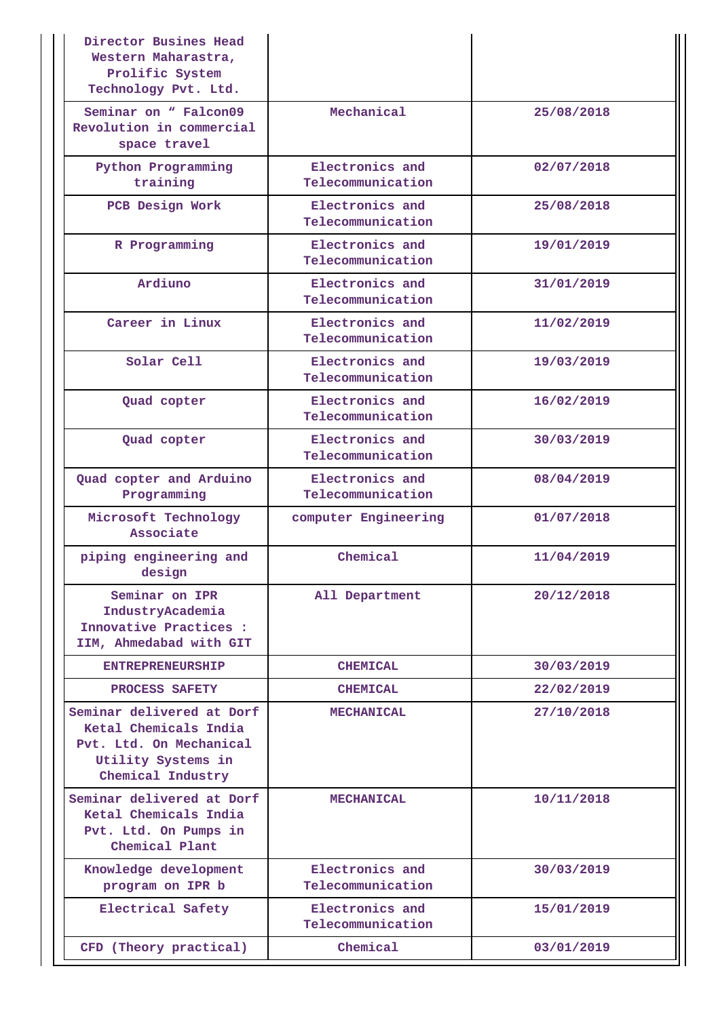| Director Busines Head<br>Western Maharastra,<br>Prolific System<br>Technology Pvt. Ltd.                                  |                                      |            |
|--------------------------------------------------------------------------------------------------------------------------|--------------------------------------|------------|
| Seminar on " Falcon09<br>Revolution in commercial<br>space travel                                                        | Mechanical                           | 25/08/2018 |
| Python Programming<br>training                                                                                           | Electronics and<br>Telecommunication | 02/07/2018 |
| PCB Design Work                                                                                                          | Electronics and<br>Telecommunication | 25/08/2018 |
| R Programming                                                                                                            | Electronics and<br>Telecommunication | 19/01/2019 |
| Ardiuno                                                                                                                  | Electronics and<br>Telecommunication | 31/01/2019 |
| Career in Linux                                                                                                          | Electronics and<br>Telecommunication | 11/02/2019 |
| Solar Cell                                                                                                               | Electronics and<br>Telecommunication | 19/03/2019 |
| Quad copter                                                                                                              | Electronics and<br>Telecommunication | 16/02/2019 |
| Quad copter                                                                                                              | Electronics and<br>Telecommunication | 30/03/2019 |
| Quad copter and Arduino<br>Programming                                                                                   | Electronics and<br>Telecommunication | 08/04/2019 |
| Microsoft Technology<br>Associate                                                                                        | computer Engineering                 | 01/07/2018 |
| piping engineering and<br>design                                                                                         | Chemical                             | 11/04/2019 |
| Seminar on IPR<br>IndustryAcademia<br>Innovative Practices :<br>IIM, Ahmedabad with GIT                                  | All Department                       | 20/12/2018 |
| <b>ENTREPRENEURSHIP</b>                                                                                                  | <b>CHEMICAL</b>                      | 30/03/2019 |
| PROCESS SAFETY                                                                                                           | <b>CHEMICAL</b>                      | 22/02/2019 |
| Seminar delivered at Dorf<br>Ketal Chemicals India<br>Pvt. Ltd. On Mechanical<br>Utility Systems in<br>Chemical Industry | <b>MECHANICAL</b>                    | 27/10/2018 |
| Seminar delivered at Dorf<br>Ketal Chemicals India<br>Pvt. Ltd. On Pumps in<br>Chemical Plant                            | <b>MECHANICAL</b>                    | 10/11/2018 |
| Knowledge development<br>program on IPR b                                                                                | Electronics and<br>Telecommunication | 30/03/2019 |
| Electrical Safety                                                                                                        | Electronics and<br>Telecommunication | 15/01/2019 |
| CFD (Theory practical)                                                                                                   | Chemical                             | 03/01/2019 |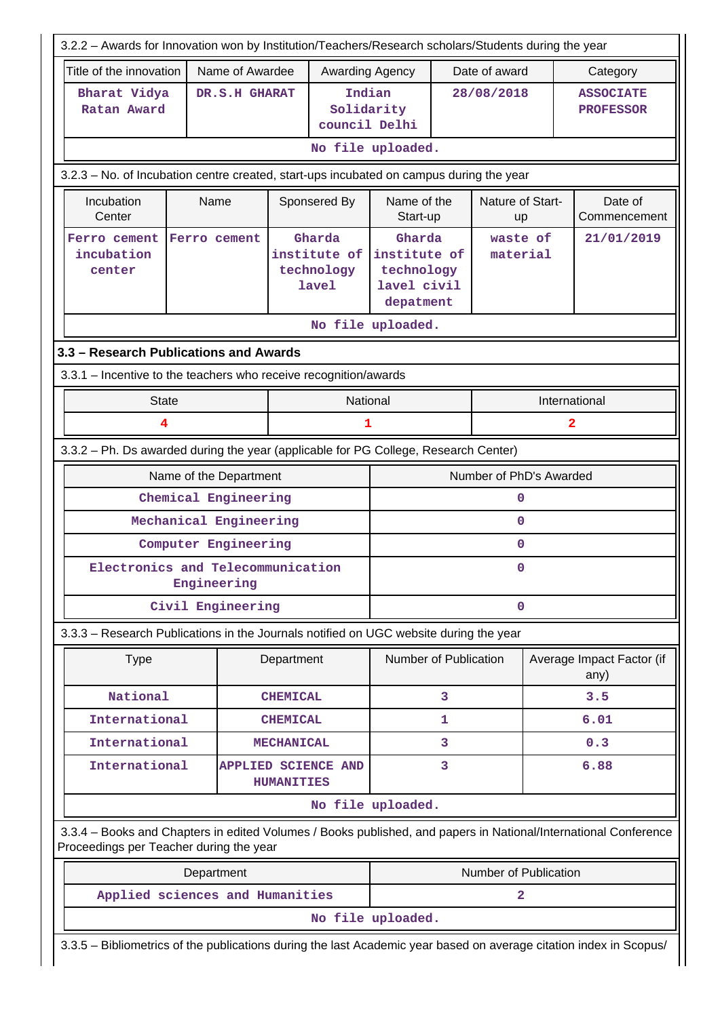| 3.2.2 - Awards for Innovation won by Institution/Teachers/Research scholars/Students during the year                                                       |                                 |                   |                                               |                                                                  |            |                        |                |                                      |  |  |
|------------------------------------------------------------------------------------------------------------------------------------------------------------|---------------------------------|-------------------|-----------------------------------------------|------------------------------------------------------------------|------------|------------------------|----------------|--------------------------------------|--|--|
| Name of Awardee<br>Date of award<br>Title of the innovation<br>Awarding Agency<br>Category                                                                 |                                 |                   |                                               |                                                                  |            |                        |                |                                      |  |  |
| Bharat Vidya<br>Ratan Award                                                                                                                                | DR.S.H GHARAT                   |                   |                                               | Indian<br>Solidarity<br>council Delhi                            | 28/08/2018 |                        |                | <b>ASSOCIATE</b><br><b>PROFESSOR</b> |  |  |
|                                                                                                                                                            |                                 |                   |                                               | No file uploaded.                                                |            |                        |                |                                      |  |  |
| 3.2.3 - No. of Incubation centre created, start-ups incubated on campus during the year                                                                    |                                 |                   |                                               |                                                                  |            |                        |                |                                      |  |  |
| Incubation<br>Center                                                                                                                                       | Name                            |                   | Sponsered By                                  | Name of the<br>Start-up                                          |            | Nature of Start-<br>up |                | Date of<br>Commencement              |  |  |
| Ferro cement<br>incubation<br>center                                                                                                                       | Ferro cement                    |                   | Gharda<br>institute of<br>technology<br>lavel | Gharda<br>institute of<br>technology<br>lavel civil<br>depatment |            | waste of<br>material   |                | 21/01/2019                           |  |  |
|                                                                                                                                                            |                                 |                   |                                               | No file uploaded.                                                |            |                        |                |                                      |  |  |
| 3.3 - Research Publications and Awards                                                                                                                     |                                 |                   |                                               |                                                                  |            |                        |                |                                      |  |  |
| 3.3.1 - Incentive to the teachers who receive recognition/awards                                                                                           |                                 |                   |                                               |                                                                  |            |                        |                |                                      |  |  |
| <b>State</b>                                                                                                                                               |                                 |                   |                                               | National                                                         |            |                        |                | International                        |  |  |
| 4                                                                                                                                                          |                                 |                   | $\mathbf{1}$                                  |                                                                  |            |                        | $\overline{a}$ |                                      |  |  |
| 3.3.2 - Ph. Ds awarded during the year (applicable for PG College, Research Center)                                                                        |                                 |                   |                                               |                                                                  |            |                        |                |                                      |  |  |
|                                                                                                                                                            | Name of the Department          |                   |                                               | Number of PhD's Awarded                                          |            |                        |                |                                      |  |  |
|                                                                                                                                                            | Chemical Engineering            |                   |                                               |                                                                  | 0          |                        |                |                                      |  |  |
|                                                                                                                                                            | Mechanical Engineering          |                   |                                               | 0                                                                |            |                        |                |                                      |  |  |
|                                                                                                                                                            | Computer Engineering            |                   |                                               |                                                                  | 0          |                        |                |                                      |  |  |
|                                                                                                                                                            | Engineering                     |                   | Electronics and Telecommunication             |                                                                  | 0          |                        |                |                                      |  |  |
|                                                                                                                                                            | Civil Engineering               |                   | $\mathbf 0$                                   |                                                                  |            |                        |                |                                      |  |  |
| 3.3.3 - Research Publications in the Journals notified on UGC website during the year                                                                      |                                 |                   |                                               |                                                                  |            |                        |                |                                      |  |  |
| <b>Type</b>                                                                                                                                                |                                 | Department        |                                               | Number of Publication                                            |            |                        |                | Average Impact Factor (if<br>any)    |  |  |
| National                                                                                                                                                   |                                 | <b>CHEMICAL</b>   |                                               |                                                                  | 3          |                        |                | 3.5                                  |  |  |
| International                                                                                                                                              |                                 | <b>CHEMICAL</b>   |                                               |                                                                  | 1          |                        |                | 6.01                                 |  |  |
| International                                                                                                                                              |                                 | <b>MECHANICAL</b> |                                               |                                                                  | 3          |                        |                | 0.3                                  |  |  |
| International                                                                                                                                              |                                 | <b>HUMANITIES</b> | <b>APPLIED SCIENCE AND</b>                    |                                                                  | 3          |                        |                | 6.88                                 |  |  |
|                                                                                                                                                            |                                 |                   |                                               | No file uploaded.                                                |            |                        |                |                                      |  |  |
| 3.3.4 - Books and Chapters in edited Volumes / Books published, and papers in National/International Conference<br>Proceedings per Teacher during the year |                                 |                   |                                               |                                                                  |            |                        |                |                                      |  |  |
|                                                                                                                                                            | Department                      |                   |                                               |                                                                  |            | Number of Publication  |                |                                      |  |  |
|                                                                                                                                                            | Applied sciences and Humanities |                   |                                               |                                                                  |            | $\overline{a}$         |                |                                      |  |  |
|                                                                                                                                                            |                                 |                   |                                               | No file uploaded.                                                |            |                        |                |                                      |  |  |
| 3.3.5 - Bibliometrics of the publications during the last Academic year based on average citation index in Scopus/                                         |                                 |                   |                                               |                                                                  |            |                        |                |                                      |  |  |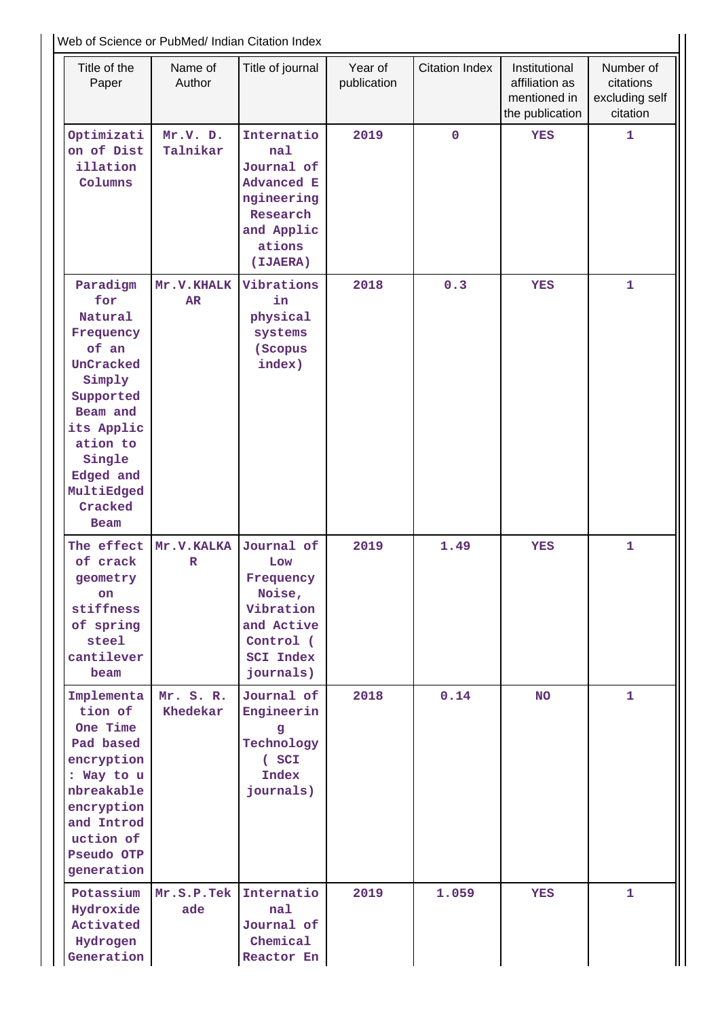Web of Science or PubMed/ Indian Citation Index

|                                                                                                                                                                                           | Web of Science or PubMed/ Indian Citation Index |                                                                                                                    |                        |                       |                                                                    |                                                      |  |  |  |
|-------------------------------------------------------------------------------------------------------------------------------------------------------------------------------------------|-------------------------------------------------|--------------------------------------------------------------------------------------------------------------------|------------------------|-----------------------|--------------------------------------------------------------------|------------------------------------------------------|--|--|--|
| Title of the<br>Paper                                                                                                                                                                     | Name of<br>Author                               | Title of journal                                                                                                   | Year of<br>publication | <b>Citation Index</b> | Institutional<br>affiliation as<br>mentioned in<br>the publication | Number of<br>citations<br>excluding self<br>citation |  |  |  |
| Optimizati<br>on of Dist<br>illation<br>Columns                                                                                                                                           | Mr.V. D.<br>Talnikar                            | Internatio<br>nal<br>Journal of<br><b>Advanced E</b><br>ngineering<br>Research<br>and Applic<br>ations<br>(IJAERA) | 2019                   | $\mathbf 0$           | <b>YES</b>                                                         | 1                                                    |  |  |  |
| Paradigm<br>for<br>Natural<br>Frequency<br>of an<br>UnCracked<br>Simply<br>Supported<br>Beam and<br>its Applic<br>ation to<br>Single<br>Edged and<br>MultiEdged<br>Cracked<br><b>Beam</b> | Mr.V.KHALK<br>AR                                | Vibrations<br>in<br>physical<br>systems<br>(Scopus<br>index)                                                       | 2018                   | 0.3                   | <b>YES</b>                                                         | $\mathbf{1}$                                         |  |  |  |
| The effect<br>of crack<br>geometry<br>on<br>stiffness<br>of spring<br>steel<br>cantilever<br>beam                                                                                         | Mr.V.KALKA<br>$\mathbb R$                       | Journal of<br>Low<br>Frequency<br>Noise,<br>Vibration<br>and Active<br>Control (<br><b>SCI Index</b><br>journals)  | 2019                   | 1.49                  | <b>YES</b>                                                         | $\mathbf{1}$                                         |  |  |  |
| Implementa<br>tion of<br>One Time<br>Pad based<br>encryption<br>: Way to u<br>nbreakable<br>encryption<br>and Introd<br>uction of<br>Pseudo OTP<br>generation                             | Mr. S. R.<br>Khedekar                           | Journal of<br>Engineerin<br>g<br>Technology<br>$($ SCI<br>Index<br>journals)                                       | 2018                   | 0.14                  | <b>NO</b>                                                          | $\mathbf{1}$                                         |  |  |  |
| Potassium<br>Hydroxide<br>Activated<br>Hydrogen<br>Generation                                                                                                                             | Mr.S.P.Tek<br>ade                               | Internatio<br>nal<br>Journal of<br>Chemical<br>Reactor En                                                          | 2019                   | 1.059                 | <b>YES</b>                                                         | $\mathbf{1}$                                         |  |  |  |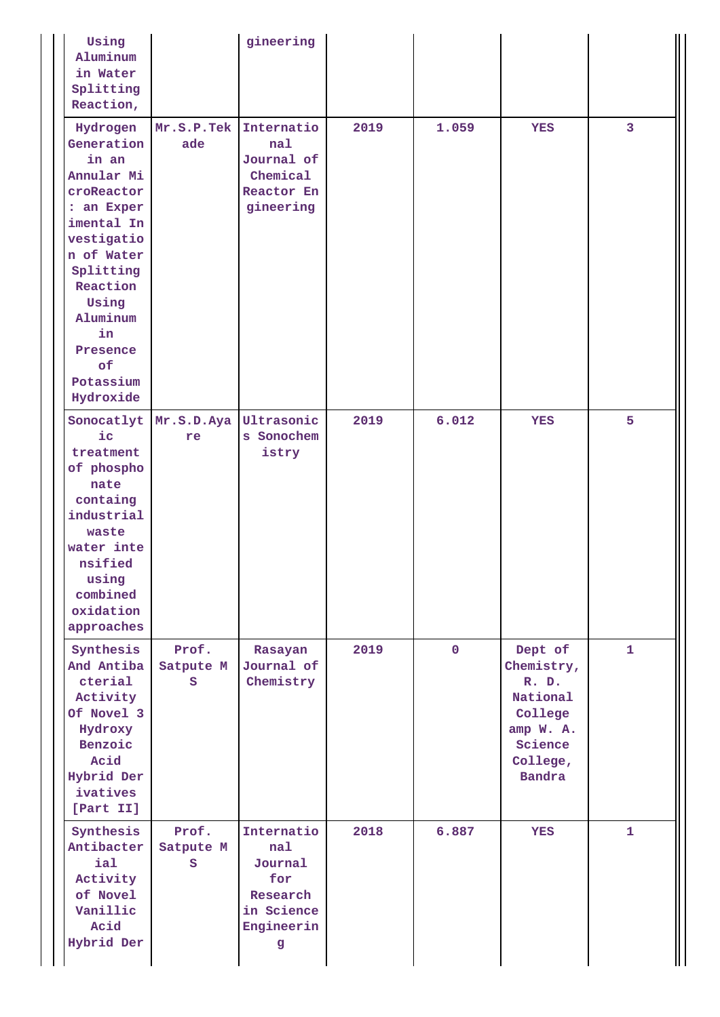| Using<br>Aluminum<br>in Water<br>Splitting<br>Reaction,                                                                                                                                                             |                             | gineering                                                                        |      |             |                                                                                                            |              |
|---------------------------------------------------------------------------------------------------------------------------------------------------------------------------------------------------------------------|-----------------------------|----------------------------------------------------------------------------------|------|-------------|------------------------------------------------------------------------------------------------------------|--------------|
| Hydrogen<br>Generation<br>in an<br>Annular Mi<br>croReactor<br>: an Exper<br>imental In<br>vestigatio<br>n of Water<br>Splitting<br>Reaction<br>Using<br>Aluminum<br>in<br>Presence<br>of<br>Potassium<br>Hydroxide | Mr.S.P.Tek<br>ade           | Internatio<br>nal<br>Journal of<br>Chemical<br>Reactor En<br>gineering           | 2019 | 1.059       | <b>YES</b>                                                                                                 | 3            |
| $i$ c<br>treatment<br>of phospho<br>nate<br>containg<br>industrial<br>waste<br>water inte<br>nsified<br>using<br>combined<br>oxidation<br>approaches                                                                | Sonocatlyt Mr.S.D.Aya<br>re | Ultrasonic<br>s Sonochem<br>istry                                                | 2019 | 6.012       | <b>YES</b>                                                                                                 | 5            |
| Synthesis<br>And Antiba<br>cterial<br>Activity<br>Of Novel 3<br>Hydroxy<br>Benzoic<br>Acid<br>Hybrid Der<br>ivatives<br>[Part II]                                                                                   | Prof.<br>Satpute M<br>S     | Rasayan<br>Journal of<br>Chemistry                                               | 2019 | $\mathbf 0$ | Dept of<br>Chemistry,<br>R. D.<br>National<br>College<br>amp W. A.<br>Science<br>College,<br><b>Bandra</b> | $\mathbf{1}$ |
| Synthesis<br>Antibacter<br>ial<br>Activity<br>of Novel<br>Vanillic<br>Acid<br>Hybrid Der                                                                                                                            | Prof.<br>Satpute M<br>S     | Internatio<br>nal<br>Journal<br>for<br>Research<br>in Science<br>Engineerin<br>g | 2018 | 6.887       | <b>YES</b>                                                                                                 | $\mathbf{1}$ |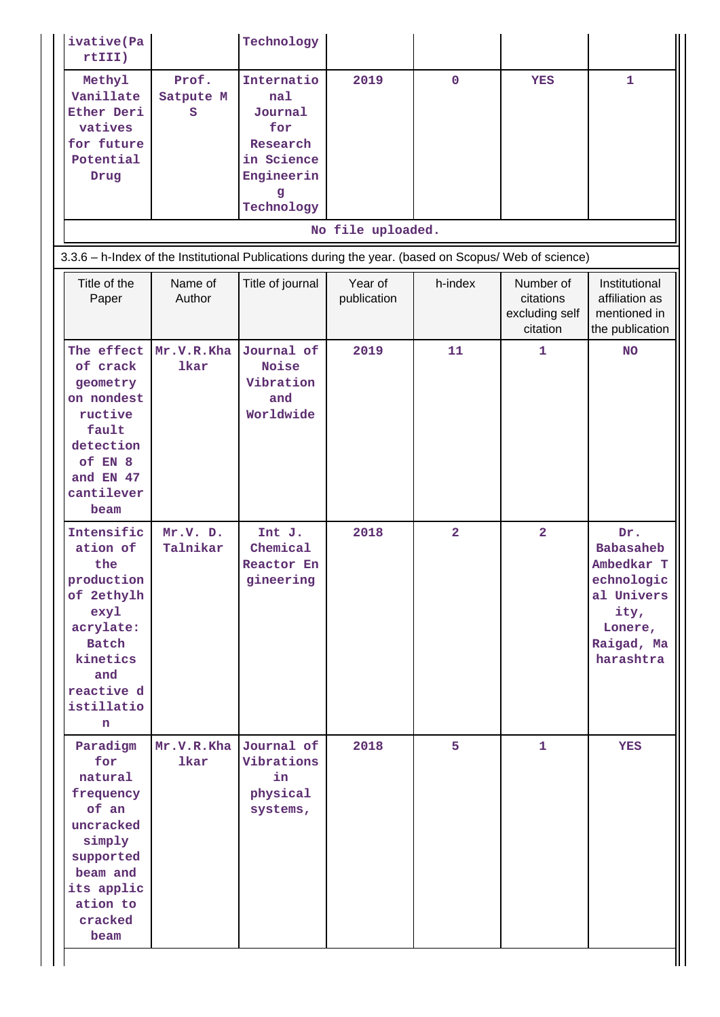| ivative(Pa<br>rtIII)                                                                                                                               |                           | Technology                                                                                     |                        |                |                                                      |                                                                                                                 |
|----------------------------------------------------------------------------------------------------------------------------------------------------|---------------------------|------------------------------------------------------------------------------------------------|------------------------|----------------|------------------------------------------------------|-----------------------------------------------------------------------------------------------------------------|
| Methyl<br>Vanillate<br>Ether Deri<br>vatives<br>for future<br>Potential<br>Drug                                                                    | Prof.<br>Satpute M<br>s   | Internatio<br>nal<br>Journal<br>for<br>Research<br>in Science<br>Engineerin<br>g<br>Technology | 2019                   | $\mathbf 0$    | <b>YES</b>                                           | $\mathbf{1}$                                                                                                    |
|                                                                                                                                                    |                           |                                                                                                | No file uploaded.      |                |                                                      |                                                                                                                 |
| 3.3.6 - h-Index of the Institutional Publications during the year. (based on Scopus/ Web of science)                                               |                           |                                                                                                |                        |                |                                                      |                                                                                                                 |
| Title of the<br>Paper                                                                                                                              | Name of<br>Author         | Title of journal                                                                               | Year of<br>publication | h-index        | Number of<br>citations<br>excluding self<br>citation | Institutional<br>affiliation as<br>mentioned in<br>the publication                                              |
| The effect<br>of crack<br>geometry<br>on nondest<br>ructive<br>fault<br>detection<br>of EN 8<br>and EN 47<br>cantilever<br>beam                    | Mr.V.R.Kha<br><b>lkar</b> | Journal of<br>Noise<br>Vibration<br>and<br>Worldwide                                           | 2019                   | 11             | 1                                                    | <b>NO</b>                                                                                                       |
| Intensific<br>ation of<br>the<br>production<br>of 2ethylh<br>exyl<br>acrylate:<br><b>Batch</b><br>kinetics<br>and<br>reactive d<br>istillatio<br>n | Mr.V. D.<br>Talnikar      | Int J.<br>Chemical<br>Reactor En<br>gineering                                                  | 2018                   | $\overline{a}$ | $\overline{\mathbf{2}}$                              | Dr.<br><b>Babasaheb</b><br>Ambedkar T<br>echnologic<br>al Univers<br>ity,<br>Lonere,<br>Raigad, Ma<br>harashtra |
| Paradigm<br>for<br>natural<br>frequency<br>of an<br>uncracked<br>simply<br>supported<br>beam and<br>its applic<br>ation to<br>cracked<br>beam      | Mr.V.R.Kha<br>lkar        | Journal of<br>Vibrations<br>in<br>physical<br>systems,                                         | 2018                   | 5              | $\mathbf{1}$                                         | <b>YES</b>                                                                                                      |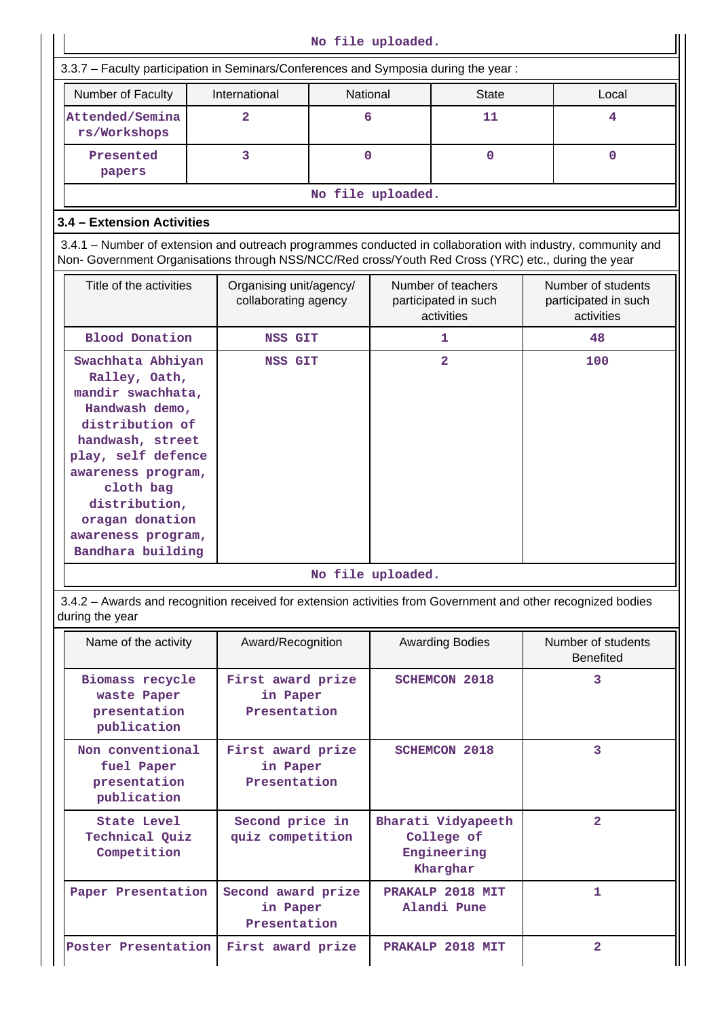| No file uploaded.                                                                                                                                                                                                                                        |                                                 |          |                                 |                                                             |                                                          |             |  |  |  |  |
|----------------------------------------------------------------------------------------------------------------------------------------------------------------------------------------------------------------------------------------------------------|-------------------------------------------------|----------|---------------------------------|-------------------------------------------------------------|----------------------------------------------------------|-------------|--|--|--|--|
| 3.3.7 - Faculty participation in Seminars/Conferences and Symposia during the year:                                                                                                                                                                      |                                                 |          |                                 |                                                             |                                                          |             |  |  |  |  |
| Number of Faculty                                                                                                                                                                                                                                        | International                                   | National |                                 | <b>State</b>                                                |                                                          | Local       |  |  |  |  |
| Attended/Semina<br>rs/Workshops                                                                                                                                                                                                                          | $\overline{a}$                                  | 6        |                                 | 11                                                          |                                                          | 4           |  |  |  |  |
| Presented<br>papers                                                                                                                                                                                                                                      | 3                                               | $\Omega$ |                                 | $\mathbf 0$                                                 |                                                          | $\mathbf 0$ |  |  |  |  |
|                                                                                                                                                                                                                                                          |                                                 |          | No file uploaded.               |                                                             |                                                          |             |  |  |  |  |
| 3.4 - Extension Activities                                                                                                                                                                                                                               |                                                 |          |                                 |                                                             |                                                          |             |  |  |  |  |
| 3.4.1 – Number of extension and outreach programmes conducted in collaboration with industry, community and                                                                                                                                              |                                                 |          |                                 |                                                             |                                                          |             |  |  |  |  |
| Non- Government Organisations through NSS/NCC/Red cross/Youth Red Cross (YRC) etc., during the year                                                                                                                                                      |                                                 |          |                                 |                                                             |                                                          |             |  |  |  |  |
| Title of the activities                                                                                                                                                                                                                                  | Organising unit/agency/<br>collaborating agency |          |                                 | Number of teachers<br>participated in such<br>activities    | Number of students<br>participated in such<br>activities |             |  |  |  |  |
| <b>Blood Donation</b>                                                                                                                                                                                                                                    | NSS GIT                                         |          |                                 | 1                                                           | 48                                                       |             |  |  |  |  |
| Swachhata Abhiyan<br>Ralley, Oath,<br>mandir swachhata,<br>Handwash demo,<br>distribution of<br>handwash, street<br>play, self defence<br>awareness program,<br>cloth bag<br>distribution,<br>oragan donation<br>awareness program,<br>Bandhara building | <b>NSS GIT</b>                                  |          |                                 | $\overline{a}$                                              | 100                                                      |             |  |  |  |  |
|                                                                                                                                                                                                                                                          |                                                 |          | No file uploaded.               |                                                             |                                                          |             |  |  |  |  |
| 3.4.2 - Awards and recognition received for extension activities from Government and other recognized bodies<br>during the year                                                                                                                          |                                                 |          |                                 |                                                             |                                                          |             |  |  |  |  |
| Name of the activity                                                                                                                                                                                                                                     | Award/Recognition                               |          |                                 | <b>Awarding Bodies</b>                                      | Number of students<br><b>Benefited</b>                   |             |  |  |  |  |
| Biomass recycle<br>waste Paper<br>presentation<br>publication                                                                                                                                                                                            | First award prize<br>in Paper<br>Presentation   |          |                                 | <b>SCHEMCON 2018</b>                                        | 3                                                        |             |  |  |  |  |
| Non conventional<br>fuel Paper<br>presentation<br>publication                                                                                                                                                                                            | First award prize<br>in Paper<br>Presentation   |          |                                 | <b>SCHEMCON 2018</b>                                        | 3                                                        |             |  |  |  |  |
| <b>State Level</b><br>Technical Quiz<br>Competition                                                                                                                                                                                                      | Second price in<br>quiz competition             |          |                                 | Bharati Vidyapeeth<br>College of<br>Engineering<br>Kharghar |                                                          |             |  |  |  |  |
| Paper Presentation                                                                                                                                                                                                                                       | Second award prize<br>in Paper<br>Presentation  |          | PRAKALP 2018 MIT<br>Alandi Pune |                                                             | 1                                                        |             |  |  |  |  |
| Poster Presentation                                                                                                                                                                                                                                      | First award prize                               |          |                                 | PRAKALP 2018 MIT                                            | $\overline{a}$                                           |             |  |  |  |  |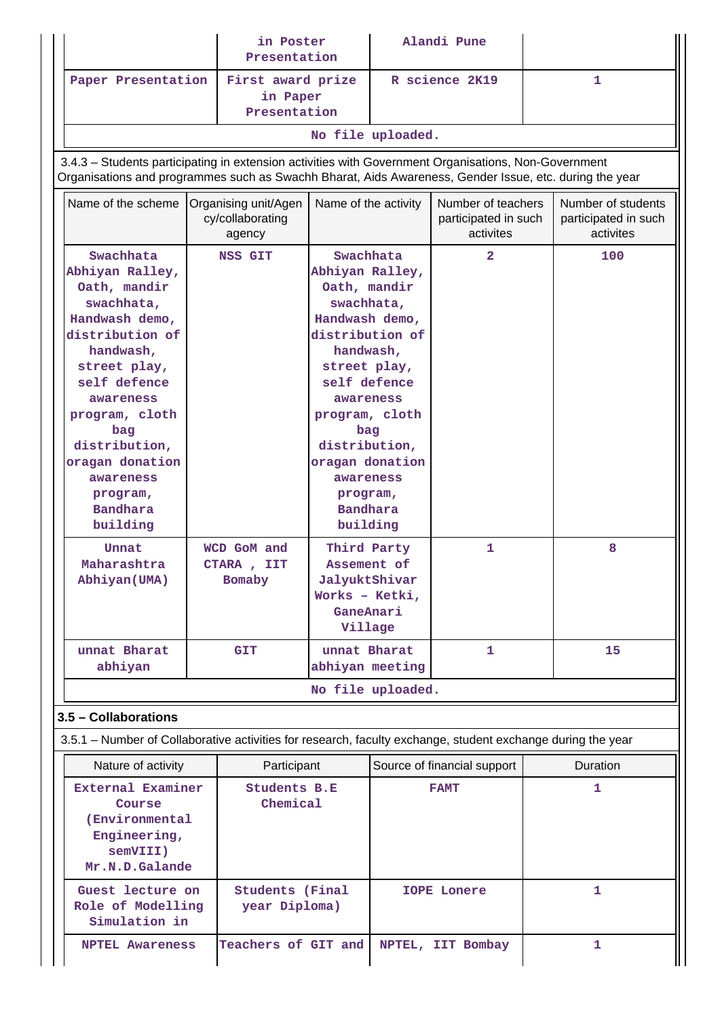|                                                                                                                                                                                                                                                                                                  |  | in Poster<br>Presentation                                                                                                                                                                                                                                                      |                                                                                       |   | Alandi Pune                                             |              |                                                         |
|--------------------------------------------------------------------------------------------------------------------------------------------------------------------------------------------------------------------------------------------------------------------------------------------------|--|--------------------------------------------------------------------------------------------------------------------------------------------------------------------------------------------------------------------------------------------------------------------------------|---------------------------------------------------------------------------------------|---|---------------------------------------------------------|--------------|---------------------------------------------------------|
| Paper Presentation                                                                                                                                                                                                                                                                               |  | First award prize<br>in Paper<br>Presentation                                                                                                                                                                                                                                  |                                                                                       |   | R science 2K19                                          |              | $\mathbf{1}$                                            |
|                                                                                                                                                                                                                                                                                                  |  |                                                                                                                                                                                                                                                                                | No file uploaded.                                                                     |   |                                                         |              |                                                         |
| 3.4.3 - Students participating in extension activities with Government Organisations, Non-Government                                                                                                                                                                                             |  |                                                                                                                                                                                                                                                                                |                                                                                       |   |                                                         |              |                                                         |
| Organisations and programmes such as Swachh Bharat, Aids Awareness, Gender Issue, etc. during the year                                                                                                                                                                                           |  |                                                                                                                                                                                                                                                                                |                                                                                       |   |                                                         |              |                                                         |
| Name of the scheme                                                                                                                                                                                                                                                                               |  | Organising unit/Agen<br>cy/collaborating<br>agency                                                                                                                                                                                                                             | Name of the activity                                                                  |   | Number of teachers<br>participated in such<br>activites |              | Number of students<br>participated in such<br>activites |
| Swachhata<br><b>NSS GIT</b><br>Abhiyan Ralley,<br>Oath, mandir<br>swachhata,<br>Handwash demo,<br>distribution of<br>handwash,<br>street play,<br>self defence<br>awareness<br>program, cloth<br>bag<br>distribution,<br>oragan donation<br>awareness<br>program,<br><b>Bandhara</b><br>building |  | Swachhata<br>Abhiyan Ralley,<br>Oath, mandir<br>swachhata,<br>Handwash demo,<br>distribution of<br>handwash,<br>street play,<br>self defence<br>awareness<br>program, cloth<br>bag<br>distribution,<br>oragan donation<br>awareness<br>program,<br><b>Bandhara</b><br>building |                                                                                       | 1 |                                                         | 100<br>8     |                                                         |
| Unnat<br>Maharashtra<br>Abhiyan (UMA)                                                                                                                                                                                                                                                            |  | WCD GoM and<br>CTARA, IIT<br><b>Bomaby</b>                                                                                                                                                                                                                                     | Third Party<br>Assement of<br>JalyuktShivar<br>Works - Ketki,<br>GaneAnari<br>Village |   |                                                         |              |                                                         |
| unnat Bharat<br>abhiyan                                                                                                                                                                                                                                                                          |  | <b>GIT</b>                                                                                                                                                                                                                                                                     | unnat Bharat<br>abhiyan meeting                                                       |   | $\mathbf{1}$                                            |              | 15                                                      |
|                                                                                                                                                                                                                                                                                                  |  |                                                                                                                                                                                                                                                                                | No file uploaded.                                                                     |   |                                                         |              |                                                         |
| 3.5 - Collaborations                                                                                                                                                                                                                                                                             |  |                                                                                                                                                                                                                                                                                |                                                                                       |   |                                                         |              |                                                         |
| 3.5.1 – Number of Collaborative activities for research, faculty exchange, student exchange during the year                                                                                                                                                                                      |  |                                                                                                                                                                                                                                                                                |                                                                                       |   |                                                         |              |                                                         |
| Nature of activity                                                                                                                                                                                                                                                                               |  | Participant                                                                                                                                                                                                                                                                    |                                                                                       |   | Source of financial support                             |              | Duration                                                |
| External Examiner<br>Course<br>(Environmental<br>Engineering,<br>semVIII)<br>Mr.N.D.Galande                                                                                                                                                                                                      |  | <b>Students B.E</b><br>Chemical                                                                                                                                                                                                                                                |                                                                                       |   | <b>FAMT</b>                                             |              | 1                                                       |
| Guest lecture on<br>Role of Modelling<br>Simulation in                                                                                                                                                                                                                                           |  | <b>Students</b> (Final<br>year Diploma)                                                                                                                                                                                                                                        |                                                                                       |   | <b>IOPE Lonere</b>                                      | $\mathbf{1}$ |                                                         |
| <b>NPTEL Awareness</b>                                                                                                                                                                                                                                                                           |  | Teachers of GIT and                                                                                                                                                                                                                                                            |                                                                                       |   | NPTEL, IIT Bombay                                       |              | 1.                                                      |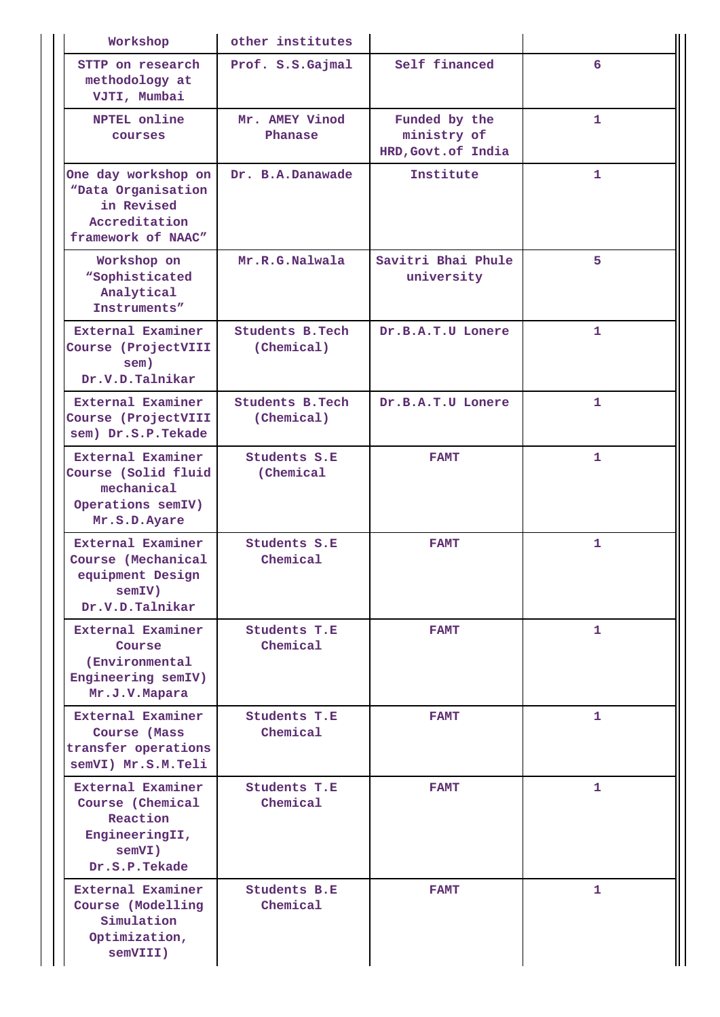| Workshop                                                                                       | other institutes                      |                                                     |              |
|------------------------------------------------------------------------------------------------|---------------------------------------|-----------------------------------------------------|--------------|
| STTP on research<br>methodology at<br>VJTI, Mumbai                                             | Prof. S.S.Gajmal                      | Self financed                                       | 6            |
| NPTEL online<br>courses                                                                        | Mr. AMEY Vinod<br>Phanase             | Funded by the<br>ministry of<br>HRD, Govt. of India | $\mathbf{1}$ |
| One day workshop on<br>"Data Organisation<br>in Revised<br>Accreditation<br>framework of NAAC" | Dr. B.A.Danawade                      | Institute                                           | 1            |
| Workshop on<br><i><b>"Sophisticated</b></i><br>Analytical<br>Instruments"                      | Mr.R.G.Nalwala                        | Savitri Bhai Phule<br>university                    | 5            |
| External Examiner<br>Course (ProjectVIII<br>sem)<br>Dr.V.D.Talnikar                            | <b>Students B. Tech</b><br>(Chemical) | Dr.B.A.T.U Lonere                                   | 1            |
| External Examiner<br>Course (ProjectVIII<br>sem) Dr.S.P.Tekade                                 | <b>Students B. Tech</b><br>(Chemical) | Dr.B.A.T.U Lonere                                   | $\mathbf{1}$ |
| External Examiner<br>Course (Solid fluid<br>mechanical<br>Operations semIV)<br>Mr.S.D.Ayare    | Students S.E<br>(Chemical             | <b>FAMT</b>                                         | 1            |
| External Examiner<br>Course (Mechanical<br>equipment Design<br>semIV)<br>Dr.V.D.Talnikar       | <b>Students S.E</b><br>Chemical       | <b>FAMT</b>                                         | $\mathbf{1}$ |
| External Examiner<br>Course<br>(Environmental<br>Engineering semIV)<br>Mr.J.V.Mapara           | <b>Students T.E</b><br>Chemical       | <b>FAMT</b>                                         | 1            |
| External Examiner<br>Course (Mass<br>transfer operations<br>semVI) Mr.S.M.Teli                 | Students T.E<br>Chemical              | <b>FAMT</b>                                         | 1            |
| External Examiner<br>Course (Chemical<br>Reaction<br>EngineeringII,<br>semVI)<br>Dr.S.P.Tekade | <b>Students T.E</b><br>Chemical       | <b>FAMT</b>                                         | $\mathbf{1}$ |
| External Examiner<br>Course (Modelling<br>Simulation<br>Optimization,<br>semVIII)              | <b>Students B.E</b><br>Chemical       | <b>FAMT</b>                                         | 1            |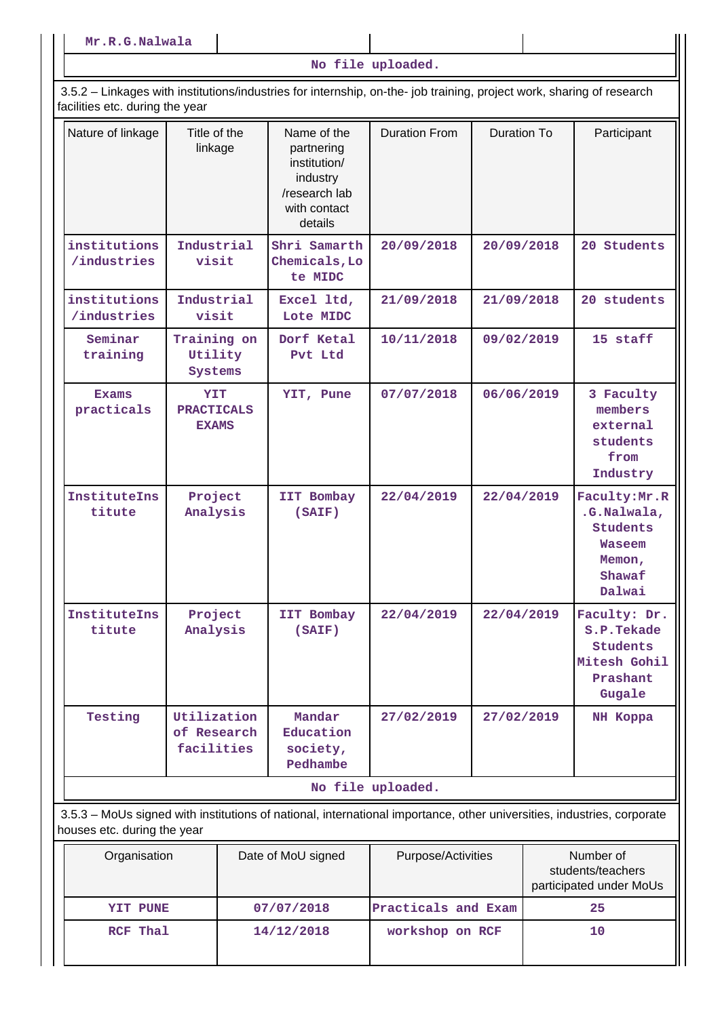**No file uploaded.**

 3.5.2 – Linkages with institutions/industries for internship, on-the- job training, project work, sharing of research facilities etc. during the year

| Nature of linkage           | Title of the<br>linkage                  | Name of the<br>partnering<br>institution/<br>industry<br>/research lab<br>with contact<br>details | <b>Duration From</b> | Duration To | Participant                                                                                     |
|-----------------------------|------------------------------------------|---------------------------------------------------------------------------------------------------|----------------------|-------------|-------------------------------------------------------------------------------------------------|
| institutions<br>/industries | Industrial<br>visit                      | Shri Samarth<br>Chemicals, Lo<br>te MIDC                                                          | 20/09/2018           | 20/09/2018  | 20 Students                                                                                     |
| institutions<br>/industries | Industrial<br>visit                      | Excel ltd,<br>Lote MIDC                                                                           | 21/09/2018           | 21/09/2018  | 20 students                                                                                     |
| Seminar<br>training         | Training on<br>Utility<br>Systems        | Dorf Ketal<br>Pvt Ltd                                                                             | 10/11/2018           | 09/02/2019  | 15 staff                                                                                        |
| <b>Exams</b><br>practicals  | YIT<br><b>PRACTICALS</b><br><b>EXAMS</b> | YIT, Pune                                                                                         | 07/07/2018           | 06/06/2019  | 3 Faculty<br>members<br>external<br>students<br>from<br>Industry                                |
| InstituteIns<br>titute      | Project<br>Analysis                      | IIT Bombay<br>(SAIF)                                                                              | 22/04/2019           | 22/04/2019  | Faculty: Mr. R<br>.G.Nalwala,<br><b>Students</b><br><b>Waseem</b><br>Memon,<br>Shawaf<br>Dalwai |
| InstituteIns<br>titute      | Project<br>Analysis                      | IIT Bombay<br>(SAIF)                                                                              | 22/04/2019           | 22/04/2019  | Faculty: Dr.<br>S.P.Tekade<br><b>Students</b><br>Mitesh Gohil<br>Prashant<br>Gugale             |
| Testing                     | Utilization<br>of Research<br>facilities | Mandar<br>Education<br>society,<br>Pedhambe                                                       | 27/02/2019           | 27/02/2019  | NH Koppa                                                                                        |
|                             |                                          |                                                                                                   | No file uploaded.    |             |                                                                                                 |

 3.5.3 – MoUs signed with institutions of national, international importance, other universities, industries, corporate houses etc. during the year

| Organisation | Date of MoU signed | Purpose/Activities  | Number of<br>students/teachers<br>participated under MoUs |
|--------------|--------------------|---------------------|-----------------------------------------------------------|
| YIT PUNE     | 07/07/2018         | Practicals and Exam | 25                                                        |
| RCF Thal     | 14/12/2018         | workshop on RCF     | 10                                                        |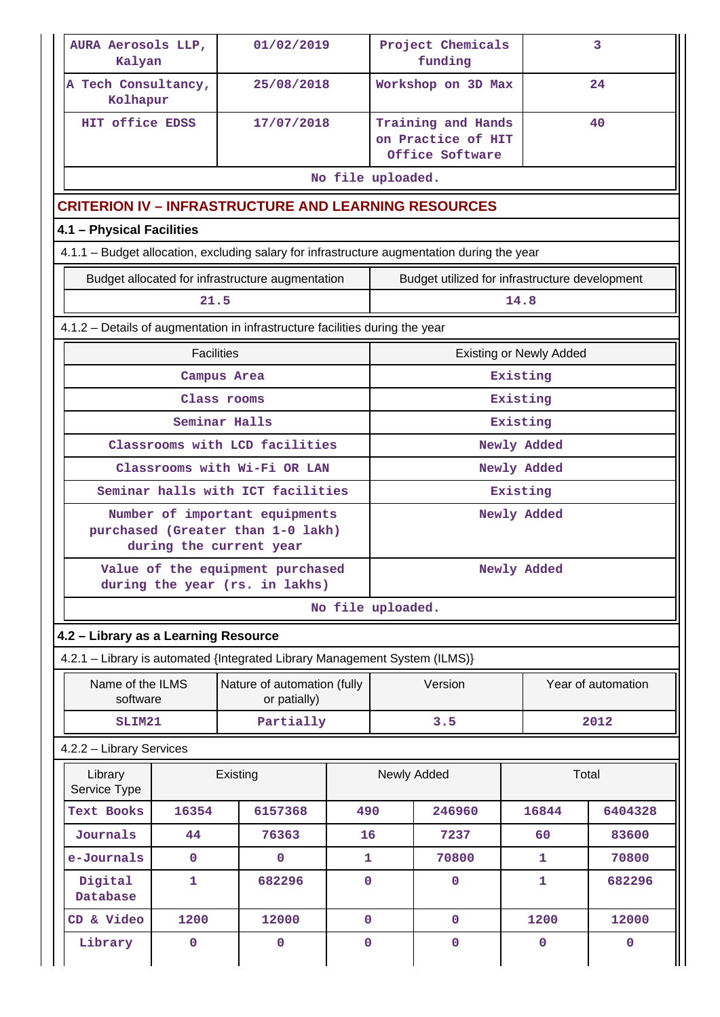| AURA Aerosols LLP,<br>Kalyan                                                                |                   | 01/02/2019                                                                                     |             | Project Chemicals<br>3<br>funding |                                                             |                                |                    |  |
|---------------------------------------------------------------------------------------------|-------------------|------------------------------------------------------------------------------------------------|-------------|-----------------------------------|-------------------------------------------------------------|--------------------------------|--------------------|--|
| A Tech Consultancy,<br>Kolhapur                                                             |                   | 25/08/2018                                                                                     |             |                                   | Workshop on 3D Max                                          |                                | 24                 |  |
| HIT office EDSS                                                                             |                   | 17/07/2018                                                                                     |             |                                   | Training and Hands<br>on Practice of HIT<br>Office Software |                                | 40                 |  |
|                                                                                             |                   |                                                                                                |             | No file uploaded.                 |                                                             |                                |                    |  |
| <b>CRITERION IV - INFRASTRUCTURE AND LEARNING RESOURCES</b>                                 |                   |                                                                                                |             |                                   |                                                             |                                |                    |  |
| 4.1 - Physical Facilities                                                                   |                   |                                                                                                |             |                                   |                                                             |                                |                    |  |
| 4.1.1 - Budget allocation, excluding salary for infrastructure augmentation during the year |                   |                                                                                                |             |                                   |                                                             |                                |                    |  |
|                                                                                             |                   | Budget allocated for infrastructure augmentation                                               |             |                                   | Budget utilized for infrastructure development              |                                |                    |  |
|                                                                                             | 21.5<br>14.8      |                                                                                                |             |                                   |                                                             |                                |                    |  |
| 4.1.2 - Details of augmentation in infrastructure facilities during the year                |                   |                                                                                                |             |                                   |                                                             |                                |                    |  |
|                                                                                             | <b>Facilities</b> |                                                                                                |             |                                   |                                                             | <b>Existing or Newly Added</b> |                    |  |
|                                                                                             | Campus Area       |                                                                                                |             |                                   |                                                             | Existing                       |                    |  |
|                                                                                             | Class rooms       |                                                                                                |             |                                   |                                                             | Existing                       |                    |  |
|                                                                                             |                   | Seminar Halls                                                                                  |             |                                   |                                                             | Existing                       |                    |  |
|                                                                                             |                   | Classrooms with LCD facilities                                                                 |             | Newly Added                       |                                                             |                                |                    |  |
|                                                                                             |                   | Classrooms with Wi-Fi OR LAN                                                                   |             |                                   |                                                             | Newly Added                    |                    |  |
|                                                                                             |                   | Seminar halls with ICT facilities                                                              |             |                                   |                                                             | Existing                       |                    |  |
|                                                                                             |                   | Number of important equipments<br>purchased (Greater than 1-0 lakh)<br>during the current year |             | Newly Added                       |                                                             |                                |                    |  |
|                                                                                             |                   | Value of the equipment purchased<br>during the year (rs. in lakhs)                             |             | Newly Added                       |                                                             |                                |                    |  |
|                                                                                             |                   |                                                                                                |             | No file uploaded.                 |                                                             |                                |                    |  |
| 4.2 - Library as a Learning Resource                                                        |                   |                                                                                                |             |                                   |                                                             |                                |                    |  |
| 4.2.1 - Library is automated {Integrated Library Management System (ILMS)}                  |                   |                                                                                                |             |                                   |                                                             |                                |                    |  |
| Name of the ILMS<br>software                                                                |                   | Nature of automation (fully<br>or patially)                                                    |             |                                   | Version                                                     |                                | Year of automation |  |
| SLIM21                                                                                      |                   | Partially                                                                                      |             |                                   | 3.5                                                         |                                | 2012               |  |
| 4.2.2 - Library Services                                                                    |                   |                                                                                                |             |                                   |                                                             |                                |                    |  |
| Library<br>Service Type                                                                     |                   | Existing                                                                                       |             |                                   | Newly Added                                                 | Total                          |                    |  |
| <b>Text Books</b>                                                                           | 16354             | 6157368                                                                                        | 490         |                                   | 246960                                                      | 16844                          | 6404328            |  |
| Journals                                                                                    | 44                | 76363                                                                                          | 16          |                                   | 7237                                                        | 60                             | 83600              |  |
| e-Journals                                                                                  | $\mathbf{0}$      | 0                                                                                              | 1           |                                   | 70800                                                       | 1                              | 70800              |  |
| Digital<br>Database                                                                         | 1                 | 682296                                                                                         | $\mathbf 0$ |                                   | $\mathbf{O}$                                                | 1                              | 682296             |  |
| CD & Video                                                                                  | 1200              | 12000                                                                                          | $\mathbf 0$ |                                   | $\mathbf 0$                                                 | 1200                           | 12000              |  |
| Library                                                                                     | 0                 | 0                                                                                              | $\mathbf 0$ |                                   | 0                                                           | 0                              | 0                  |  |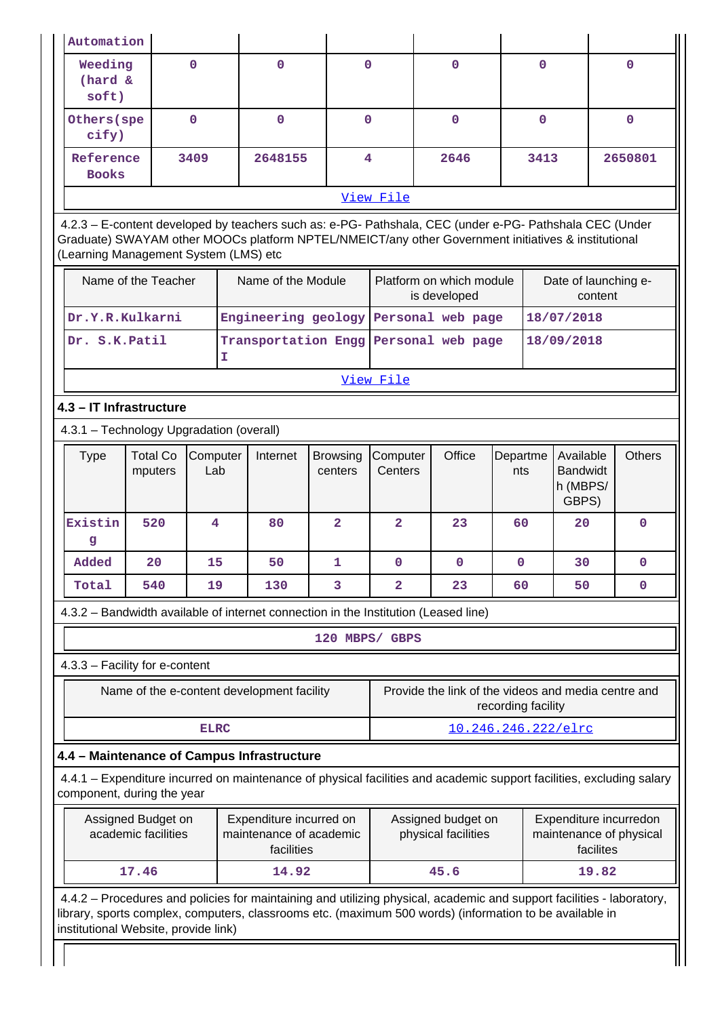| Automation                                                                                                                                                                                                                                                               |                                                                                                                                                                                                                                                         |                 |    |                                                                  |                            |                         |  |                                                     |                 |                                                                    |            |           |                                                   |
|--------------------------------------------------------------------------------------------------------------------------------------------------------------------------------------------------------------------------------------------------------------------------|---------------------------------------------------------------------------------------------------------------------------------------------------------------------------------------------------------------------------------------------------------|-----------------|----|------------------------------------------------------------------|----------------------------|-------------------------|--|-----------------------------------------------------|-----------------|--------------------------------------------------------------------|------------|-----------|---------------------------------------------------|
| Weeding<br>(hard &<br>soft)                                                                                                                                                                                                                                              |                                                                                                                                                                                                                                                         | $\mathbf{0}$    |    | $\mathbf 0$                                                      | $\mathbf 0$                |                         |  | $\mathbf{0}$                                        |                 | $\mathbf{0}$                                                       |            |           | 0                                                 |
| Others (spe<br>cify)                                                                                                                                                                                                                                                     |                                                                                                                                                                                                                                                         | $\mathbf 0$     |    | $\mathbf{O}$                                                     | $\mathbf 0$                |                         |  | $\mathbf{O}$                                        |                 | $\mathbf 0$                                                        |            |           | $\mathbf{0}$                                      |
| Reference<br><b>Books</b>                                                                                                                                                                                                                                                |                                                                                                                                                                                                                                                         | 3409            |    | 2648155                                                          | 4                          |                         |  | 2646                                                |                 | 3413                                                               |            |           | 2650801                                           |
|                                                                                                                                                                                                                                                                          |                                                                                                                                                                                                                                                         |                 |    |                                                                  |                            | View File               |  |                                                     |                 |                                                                    |            |           |                                                   |
|                                                                                                                                                                                                                                                                          | 4.2.3 - E-content developed by teachers such as: e-PG- Pathshala, CEC (under e-PG- Pathshala CEC (Under<br>Graduate) SWAYAM other MOOCs platform NPTEL/NMEICT/any other Government initiatives & institutional<br>(Learning Management System (LMS) etc |                 |    |                                                                  |                            |                         |  |                                                     |                 |                                                                    |            |           |                                                   |
| Name of the Teacher<br>Name of the Module                                                                                                                                                                                                                                |                                                                                                                                                                                                                                                         |                 |    |                                                                  |                            |                         |  | Platform on which module<br>is developed            |                 |                                                                    |            | content   | Date of launching e-                              |
| Dr.Y.R.Kulkarni                                                                                                                                                                                                                                                          |                                                                                                                                                                                                                                                         |                 |    | Engineering geology Personal web page                            |                            |                         |  |                                                     |                 |                                                                    | 18/07/2018 |           |                                                   |
| Dr. S.K.Patil                                                                                                                                                                                                                                                            |                                                                                                                                                                                                                                                         |                 | T. | Transportation Engg Personal web page                            |                            |                         |  |                                                     |                 |                                                                    | 18/09/2018 |           |                                                   |
| View File                                                                                                                                                                                                                                                                |                                                                                                                                                                                                                                                         |                 |    |                                                                  |                            |                         |  |                                                     |                 |                                                                    |            |           |                                                   |
| 4.3 - IT Infrastructure                                                                                                                                                                                                                                                  |                                                                                                                                                                                                                                                         |                 |    |                                                                  |                            |                         |  |                                                     |                 |                                                                    |            |           |                                                   |
| 4.3.1 - Technology Upgradation (overall)                                                                                                                                                                                                                                 |                                                                                                                                                                                                                                                         |                 |    |                                                                  |                            |                         |  |                                                     |                 |                                                                    |            |           |                                                   |
| <b>Type</b>                                                                                                                                                                                                                                                              | <b>Total Co</b><br>mputers                                                                                                                                                                                                                              | Computer<br>Lab |    | Internet                                                         | <b>Browsing</b><br>centers | Computer<br>Centers     |  | Office                                              | Departme<br>nts | <b>Others</b><br>Available<br><b>Bandwidt</b><br>h (MBPS/<br>GBPS) |            |           |                                                   |
| Existin<br>g                                                                                                                                                                                                                                                             | 520                                                                                                                                                                                                                                                     | 4               |    | 80                                                               | $\overline{\mathbf{2}}$    | $\overline{\mathbf{2}}$ |  | 23                                                  | 60              |                                                                    | 20         |           | $\mathbf 0$                                       |
| Added                                                                                                                                                                                                                                                                    | 20                                                                                                                                                                                                                                                      | 15              |    | 50                                                               | 1                          | 0                       |  | 0                                                   | $\mathbf{0}$    |                                                                    | 30         |           | $\mathbf 0$                                       |
| Total                                                                                                                                                                                                                                                                    | 540                                                                                                                                                                                                                                                     | 19              |    | 130                                                              | 3                          | $\overline{\mathbf{2}}$ |  | 23                                                  | 60              |                                                                    | 50         |           | $\mathbf 0$                                       |
| 4.3.2 - Bandwidth available of internet connection in the Institution (Leased line)                                                                                                                                                                                      |                                                                                                                                                                                                                                                         |                 |    |                                                                  |                            |                         |  |                                                     |                 |                                                                    |            |           |                                                   |
|                                                                                                                                                                                                                                                                          |                                                                                                                                                                                                                                                         |                 |    |                                                                  | 120 MBPS/ GBPS             |                         |  |                                                     |                 |                                                                    |            |           |                                                   |
| 4.3.3 - Facility for e-content                                                                                                                                                                                                                                           |                                                                                                                                                                                                                                                         |                 |    |                                                                  |                            |                         |  |                                                     |                 |                                                                    |            |           |                                                   |
|                                                                                                                                                                                                                                                                          |                                                                                                                                                                                                                                                         |                 |    | Name of the e-content development facility                       |                            |                         |  | Provide the link of the videos and media centre and |                 | recording facility                                                 |            |           |                                                   |
|                                                                                                                                                                                                                                                                          |                                                                                                                                                                                                                                                         | <b>ELRC</b>     |    |                                                                  |                            |                         |  | 10.246.246.222/elrc                                 |                 |                                                                    |            |           |                                                   |
| 4.4 - Maintenance of Campus Infrastructure                                                                                                                                                                                                                               |                                                                                                                                                                                                                                                         |                 |    |                                                                  |                            |                         |  |                                                     |                 |                                                                    |            |           |                                                   |
| 4.4.1 - Expenditure incurred on maintenance of physical facilities and academic support facilities, excluding salary<br>component, during the year                                                                                                                       |                                                                                                                                                                                                                                                         |                 |    |                                                                  |                            |                         |  |                                                     |                 |                                                                    |            |           |                                                   |
|                                                                                                                                                                                                                                                                          | Assigned Budget on<br>academic facilities                                                                                                                                                                                                               |                 |    | Expenditure incurred on<br>maintenance of academic<br>facilities |                            |                         |  | Assigned budget on<br>physical facilities           |                 |                                                                    |            | facilites | Expenditure incurredon<br>maintenance of physical |
|                                                                                                                                                                                                                                                                          | 17.46                                                                                                                                                                                                                                                   |                 |    | 14.92                                                            |                            |                         |  | 45.6                                                |                 |                                                                    |            | 19.82     |                                                   |
| 4.4.2 – Procedures and policies for maintaining and utilizing physical, academic and support facilities - laboratory,<br>library, sports complex, computers, classrooms etc. (maximum 500 words) (information to be available in<br>institutional Website, provide link) |                                                                                                                                                                                                                                                         |                 |    |                                                                  |                            |                         |  |                                                     |                 |                                                                    |            |           |                                                   |

 $\perp$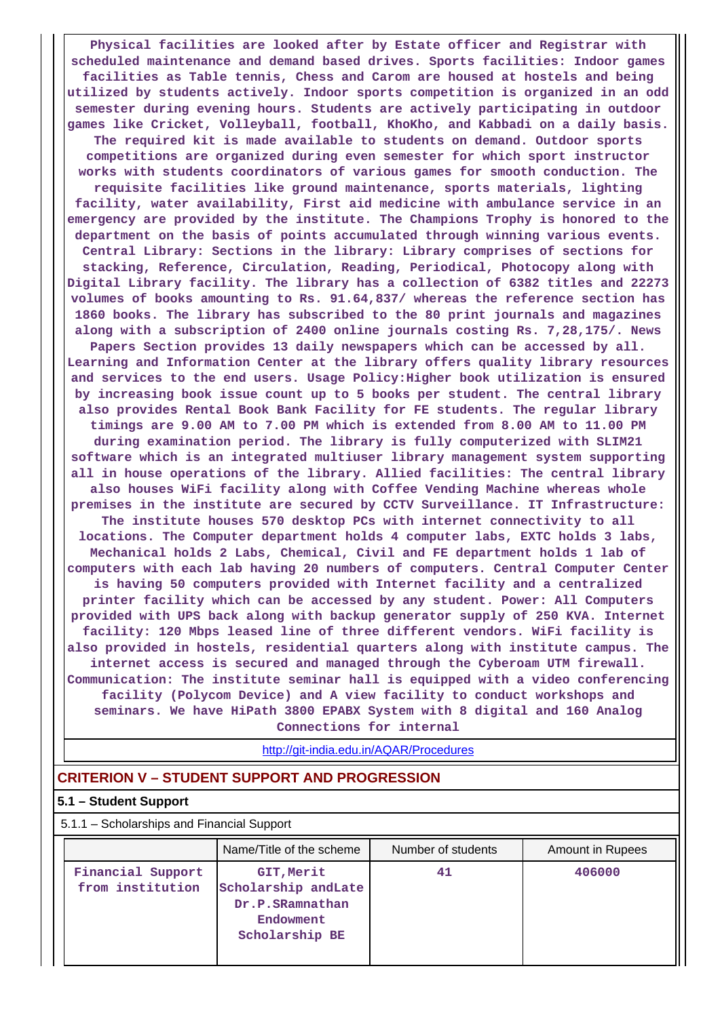**Physical facilities are looked after by Estate officer and Registrar with scheduled maintenance and demand based drives. Sports facilities: Indoor games facilities as Table tennis, Chess and Carom are housed at hostels and being utilized by students actively. Indoor sports competition is organized in an odd semester during evening hours. Students are actively participating in outdoor games like Cricket, Volleyball, football, KhoKho, and Kabbadi on a daily basis. The required kit is made available to students on demand. Outdoor sports competitions are organized during even semester for which sport instructor works with students coordinators of various games for smooth conduction. The requisite facilities like ground maintenance, sports materials, lighting facility, water availability, First aid medicine with ambulance service in an emergency are provided by the institute. The Champions Trophy is honored to the department on the basis of points accumulated through winning various events. Central Library: Sections in the library: Library comprises of sections for stacking, Reference, Circulation, Reading, Periodical, Photocopy along with Digital Library facility. The library has a collection of 6382 titles and 22273 volumes of books amounting to Rs. 91.64,837/ whereas the reference section has 1860 books. The library has subscribed to the 80 print journals and magazines along with a subscription of 2400 online journals costing Rs. 7,28,175/. News Papers Section provides 13 daily newspapers which can be accessed by all. Learning and Information Center at the library offers quality library resources and services to the end users. Usage Policy:Higher book utilization is ensured by increasing book issue count up to 5 books per student. The central library also provides Rental Book Bank Facility for FE students. The regular library timings are 9.00 AM to 7.00 PM which is extended from 8.00 AM to 11.00 PM during examination period. The library is fully computerized with SLIM21 software which is an integrated multiuser library management system supporting all in house operations of the library. Allied facilities: The central library also houses WiFi facility along with Coffee Vending Machine whereas whole premises in the institute are secured by CCTV Surveillance. IT Infrastructure: The institute houses 570 desktop PCs with internet connectivity to all locations. The Computer department holds 4 computer labs, EXTC holds 3 labs, Mechanical holds 2 Labs, Chemical, Civil and FE department holds 1 lab of computers with each lab having 20 numbers of computers. Central Computer Center is having 50 computers provided with Internet facility and a centralized printer facility which can be accessed by any student. Power: All Computers provided with UPS back along with backup generator supply of 250 KVA. Internet facility: 120 Mbps leased line of three different vendors. WiFi facility is also provided in hostels, residential quarters along with institute campus. The internet access is secured and managed through the Cyberoam UTM firewall. Communication: The institute seminar hall is equipped with a video conferencing facility (Polycom Device) and A view facility to conduct workshops and seminars. We have HiPath 3800 EPABX System with 8 digital and 160 Analog Connections for internal**

<http://git-india.edu.in/AQAR/Procedures>

# **CRITERION V – STUDENT SUPPORT AND PROGRESSION**

#### **5.1 – Student Support**

| 5.1.1 - Scholarships and Financial Support |                                                                                     |                    |                  |  |  |  |  |  |
|--------------------------------------------|-------------------------------------------------------------------------------------|--------------------|------------------|--|--|--|--|--|
|                                            | Name/Title of the scheme                                                            | Number of students | Amount in Rupees |  |  |  |  |  |
| Financial Support<br>from institution      | GIT, Merit<br>Scholarship andLate<br>Dr.P.SRamnathan<br>Endowment<br>Scholarship BE | 41                 | 406000           |  |  |  |  |  |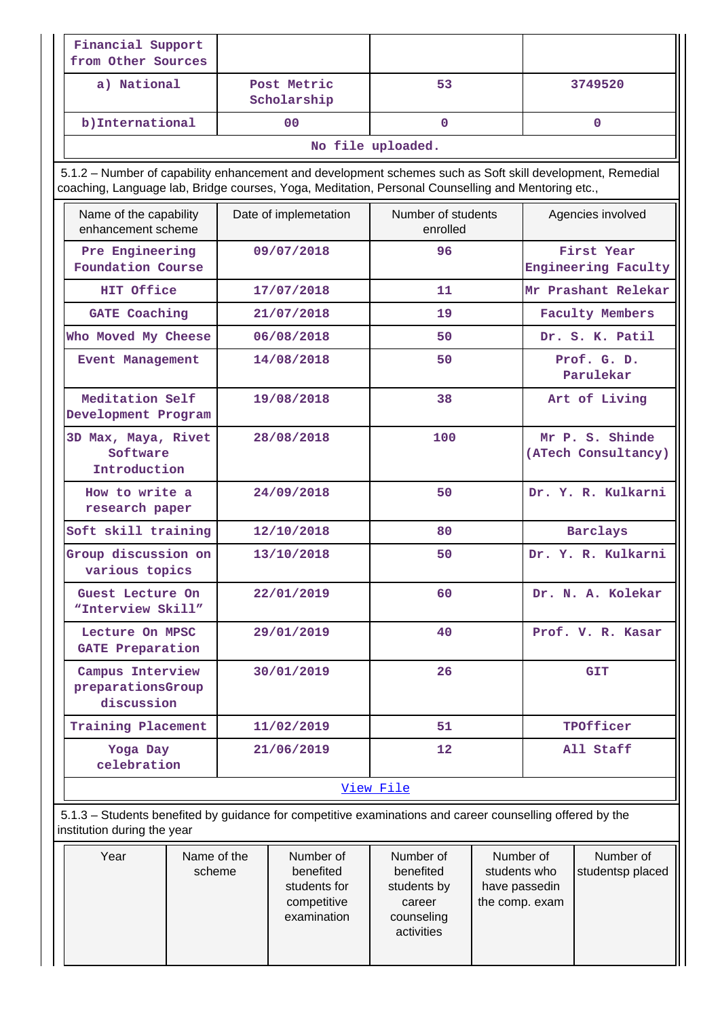| Financial Support<br>from Other Sources                                                                                                                                                                         |  |                                                                      |                                                                             |                                                              |                                        |                                   |
|-----------------------------------------------------------------------------------------------------------------------------------------------------------------------------------------------------------------|--|----------------------------------------------------------------------|-----------------------------------------------------------------------------|--------------------------------------------------------------|----------------------------------------|-----------------------------------|
| a) National                                                                                                                                                                                                     |  | Post Metric<br>Scholarship                                           | 53                                                                          |                                                              |                                        | 3749520                           |
| b) International                                                                                                                                                                                                |  | 00                                                                   | $\mathbf 0$                                                                 |                                                              |                                        | $\mathbf 0$                       |
|                                                                                                                                                                                                                 |  |                                                                      | No file uploaded.                                                           |                                                              |                                        |                                   |
| 5.1.2 - Number of capability enhancement and development schemes such as Soft skill development, Remedial<br>coaching, Language lab, Bridge courses, Yoga, Meditation, Personal Counselling and Mentoring etc., |  |                                                                      |                                                                             |                                                              |                                        |                                   |
| Name of the capability<br>enhancement scheme                                                                                                                                                                    |  | Date of implemetation                                                | Number of students<br>enrolled                                              |                                                              | Agencies involved                      |                                   |
| Pre Engineering<br>Foundation Course                                                                                                                                                                            |  | 09/07/2018                                                           | 96                                                                          |                                                              |                                        | First Year<br>Engineering Faculty |
| HIT Office                                                                                                                                                                                                      |  | 17/07/2018                                                           | 11                                                                          |                                                              |                                        | Mr Prashant Relekar               |
| <b>GATE Coaching</b>                                                                                                                                                                                            |  | 21/07/2018                                                           | 19                                                                          |                                                              |                                        | <b>Faculty Members</b>            |
| Who Moved My Cheese                                                                                                                                                                                             |  | 06/08/2018                                                           | 50                                                                          |                                                              |                                        | Dr. S. K. Patil                   |
| <b>Event Management</b>                                                                                                                                                                                         |  | 14/08/2018                                                           | 50                                                                          |                                                              |                                        | Prof. G. D.<br>Parulekar          |
| Meditation Self<br>Development Program                                                                                                                                                                          |  | 19/08/2018                                                           | 38                                                                          |                                                              |                                        | Art of Living                     |
| 3D Max, Maya, Rivet<br>Software<br>Introduction                                                                                                                                                                 |  | 28/08/2018                                                           | 100                                                                         |                                                              | Mr P. S. Shinde<br>(ATech Consultancy) |                                   |
| How to write a<br>research paper                                                                                                                                                                                |  | 24/09/2018                                                           | 50                                                                          |                                                              |                                        | Dr. Y. R. Kulkarni                |
| Soft skill training                                                                                                                                                                                             |  | 12/10/2018                                                           | 80                                                                          |                                                              | Barclays                               |                                   |
| Group discussion on<br>various topics                                                                                                                                                                           |  | 13/10/2018                                                           | 50                                                                          |                                                              | Dr. Y. R. Kulkarni                     |                                   |
| Guest Lecture On<br>"Interview Skill"                                                                                                                                                                           |  | 22/01/2019                                                           | 60                                                                          |                                                              | Dr. N. A. Kolekar                      |                                   |
| Lecture On MPSC<br><b>GATE Preparation</b>                                                                                                                                                                      |  | 29/01/2019                                                           | 40                                                                          |                                                              |                                        | Prof. V. R. Kasar                 |
| Campus Interview<br>preparationsGroup<br>discussion                                                                                                                                                             |  | 30/01/2019                                                           | 26                                                                          |                                                              |                                        | <b>GIT</b>                        |
| Training Placement                                                                                                                                                                                              |  | 11/02/2019                                                           | 51                                                                          |                                                              |                                        | TPOfficer                         |
| Yoga Day<br>celebration                                                                                                                                                                                         |  | 21/06/2019                                                           | 12                                                                          |                                                              |                                        | All Staff                         |
|                                                                                                                                                                                                                 |  |                                                                      | View File                                                                   |                                                              |                                        |                                   |
| 5.1.3 – Students benefited by guidance for competitive examinations and career counselling offered by the<br>institution during the year                                                                        |  |                                                                      |                                                                             |                                                              |                                        |                                   |
| Year<br>Name of the<br>scheme                                                                                                                                                                                   |  | Number of<br>benefited<br>students for<br>competitive<br>examination | Number of<br>benefited<br>students by<br>career<br>counseling<br>activities | Number of<br>students who<br>have passedin<br>the comp. exam |                                        | Number of<br>studentsp placed     |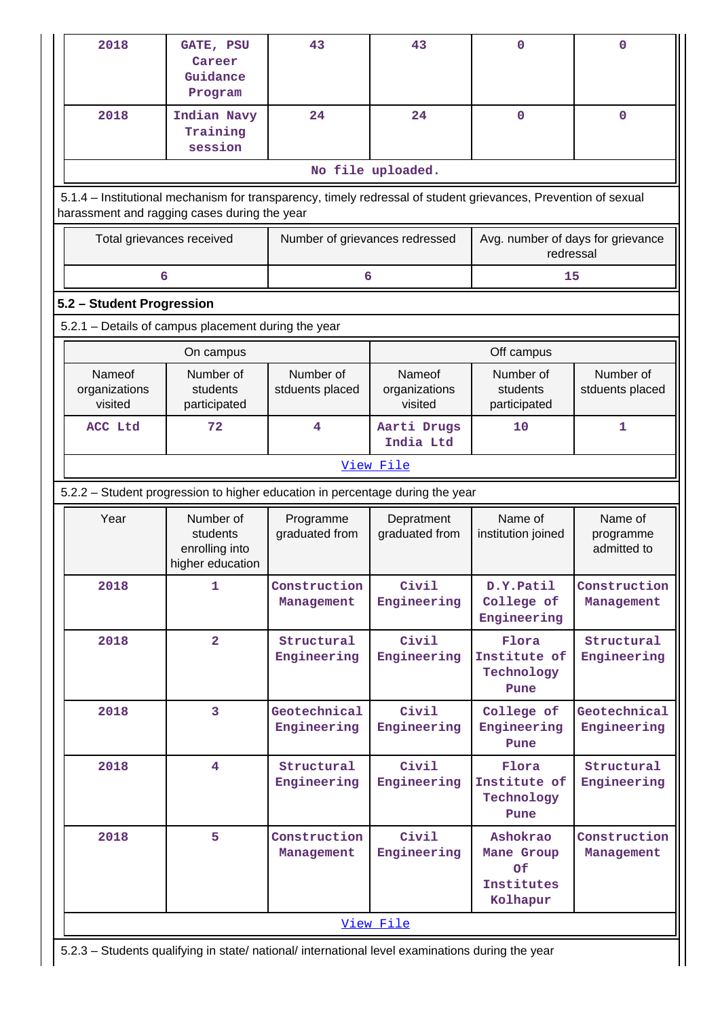| 2018                                                                                                                                                           | GATE, PSU<br>Career<br>Guidance<br>Program                  | 43                                                                            | 43                                 | $\mathbf 0$                                                   | $\mathbf 0$                                                                                             |  |  |  |  |  |
|----------------------------------------------------------------------------------------------------------------------------------------------------------------|-------------------------------------------------------------|-------------------------------------------------------------------------------|------------------------------------|---------------------------------------------------------------|---------------------------------------------------------------------------------------------------------|--|--|--|--|--|
| 2018                                                                                                                                                           | Indian Navy<br>Training<br>session                          | 24                                                                            | 24                                 | $\mathbf 0$                                                   | $\mathbf 0$                                                                                             |  |  |  |  |  |
|                                                                                                                                                                |                                                             |                                                                               | No file uploaded.                  |                                                               |                                                                                                         |  |  |  |  |  |
| 5.1.4 - Institutional mechanism for transparency, timely redressal of student grievances, Prevention of sexual<br>harassment and ragging cases during the year |                                                             |                                                                               |                                    |                                                               |                                                                                                         |  |  |  |  |  |
|                                                                                                                                                                | Total grievances received                                   | Number of grievances redressed                                                |                                    | Avg. number of days for grievance<br>redressal                |                                                                                                         |  |  |  |  |  |
|                                                                                                                                                                | 6                                                           | 6                                                                             |                                    | 15                                                            |                                                                                                         |  |  |  |  |  |
| 5.2 - Student Progression                                                                                                                                      |                                                             |                                                                               |                                    |                                                               |                                                                                                         |  |  |  |  |  |
|                                                                                                                                                                | 5.2.1 - Details of campus placement during the year         |                                                                               |                                    |                                                               |                                                                                                         |  |  |  |  |  |
|                                                                                                                                                                | On campus                                                   |                                                                               |                                    | Off campus                                                    |                                                                                                         |  |  |  |  |  |
| Nameof<br>organizations<br>visited                                                                                                                             | Number of<br>students<br>participated                       | Number of<br>stduents placed                                                  | Nameof<br>organizations<br>visited | Number of<br>students<br>participated                         | Number of<br>stduents placed                                                                            |  |  |  |  |  |
| ACC Ltd                                                                                                                                                        | 72                                                          | 4                                                                             | Aarti Drugs<br>India Ltd           | 10                                                            | $\mathbf{1}$                                                                                            |  |  |  |  |  |
|                                                                                                                                                                |                                                             |                                                                               | View File                          |                                                               |                                                                                                         |  |  |  |  |  |
|                                                                                                                                                                |                                                             | 5.2.2 - Student progression to higher education in percentage during the year |                                    |                                                               |                                                                                                         |  |  |  |  |  |
| Year                                                                                                                                                           | Number of<br>students<br>enrolling into<br>higher education | Programme<br>graduated from                                                   | Depratment<br>graduated from       | Name of<br>institution joined                                 | Name of<br>programme<br>admitted to                                                                     |  |  |  |  |  |
| 2018                                                                                                                                                           |                                                             |                                                                               |                                    |                                                               |                                                                                                         |  |  |  |  |  |
|                                                                                                                                                                | 1                                                           | Construction<br>Management                                                    | Civil<br>Engineering               | D.Y.Patil<br>College of<br>Engineering                        | Management                                                                                              |  |  |  |  |  |
| 2018                                                                                                                                                           | $\overline{\mathbf{2}}$                                     | Structural<br>Engineering                                                     | Civil<br>Engineering               | Flora<br>Institute of<br>Technology<br>Pune                   | Structural                                                                                              |  |  |  |  |  |
| 2018                                                                                                                                                           | 3                                                           | Geotechnical<br>Engineering                                                   | Civil<br>Engineering               | College of<br>Engineering<br>Pune                             |                                                                                                         |  |  |  |  |  |
| 2018                                                                                                                                                           | $\overline{4}$                                              | Structural<br>Engineering                                                     | Civil<br>Engineering               | Flora<br>Institute of<br>Technology<br>Pune                   | Structural                                                                                              |  |  |  |  |  |
| 2018                                                                                                                                                           | 5                                                           | Construction<br>Management                                                    | Civil<br>Engineering               | Ashokrao<br>Mane Group<br><b>Of</b><br>Institutes<br>Kolhapur | Construction<br>Engineering<br>Geotechnical<br>Engineering<br>Engineering<br>Construction<br>Management |  |  |  |  |  |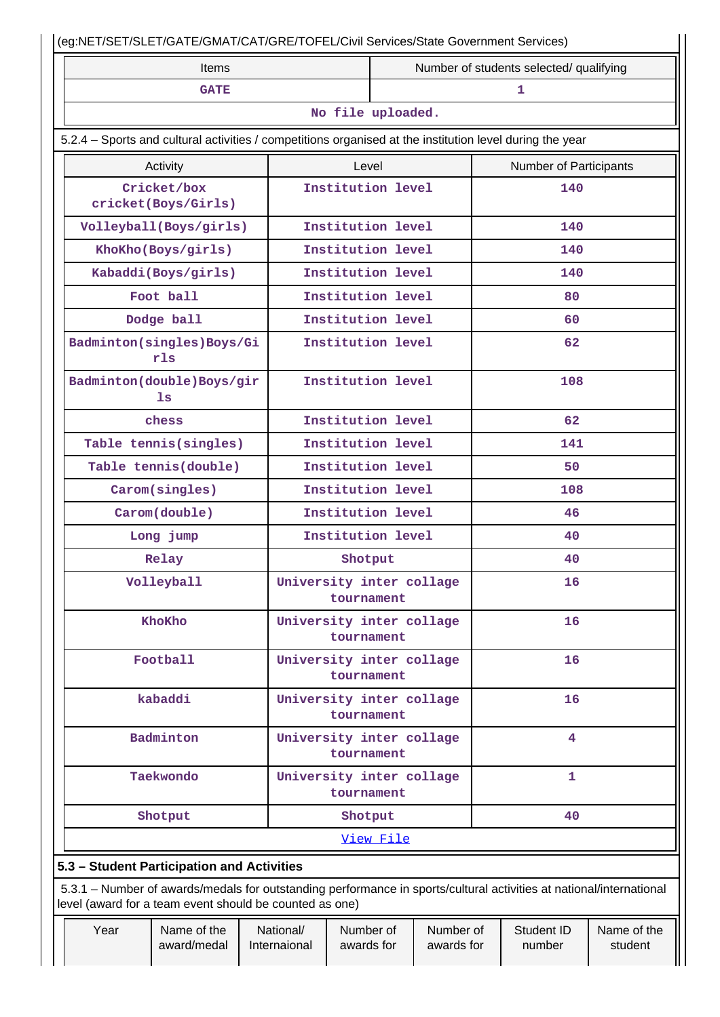|                                                                                                                                                                                | Items                      |                           |                                        |                         | Number of students selected/ qualifying |                               |                        |  |
|--------------------------------------------------------------------------------------------------------------------------------------------------------------------------------|----------------------------|---------------------------|----------------------------------------|-------------------------|-----------------------------------------|-------------------------------|------------------------|--|
|                                                                                                                                                                                | <b>GATE</b>                |                           |                                        |                         |                                         | 1                             |                        |  |
|                                                                                                                                                                                |                            |                           | No file uploaded.                      |                         |                                         |                               |                        |  |
| 5.2.4 – Sports and cultural activities / competitions organised at the institution level during the year                                                                       |                            |                           |                                        |                         |                                         |                               |                        |  |
| Activity                                                                                                                                                                       |                            |                           | Level                                  |                         |                                         | <b>Number of Participants</b> |                        |  |
| Cricket/box<br>cricket(Boys/Girls)                                                                                                                                             |                            |                           | Institution level                      |                         |                                         | 140                           |                        |  |
| Volleyball(Boys/girls)                                                                                                                                                         |                            |                           | Institution level                      |                         |                                         | 140                           |                        |  |
| KhoKho(Boys/girls)                                                                                                                                                             |                            |                           | Institution level                      |                         |                                         | 140                           |                        |  |
| Kabaddi (Boys/girls)                                                                                                                                                           |                            |                           | Institution level                      |                         |                                         | 140                           |                        |  |
| Foot ball                                                                                                                                                                      |                            |                           | Institution level                      |                         |                                         | 80                            |                        |  |
| Dodge ball                                                                                                                                                                     |                            |                           | Institution level                      |                         |                                         | 60                            |                        |  |
| Badminton(singles)Boys/Gi<br>rls                                                                                                                                               |                            |                           | Institution level                      | 62                      |                                         |                               |                        |  |
| Badminton(double)Boys/gir<br>1s                                                                                                                                                |                            |                           | Institution level                      |                         |                                         | 108                           |                        |  |
| chess                                                                                                                                                                          |                            |                           | Institution level                      |                         |                                         | 62                            |                        |  |
| Table tennis(singles)                                                                                                                                                          |                            |                           | Institution level<br>141               |                         |                                         |                               |                        |  |
| Table tennis(double)                                                                                                                                                           |                            |                           | Institution level                      |                         |                                         | 50                            |                        |  |
| Carom(singles)                                                                                                                                                                 |                            |                           | Institution level<br>108               |                         |                                         |                               |                        |  |
| Carom(double)                                                                                                                                                                  |                            |                           | Institution level                      |                         | 46                                      |                               |                        |  |
| Long jump                                                                                                                                                                      |                            |                           | Institution level                      |                         |                                         | 40                            |                        |  |
| Relay                                                                                                                                                                          |                            |                           | Shotput                                |                         |                                         | 40                            |                        |  |
| Volleyball                                                                                                                                                                     |                            |                           | University inter collage<br>tournament |                         |                                         | 16                            |                        |  |
| KhoKho                                                                                                                                                                         |                            |                           | University inter collage<br>tournament |                         |                                         | 16                            |                        |  |
| Football                                                                                                                                                                       |                            |                           | University inter collage<br>tournament |                         |                                         | 16                            |                        |  |
| kabaddi                                                                                                                                                                        |                            |                           | University inter collage<br>tournament |                         |                                         | 16                            |                        |  |
| Badminton                                                                                                                                                                      |                            |                           | University inter collage<br>tournament |                         |                                         | $\overline{4}$                |                        |  |
| Taekwondo                                                                                                                                                                      |                            |                           | University inter collage<br>tournament |                         |                                         | $\mathbf{1}$                  |                        |  |
| Shotput                                                                                                                                                                        |                            |                           | Shotput                                |                         |                                         | 40                            |                        |  |
|                                                                                                                                                                                |                            |                           | View File                              |                         |                                         |                               |                        |  |
| 5.3 - Student Participation and Activities                                                                                                                                     |                            |                           |                                        |                         |                                         |                               |                        |  |
| 5.3.1 – Number of awards/medals for outstanding performance in sports/cultural activities at national/international<br>level (award for a team event should be counted as one) |                            |                           |                                        |                         |                                         |                               |                        |  |
| Year                                                                                                                                                                           | Name of the<br>award/medal | National/<br>Internaional | Number of<br>awards for                | Number of<br>awards for |                                         | Student ID<br>number          | Name of the<br>student |  |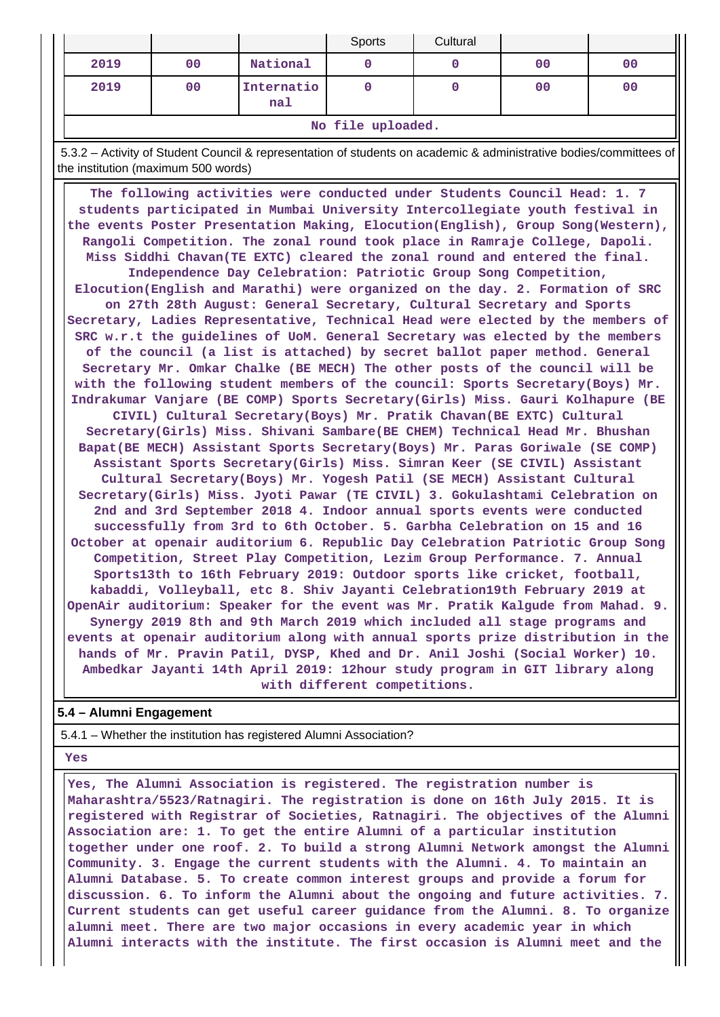|                   |                |                   | Sports | Cultural |                |    |  |  |
|-------------------|----------------|-------------------|--------|----------|----------------|----|--|--|
| 2019              | 00             | National          |        |          | 0 <sup>0</sup> | 00 |  |  |
| 2019              | 0 <sup>0</sup> | Internatio<br>nal |        |          | 0 <sup>0</sup> | 00 |  |  |
| No file uploaded. |                |                   |        |          |                |    |  |  |

 5.3.2 – Activity of Student Council & representation of students on academic & administrative bodies/committees of the institution (maximum 500 words)

 **The following activities were conducted under Students Council Head: 1. 7 students participated in Mumbai University Intercollegiate youth festival in the events Poster Presentation Making, Elocution(English), Group Song(Western), Rangoli Competition. The zonal round took place in Ramraje College, Dapoli. Miss Siddhi Chavan(TE EXTC) cleared the zonal round and entered the final. Independence Day Celebration: Patriotic Group Song Competition, Elocution(English and Marathi) were organized on the day. 2. Formation of SRC on 27th 28th August: General Secretary, Cultural Secretary and Sports Secretary, Ladies Representative, Technical Head were elected by the members of SRC w.r.t the guidelines of UoM. General Secretary was elected by the members of the council (a list is attached) by secret ballot paper method. General Secretary Mr. Omkar Chalke (BE MECH) The other posts of the council will be with the following student members of the council: Sports Secretary(Boys) Mr. Indrakumar Vanjare (BE COMP) Sports Secretary(Girls) Miss. Gauri Kolhapure (BE CIVIL) Cultural Secretary(Boys) Mr. Pratik Chavan(BE EXTC) Cultural Secretary(Girls) Miss. Shivani Sambare(BE CHEM) Technical Head Mr. Bhushan Bapat(BE MECH) Assistant Sports Secretary(Boys) Mr. Paras Goriwale (SE COMP) Assistant Sports Secretary(Girls) Miss. Simran Keer (SE CIVIL) Assistant Cultural Secretary(Boys) Mr. Yogesh Patil (SE MECH) Assistant Cultural Secretary(Girls) Miss. Jyoti Pawar (TE CIVIL) 3. Gokulashtami Celebration on 2nd and 3rd September 2018 4. Indoor annual sports events were conducted successfully from 3rd to 6th October. 5. Garbha Celebration on 15 and 16 October at openair auditorium 6. Republic Day Celebration Patriotic Group Song Competition, Street Play Competition, Lezim Group Performance. 7. Annual Sports13th to 16th February 2019: Outdoor sports like cricket, football, kabaddi, Volleyball, etc 8. Shiv Jayanti Celebration19th February 2019 at OpenAir auditorium: Speaker for the event was Mr. Pratik Kalgude from Mahad. 9. Synergy 2019 8th and 9th March 2019 which included all stage programs and events at openair auditorium along with annual sports prize distribution in the hands of Mr. Pravin Patil, DYSP, Khed and Dr. Anil Joshi (Social Worker) 10. Ambedkar Jayanti 14th April 2019: 12hour study program in GIT library along with different competitions.**

## **5.4 – Alumni Engagement**

5.4.1 – Whether the institution has registered Alumni Association?

 **Yes**

 **Yes, The Alumni Association is registered. The registration number is Maharashtra/5523/Ratnagiri. The registration is done on 16th July 2015. It is registered with Registrar of Societies, Ratnagiri. The objectives of the Alumni Association are: 1. To get the entire Alumni of a particular institution together under one roof. 2. To build a strong Alumni Network amongst the Alumni Community. 3. Engage the current students with the Alumni. 4. To maintain an Alumni Database. 5. To create common interest groups and provide a forum for discussion. 6. To inform the Alumni about the ongoing and future activities. 7. Current students can get useful career guidance from the Alumni. 8. To organize alumni meet. There are two major occasions in every academic year in which Alumni interacts with the institute. The first occasion is Alumni meet and the**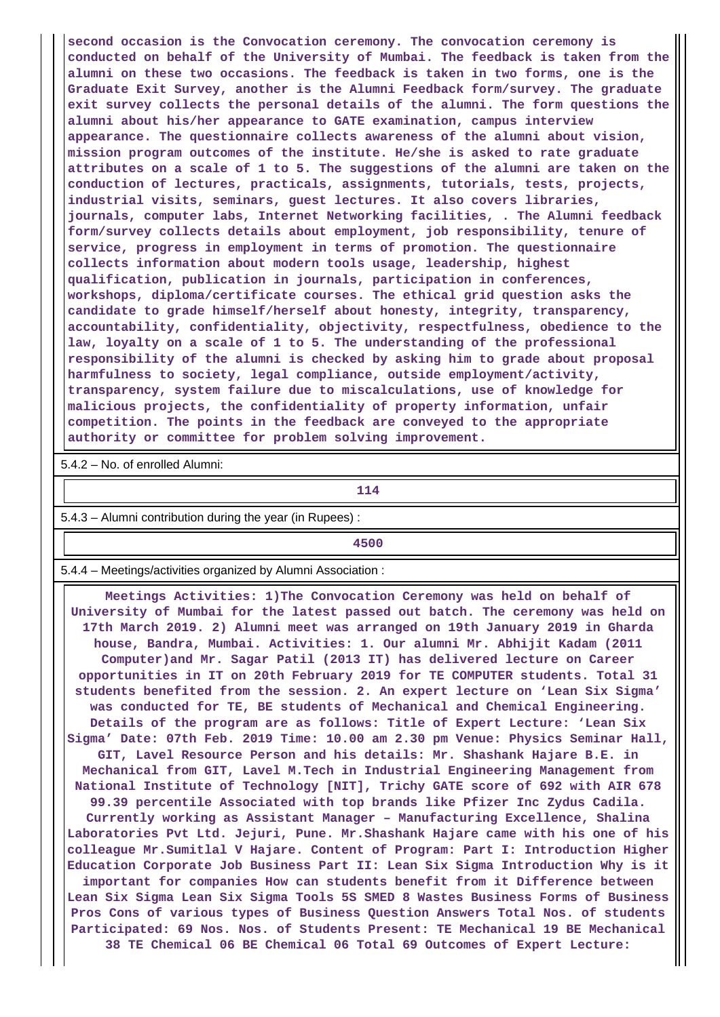**second occasion is the Convocation ceremony. The convocation ceremony is conducted on behalf of the University of Mumbai. The feedback is taken from the alumni on these two occasions. The feedback is taken in two forms, one is the Graduate Exit Survey, another is the Alumni Feedback form/survey. The graduate exit survey collects the personal details of the alumni. The form questions the alumni about his/her appearance to GATE examination, campus interview appearance. The questionnaire collects awareness of the alumni about vision, mission program outcomes of the institute. He/she is asked to rate graduate attributes on a scale of 1 to 5. The suggestions of the alumni are taken on the conduction of lectures, practicals, assignments, tutorials, tests, projects, industrial visits, seminars, guest lectures. It also covers libraries, journals, computer labs, Internet Networking facilities, . The Alumni feedback form/survey collects details about employment, job responsibility, tenure of service, progress in employment in terms of promotion. The questionnaire collects information about modern tools usage, leadership, highest qualification, publication in journals, participation in conferences, workshops, diploma/certificate courses. The ethical grid question asks the candidate to grade himself/herself about honesty, integrity, transparency, accountability, confidentiality, objectivity, respectfulness, obedience to the law, loyalty on a scale of 1 to 5. The understanding of the professional responsibility of the alumni is checked by asking him to grade about proposal harmfulness to society, legal compliance, outside employment/activity, transparency, system failure due to miscalculations, use of knowledge for malicious projects, the confidentiality of property information, unfair competition. The points in the feedback are conveyed to the appropriate authority or committee for problem solving improvement.**

5.4.2 – No. of enrolled Alumni:

**114** 

5.4.3 – Alumni contribution during the year (in Rupees) :

**4500**

5.4.4 – Meetings/activities organized by Alumni Association :

 **Meetings Activities: 1)The Convocation Ceremony was held on behalf of University of Mumbai for the latest passed out batch. The ceremony was held on 17th March 2019. 2) Alumni meet was arranged on 19th January 2019 in Gharda house, Bandra, Mumbai. Activities: 1. Our alumni Mr. Abhijit Kadam (2011 Computer)and Mr. Sagar Patil (2013 IT) has delivered lecture on Career opportunities in IT on 20th February 2019 for TE COMPUTER students. Total 31 students benefited from the session. 2. An expert lecture on 'Lean Six Sigma' was conducted for TE, BE students of Mechanical and Chemical Engineering. Details of the program are as follows: Title of Expert Lecture: 'Lean Six Sigma' Date: 07th Feb. 2019 Time: 10.00 am 2.30 pm Venue: Physics Seminar Hall, GIT, Lavel Resource Person and his details: Mr. Shashank Hajare B.E. in Mechanical from GIT, Lavel M.Tech in Industrial Engineering Management from National Institute of Technology [NIT], Trichy GATE score of 692 with AIR 678 99.39 percentile Associated with top brands like Pfizer Inc Zydus Cadila. Currently working as Assistant Manager – Manufacturing Excellence, Shalina Laboratories Pvt Ltd. Jejuri, Pune. Mr.Shashank Hajare came with his one of his colleague Mr.Sumitlal V Hajare. Content of Program: Part I: Introduction Higher Education Corporate Job Business Part II: Lean Six Sigma Introduction Why is it important for companies How can students benefit from it Difference between Lean Six Sigma Lean Six Sigma Tools 5S SMED 8 Wastes Business Forms of Business Pros Cons of various types of Business Question Answers Total Nos. of students Participated: 69 Nos. Nos. of Students Present: TE Mechanical 19 BE Mechanical 38 TE Chemical 06 BE Chemical 06 Total 69 Outcomes of Expert Lecture:**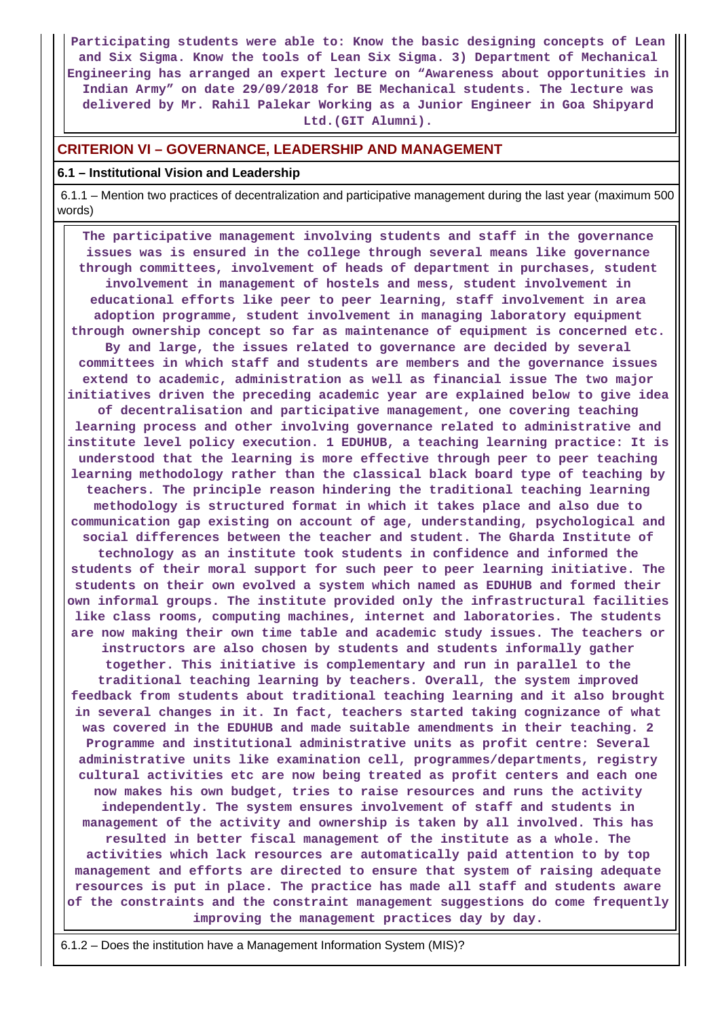**Participating students were able to: Know the basic designing concepts of Lean and Six Sigma. Know the tools of Lean Six Sigma. 3) Department of Mechanical Engineering has arranged an expert lecture on "Awareness about opportunities in Indian Army" on date 29/09/2018 for BE Mechanical students. The lecture was delivered by Mr. Rahil Palekar Working as a Junior Engineer in Goa Shipyard Ltd.(GIT Alumni).**

## **CRITERION VI – GOVERNANCE, LEADERSHIP AND MANAGEMENT**

#### **6.1 – Institutional Vision and Leadership**

 6.1.1 – Mention two practices of decentralization and participative management during the last year (maximum 500 words)

 **The participative management involving students and staff in the governance issues was is ensured in the college through several means like governance through committees, involvement of heads of department in purchases, student involvement in management of hostels and mess, student involvement in educational efforts like peer to peer learning, staff involvement in area adoption programme, student involvement in managing laboratory equipment through ownership concept so far as maintenance of equipment is concerned etc. By and large, the issues related to governance are decided by several committees in which staff and students are members and the governance issues extend to academic, administration as well as financial issue The two major initiatives driven the preceding academic year are explained below to give idea of decentralisation and participative management, one covering teaching learning process and other involving governance related to administrative and institute level policy execution. 1 EDUHUB, a teaching learning practice: It is understood that the learning is more effective through peer to peer teaching learning methodology rather than the classical black board type of teaching by teachers. The principle reason hindering the traditional teaching learning methodology is structured format in which it takes place and also due to communication gap existing on account of age, understanding, psychological and social differences between the teacher and student. The Gharda Institute of technology as an institute took students in confidence and informed the students of their moral support for such peer to peer learning initiative. The students on their own evolved a system which named as EDUHUB and formed their own informal groups. The institute provided only the infrastructural facilities like class rooms, computing machines, internet and laboratories. The students are now making their own time table and academic study issues. The teachers or instructors are also chosen by students and students informally gather together. This initiative is complementary and run in parallel to the traditional teaching learning by teachers. Overall, the system improved feedback from students about traditional teaching learning and it also brought in several changes in it. In fact, teachers started taking cognizance of what was covered in the EDUHUB and made suitable amendments in their teaching. 2 Programme and institutional administrative units as profit centre: Several administrative units like examination cell, programmes/departments, registry cultural activities etc are now being treated as profit centers and each one now makes his own budget, tries to raise resources and runs the activity independently. The system ensures involvement of staff and students in management of the activity and ownership is taken by all involved. This has resulted in better fiscal management of the institute as a whole. The activities which lack resources are automatically paid attention to by top management and efforts are directed to ensure that system of raising adequate resources is put in place. The practice has made all staff and students aware of the constraints and the constraint management suggestions do come frequently improving the management practices day by day.**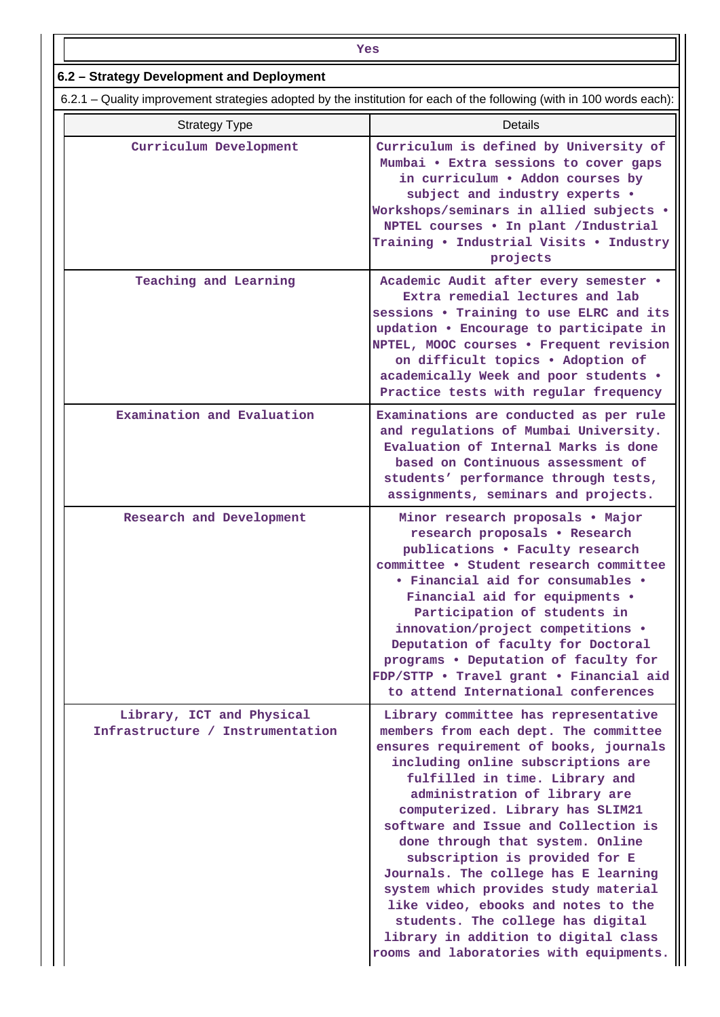| Yes                                                                                                                   |                                                                                                                                                                                                                                                                                                                                                                                                                                                                                                                                                                                                                                   |  |  |  |  |  |  |
|-----------------------------------------------------------------------------------------------------------------------|-----------------------------------------------------------------------------------------------------------------------------------------------------------------------------------------------------------------------------------------------------------------------------------------------------------------------------------------------------------------------------------------------------------------------------------------------------------------------------------------------------------------------------------------------------------------------------------------------------------------------------------|--|--|--|--|--|--|
| 6.2 - Strategy Development and Deployment                                                                             |                                                                                                                                                                                                                                                                                                                                                                                                                                                                                                                                                                                                                                   |  |  |  |  |  |  |
| 6.2.1 – Quality improvement strategies adopted by the institution for each of the following (with in 100 words each): |                                                                                                                                                                                                                                                                                                                                                                                                                                                                                                                                                                                                                                   |  |  |  |  |  |  |
| <b>Strategy Type</b>                                                                                                  | <b>Details</b>                                                                                                                                                                                                                                                                                                                                                                                                                                                                                                                                                                                                                    |  |  |  |  |  |  |
| Curriculum Development                                                                                                | Curriculum is defined by University of<br>Mumbai . Extra sessions to cover gaps<br>in curriculum . Addon courses by<br>subject and industry experts .<br>Workshops/seminars in allied subjects .<br>NPTEL courses . In plant / Industrial<br>Training . Industrial Visits . Industry<br>projects                                                                                                                                                                                                                                                                                                                                  |  |  |  |  |  |  |
| Teaching and Learning                                                                                                 | Academic Audit after every semester .<br>Extra remedial lectures and lab<br>sessions . Training to use ELRC and its<br>updation . Encourage to participate in<br>NPTEL, MOOC courses . Frequent revision<br>on difficult topics . Adoption of<br>academically Week and poor students .<br>Practice tests with regular frequency                                                                                                                                                                                                                                                                                                   |  |  |  |  |  |  |
| Examination and Evaluation                                                                                            | Examinations are conducted as per rule<br>and regulations of Mumbai University.<br>Evaluation of Internal Marks is done<br>based on Continuous assessment of<br>students' performance through tests,<br>assignments, seminars and projects.                                                                                                                                                                                                                                                                                                                                                                                       |  |  |  |  |  |  |
| Research and Development                                                                                              | Minor research proposals . Major<br>research proposals . Research<br>publications . Faculty research<br>committee . Student research committee<br>• Financial aid for consumables •<br>Financial aid for equipments .<br>Participation of students in<br>innovation/project competitions .<br>Deputation of faculty for Doctoral<br>programs . Deputation of faculty for<br>FDP/STTP . Travel grant . Financial aid<br>to attend International conferences                                                                                                                                                                        |  |  |  |  |  |  |
| Library, ICT and Physical<br>Infrastructure / Instrumentation                                                         | Library committee has representative<br>members from each dept. The committee<br>ensures requirement of books, journals<br>including online subscriptions are<br>fulfilled in time. Library and<br>administration of library are<br>computerized. Library has SLIM21<br>software and Issue and Collection is<br>done through that system. Online<br>subscription is provided for E<br>Journals. The college has E learning<br>system which provides study material<br>like video, ebooks and notes to the<br>students. The college has digital<br>library in addition to digital class<br>rooms and laboratories with equipments. |  |  |  |  |  |  |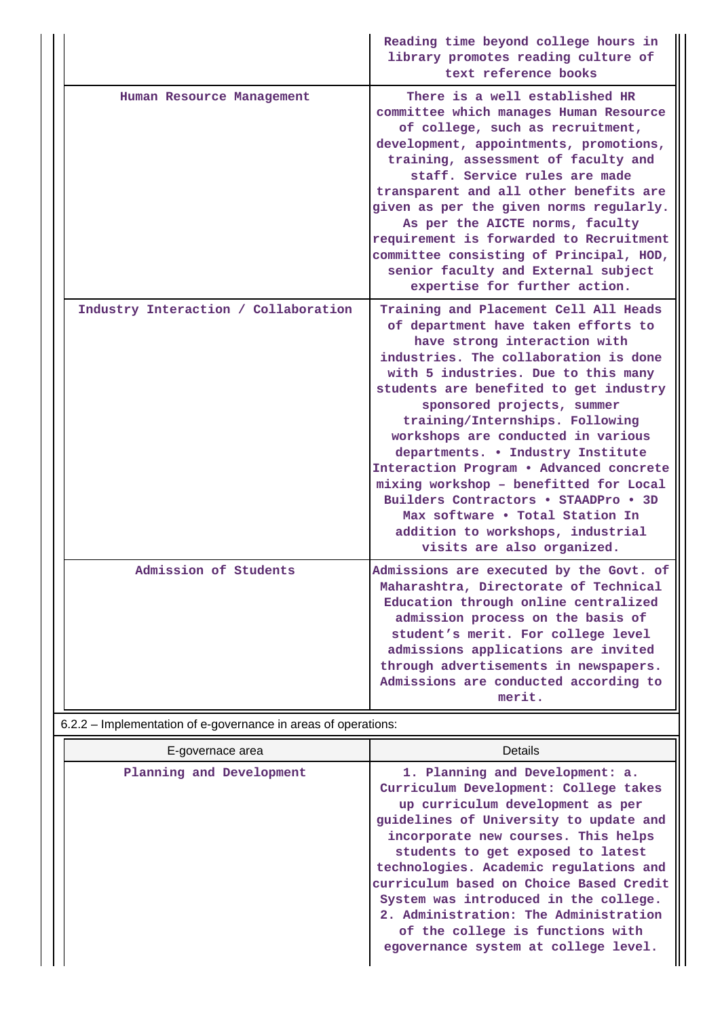|                                      | Reading time beyond college hours in<br>library promotes reading culture of<br>text reference books                                                                                                                                                                                                                                                                                                                                                                                                                                                                                                                   |
|--------------------------------------|-----------------------------------------------------------------------------------------------------------------------------------------------------------------------------------------------------------------------------------------------------------------------------------------------------------------------------------------------------------------------------------------------------------------------------------------------------------------------------------------------------------------------------------------------------------------------------------------------------------------------|
| Human Resource Management            | There is a well established HR<br>committee which manages Human Resource<br>of college, such as recruitment,<br>development, appointments, promotions,<br>training, assessment of faculty and<br>staff. Service rules are made<br>transparent and all other benefits are<br>given as per the given norms regularly.<br>As per the AICTE norms, faculty<br>requirement is forwarded to Recruitment<br>committee consisting of Principal, HOD,<br>senior faculty and External subject<br>expertise for further action.                                                                                                  |
| Industry Interaction / Collaboration | Training and Placement Cell All Heads<br>of department have taken efforts to<br>have strong interaction with<br>industries. The collaboration is done<br>with 5 industries. Due to this many<br>students are benefited to get industry<br>sponsored projects, summer<br>training/Internships. Following<br>workshops are conducted in various<br>departments. . Industry Institute<br>Interaction Program . Advanced concrete<br>mixing workshop - benefitted for Local<br>Builders Contractors . STAADPro . 3D<br>Max software . Total Station In<br>addition to workshops, industrial<br>visits are also organized. |
| Admission of Students                | Admissions are executed by the Govt. of<br>Maharashtra, Directorate of Technical<br>Education through online centralized<br>admission process on the basis of<br>student's merit. For college level<br>admissions applications are invited<br>through advertisements in newspapers.<br>Admissions are conducted according to<br>merit.                                                                                                                                                                                                                                                                                |

# 6.2.2 – Implementation of e-governance in areas of operations:

| E-governace area         | <b>Details</b>                                                                                                                                                                                                                                                                                                                                                                                                                                                                        |
|--------------------------|---------------------------------------------------------------------------------------------------------------------------------------------------------------------------------------------------------------------------------------------------------------------------------------------------------------------------------------------------------------------------------------------------------------------------------------------------------------------------------------|
| Planning and Development | 1. Planning and Development: a.<br>Curriculum Development: College takes<br>up curriculum development as per<br>guidelines of University to update and<br>incorporate new courses. This helps<br>students to get exposed to latest<br>technologies. Academic regulations and<br>curriculum based on Choice Based Credit<br>System was introduced in the college.<br>2. Administration: The Administration<br>of the college is functions with<br>egovernance system at college level. |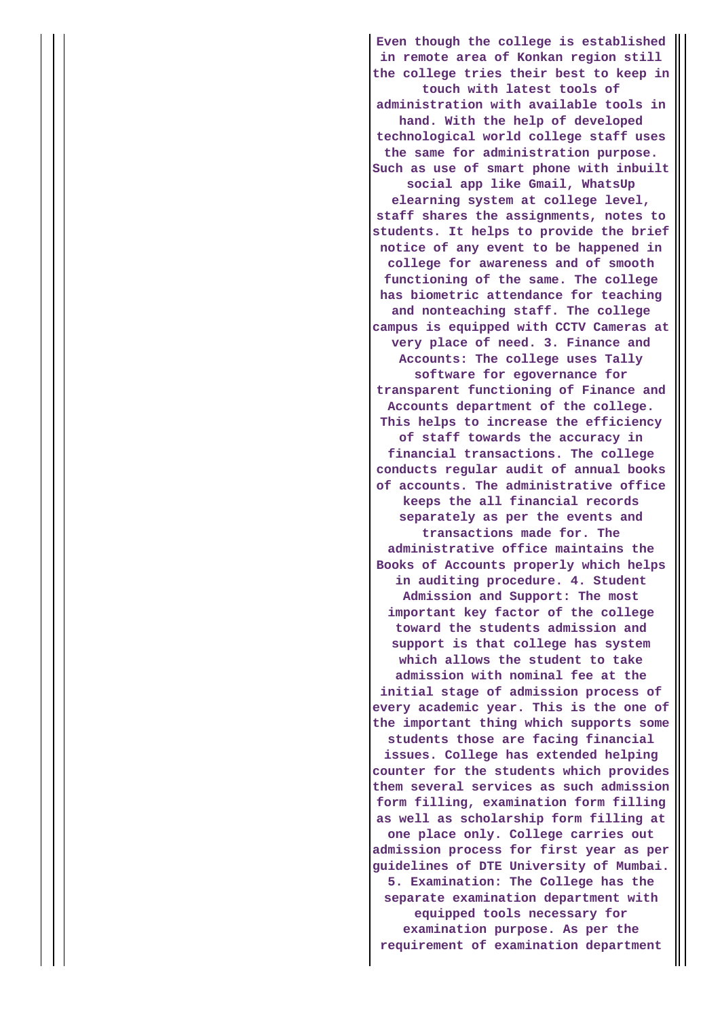**Even though the college is established in remote area of Konkan region still the college tries their best to keep in touch with latest tools of administration with available tools in hand. With the help of developed technological world college staff uses the same for administration purpose. Such as use of smart phone with inbuilt social app like Gmail, WhatsUp elearning system at college level, staff shares the assignments, notes to students. It helps to provide the brief notice of any event to be happened in college for awareness and of smooth functioning of the same. The college has biometric attendance for teaching and nonteaching staff. The college campus is equipped with CCTV Cameras at very place of need. 3. Finance and Accounts: The college uses Tally software for egovernance for transparent functioning of Finance and Accounts department of the college. This helps to increase the efficiency of staff towards the accuracy in financial transactions. The college conducts regular audit of annual books of accounts. The administrative office keeps the all financial records separately as per the events and transactions made for. The administrative office maintains the Books of Accounts properly which helps in auditing procedure. 4. Student Admission and Support: The most important key factor of the college toward the students admission and support is that college has system which allows the student to take admission with nominal fee at the initial stage of admission process of every academic year. This is the one of the important thing which supports some students those are facing financial issues. College has extended helping counter for the students which provides them several services as such admission form filling, examination form filling as well as scholarship form filling at one place only. College carries out admission process for first year as per guidelines of DTE University of Mumbai. 5. Examination: The College has the separate examination department with equipped tools necessary for examination purpose. As per the requirement of examination department**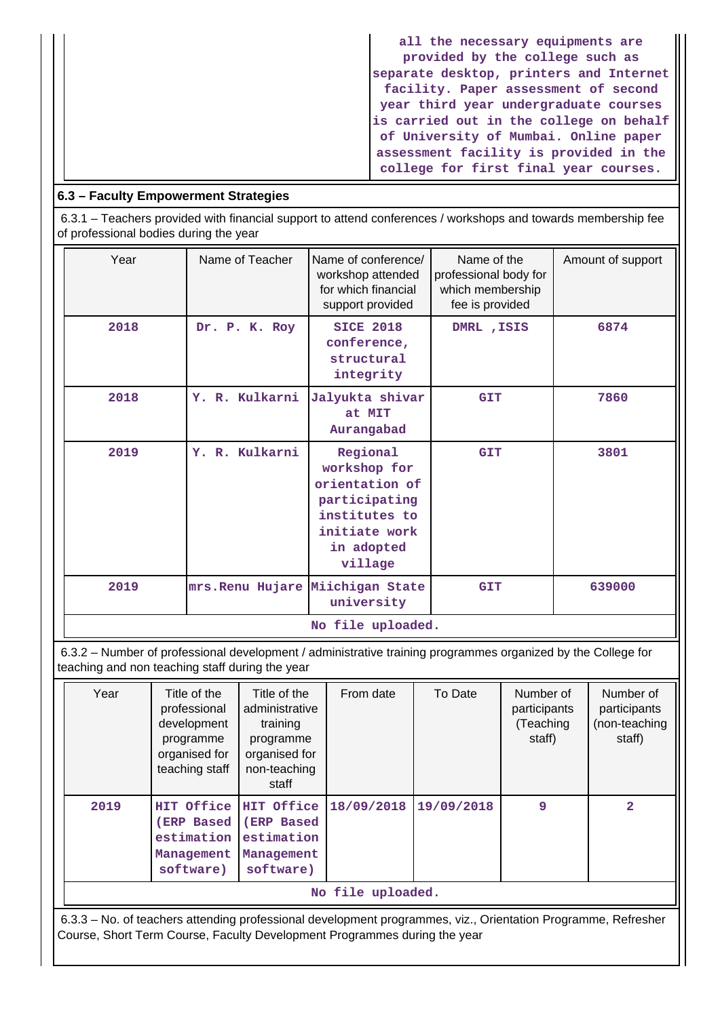**all the necessary equipments are provided by the college such as separate desktop, printers and Internet facility. Paper assessment of second year third year undergraduate courses is carried out in the college on behalf of University of Mumbai. Online paper assessment facility is provided in the college for first final year courses.**

# **6.3 – Faculty Empowerment Strategies**

 6.3.1 – Teachers provided with financial support to attend conferences / workshops and towards membership fee of professional bodies during the year

| Year | Name of Teacher                  | Name of conference/<br>workshop attended<br>for which financial<br>support provided                                    | Name of the<br>professional body for<br>which membership<br>fee is provided | Amount of support |
|------|----------------------------------|------------------------------------------------------------------------------------------------------------------------|-----------------------------------------------------------------------------|-------------------|
| 2018 | Dr. P. K. Roy                    | <b>SICE 2018</b><br>conference,<br>structural<br>integrity                                                             | DMRL , ISIS                                                                 | 6874              |
| 2018 | Y. R. Kulkarni                   | Jalyukta shivar<br>at MIT<br>Aurangabad                                                                                | <b>GIT</b>                                                                  | 7860              |
| 2019 | Y. R. Kulkarni                   | Regional<br>workshop for<br>orientation of<br>participating<br>institutes to<br>initiate work<br>in adopted<br>village | <b>GIT</b>                                                                  | 3801              |
| 2019 | mrs. Renu Hujare Miichigan State | university                                                                                                             | <b>GIT</b>                                                                  | 639000            |
|      |                                  | No file uploaded.                                                                                                      |                                                                             |                   |

 6.3.2 – Number of professional development / administrative training programmes organized by the College for teaching and non teaching staff during the year

| Year              | Title of the<br>professional<br>development<br>programme<br>organised for<br>teaching staff | Title of the<br>administrative<br>training<br>programme<br>organised for<br>non-teaching<br>staff | From date  | To Date    | Number of<br>participants<br>(Teaching<br>staff) | Number of<br>participants<br>(non-teaching<br>staff) |  |
|-------------------|---------------------------------------------------------------------------------------------|---------------------------------------------------------------------------------------------------|------------|------------|--------------------------------------------------|------------------------------------------------------|--|
| 2019              | HIT Office<br><b>(ERP Based</b><br>estimation<br>Management<br>software)                    | HIT Office<br>(ERP Based<br>estimation<br>Management<br>software)                                 | 18/09/2018 | 19/09/2018 | 9                                                | $\overline{a}$                                       |  |
| No file uploaded. |                                                                                             |                                                                                                   |            |            |                                                  |                                                      |  |

 6.3.3 – No. of teachers attending professional development programmes, viz., Orientation Programme, Refresher Course, Short Term Course, Faculty Development Programmes during the year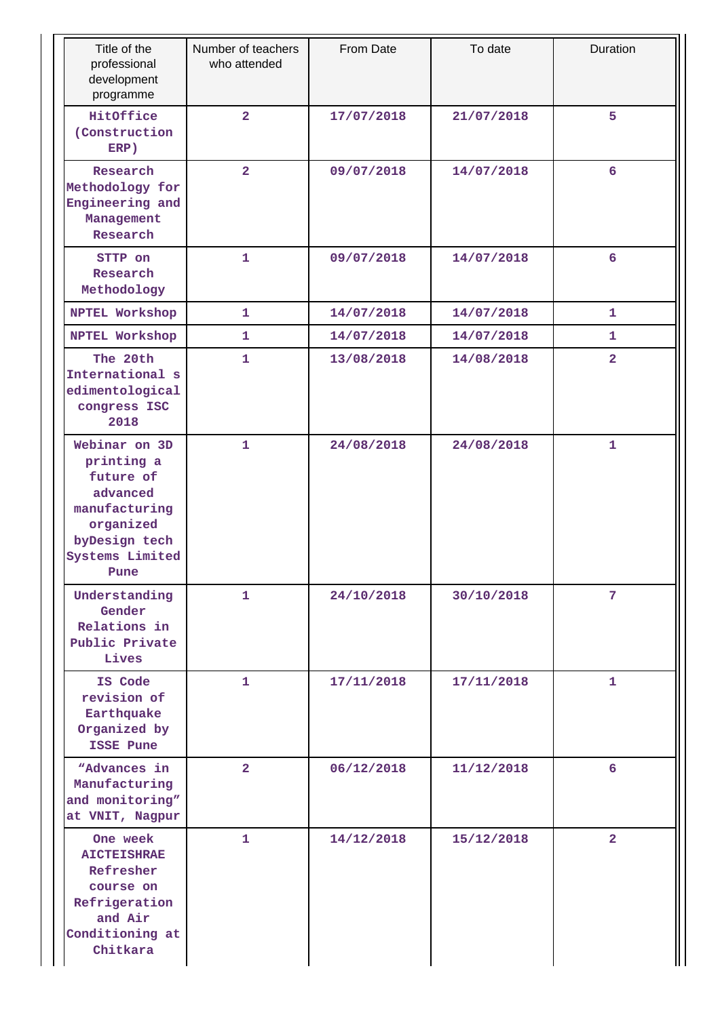| Title of the<br>professional<br>development<br>programme                                                                       | Number of teachers<br>who attended | From Date  | To date    | Duration        |
|--------------------------------------------------------------------------------------------------------------------------------|------------------------------------|------------|------------|-----------------|
| HitOffice<br>(Construction<br>ERP)                                                                                             | $\overline{2}$                     | 17/07/2018 | 21/07/2018 | 5               |
| Research<br>Methodology for<br>Engineering and<br>Management<br>Research                                                       | $\overline{2}$                     | 09/07/2018 | 14/07/2018 | 6               |
| STTP on<br>Research<br>Methodology                                                                                             | $\mathbf{1}$                       | 09/07/2018 | 14/07/2018 | $6\overline{6}$ |
| NPTEL Workshop                                                                                                                 | 1                                  | 14/07/2018 | 14/07/2018 | 1               |
| NPTEL Workshop                                                                                                                 | $\mathbf{1}$                       | 14/07/2018 | 14/07/2018 | 1               |
| The 20th<br>International s<br>edimentological<br>congress ISC<br>2018                                                         | 1                                  | 13/08/2018 | 14/08/2018 | $\overline{a}$  |
| Webinar on 3D<br>printing a<br>future of<br>advanced<br>manufacturing<br>organized<br>byDesign tech<br>Systems Limited<br>Pune | 1                                  | 24/08/2018 | 24/08/2018 | 1               |
| Understanding<br>Gender<br>Relations in<br>Public Private<br>Lives                                                             | 1                                  | 24/10/2018 | 30/10/2018 | 7               |
| IS Code<br>revision of<br>Earthquake<br>Organized by<br>ISSE Pune                                                              | $\mathbf{1}$                       | 17/11/2018 | 17/11/2018 | 1               |
| "Advances in<br>Manufacturing<br>and monitoring"<br>at VNIT, Nagpur                                                            | $\overline{2}$                     | 06/12/2018 | 11/12/2018 | 6               |
| One week<br><b>AICTEISHRAE</b><br>Refresher<br>course on<br>Refrigeration<br>and Air<br>Conditioning at<br>Chitkara            | $\mathbf{1}$                       | 14/12/2018 | 15/12/2018 | $\overline{2}$  |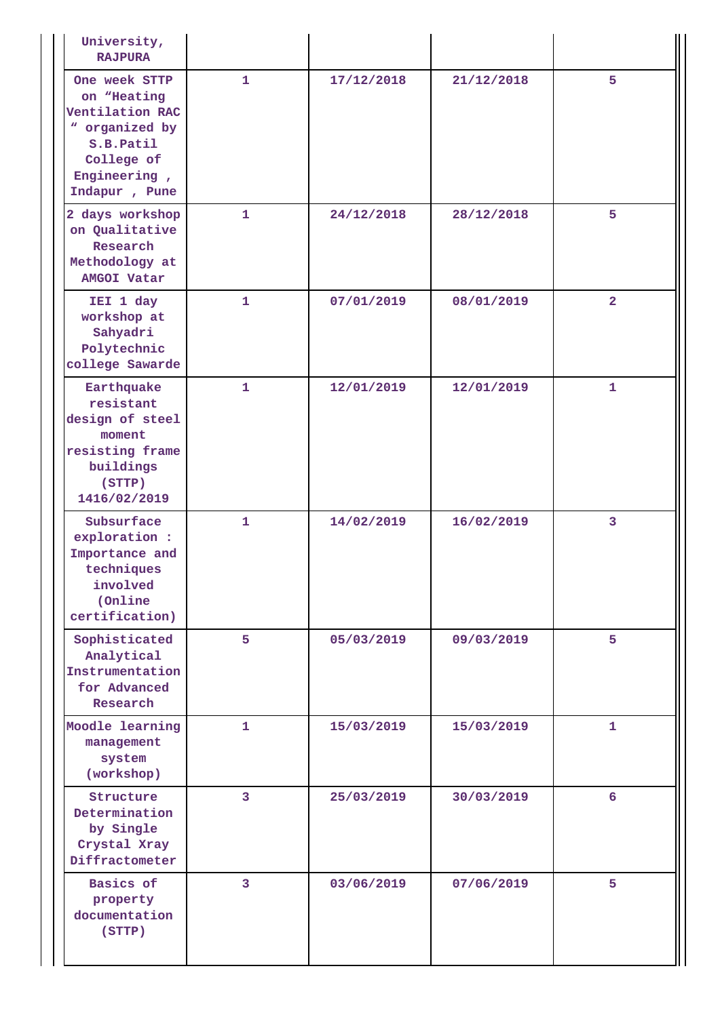| University,<br><b>RAJPURA</b>                                                                                                 |                |            |            |                 |
|-------------------------------------------------------------------------------------------------------------------------------|----------------|------------|------------|-----------------|
| One week STTP<br>on "Heating<br>Ventilation RAC<br>" organized by<br>S.B.Patil<br>College of<br>Engineering,<br>Indapur, Pune | $\mathbf{1}$   | 17/12/2018 | 21/12/2018 | 5               |
| 2 days workshop<br>on Qualitative<br>Research<br>Methodology at<br><b>AMGOI Vatar</b>                                         | 1              | 24/12/2018 | 28/12/2018 | 5               |
| IEI 1 day<br>workshop at<br>Sahyadri<br>Polytechnic<br>college Sawarde                                                        | 1              | 07/01/2019 | 08/01/2019 | $\mathbf{2}$    |
| Earthquake<br>resistant<br>design of steel<br>moment<br>resisting frame<br>buildings<br>(STTP)<br>1416/02/2019                | 1              | 12/01/2019 | 12/01/2019 | 1               |
| Subsurface<br>exploration :<br>Importance and<br>techniques<br>involved<br>(Online)<br>certification)                         | 1              | 14/02/2019 | 16/02/2019 | 3               |
| Sophisticated<br>Analytical<br>Instrumentation<br>for Advanced<br>Research                                                    | 5              | 05/03/2019 | 09/03/2019 | 5               |
| Moodle learning<br>management<br>system<br>(workshop)                                                                         | 1              | 15/03/2019 | 15/03/2019 | $\mathbf{1}$    |
| Structure<br>Determination<br>by Single<br>Crystal Xray<br>Diffractometer                                                     | 3              | 25/03/2019 | 30/03/2019 | $6\overline{6}$ |
| Basics of<br>property<br>documentation<br>(STTP)                                                                              | $\overline{3}$ | 03/06/2019 | 07/06/2019 | 5               |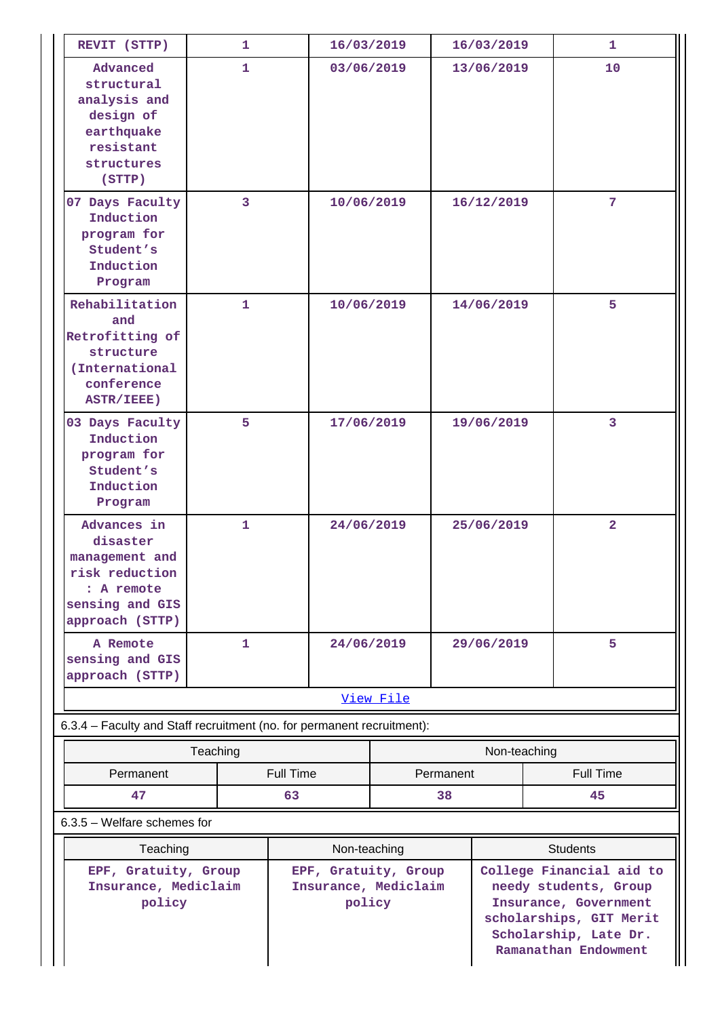| REVIT (STTP)                                                                                                    | 1.           |                  | 16/03/2019                                                             |            | 16/03/2019                                                                                                                                             |              | 1 |                 |
|-----------------------------------------------------------------------------------------------------------------|--------------|------------------|------------------------------------------------------------------------|------------|--------------------------------------------------------------------------------------------------------------------------------------------------------|--------------|---|-----------------|
| Advanced<br>structural<br>analysis and<br>design of<br>earthquake<br>resistant<br>structures<br>(STTP)          | $\mathbf{1}$ |                  | 03/06/2019                                                             |            | 13/06/2019                                                                                                                                             |              |   | 10              |
| 07 Days Faculty<br>Induction<br>program for<br>Student's<br>Induction<br>Program                                | 3            |                  | 10/06/2019                                                             |            |                                                                                                                                                        | 16/12/2019   |   | 7               |
| Rehabilitation<br>and<br>Retrofitting of<br>structure<br>(International<br>conference<br>ASTR/IEEE)             | 1            |                  | 10/06/2019                                                             |            |                                                                                                                                                        | 14/06/2019   |   | 5               |
| 03 Days Faculty<br>Induction<br>program for<br>Student's<br>Induction<br>Program                                | 5            |                  | 17/06/2019                                                             |            | 19/06/2019                                                                                                                                             |              |   | 3               |
| Advances in<br>disaster<br>management and<br>risk reduction<br>: A remote<br>sensing and GIS<br>approach (STTP) | $\mathbf{1}$ |                  | 24/06/2019                                                             |            |                                                                                                                                                        | 25/06/2019   |   | $\overline{2}$  |
| A Remote<br>sensing and GIS<br>approach (STTP)                                                                  | 1            |                  | 24/06/2019                                                             | 29/06/2019 |                                                                                                                                                        |              | 5 |                 |
|                                                                                                                 |              |                  |                                                                        | View File  |                                                                                                                                                        |              |   |                 |
| 6.3.4 - Faculty and Staff recruitment (no. for permanent recruitment):                                          |              |                  |                                                                        |            |                                                                                                                                                        |              |   |                 |
|                                                                                                                 | Teaching     |                  |                                                                        |            |                                                                                                                                                        | Non-teaching |   |                 |
| Permanent                                                                                                       |              | <b>Full Time</b> |                                                                        |            | Permanent                                                                                                                                              |              |   | Full Time       |
| 47                                                                                                              |              | 63               |                                                                        |            | 38                                                                                                                                                     |              |   | 45              |
| $6.3.5$ – Welfare schemes for                                                                                   |              |                  |                                                                        |            |                                                                                                                                                        |              |   |                 |
| Teaching                                                                                                        |              |                  |                                                                        |            |                                                                                                                                                        |              |   | <b>Students</b> |
| EPF, Gratuity, Group<br>Insurance, Mediclaim<br>policy                                                          |              |                  | Non-teaching<br>EPF, Gratuity, Group<br>Insurance, Mediclaim<br>policy |            | College Financial aid to<br>needy students, Group<br>Insurance, Government<br>scholarships, GIT Merit<br>Scholarship, Late Dr.<br>Ramanathan Endowment |              |   |                 |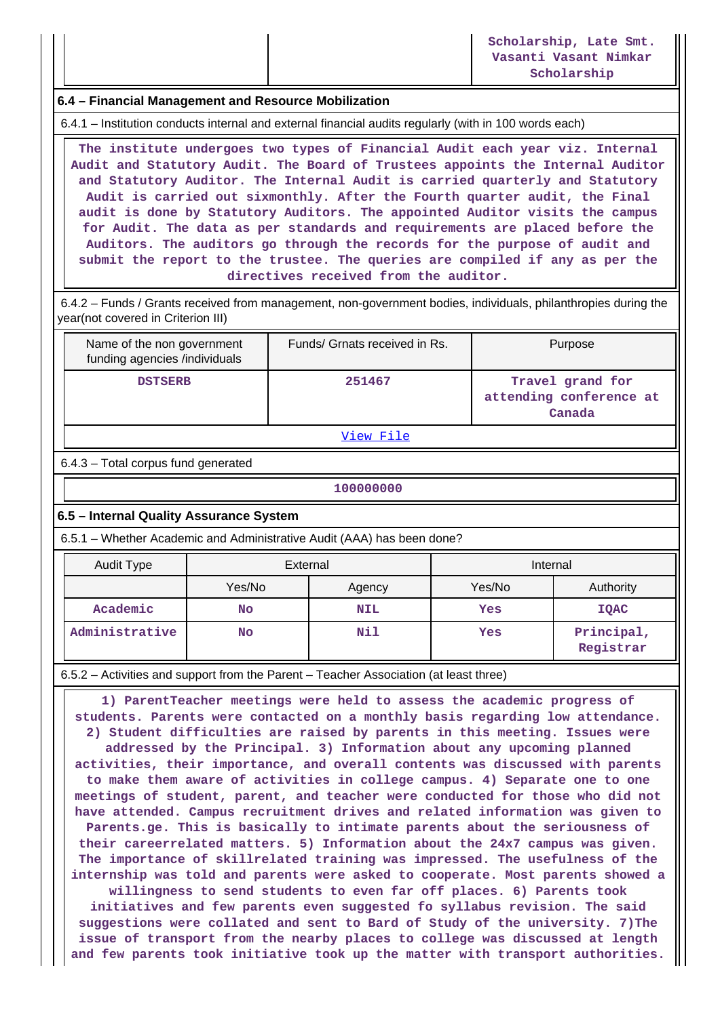### **6.4 – Financial Management and Resource Mobilization**

6.4.1 – Institution conducts internal and external financial audits regularly (with in 100 words each)

 **The institute undergoes two types of Financial Audit each year viz. Internal Audit and Statutory Audit. The Board of Trustees appoints the Internal Auditor and Statutory Auditor. The Internal Audit is carried quarterly and Statutory Audit is carried out sixmonthly. After the Fourth quarter audit, the Final audit is done by Statutory Auditors. The appointed Auditor visits the campus for Audit. The data as per standards and requirements are placed before the Auditors. The auditors go through the records for the purpose of audit and submit the report to the trustee. The queries are compiled if any as per the directives received from the auditor.**

 6.4.2 – Funds / Grants received from management, non-government bodies, individuals, philanthropies during the year(not covered in Criterion III)

| Name of the non government<br>funding agencies /individuals | Funds/ Grnats received in Rs. | Purpose                                               |  |  |  |  |
|-------------------------------------------------------------|-------------------------------|-------------------------------------------------------|--|--|--|--|
| <b>DSTSERB</b>                                              | 251467                        | Travel grand for<br>attending conference at<br>Canada |  |  |  |  |
| -- -                                                        |                               |                                                       |  |  |  |  |

[View File](https://assessmentonline.naac.gov.in/public/Postacc/Funds_or_Grants/795_Funds_or_Grants_1576575485.xlsx)

6.4.3 – Total corpus fund generated

#### **100000000**

#### **6.5 – Internal Quality Assurance System**

6.5.1 – Whether Academic and Administrative Audit (AAA) has been done?

| Audit Type     | External         |            | Internal |                         |  |
|----------------|------------------|------------|----------|-------------------------|--|
|                | Yes/No<br>Agency |            | Yes/No   | Authority               |  |
| Academic       | No               | <b>NIL</b> | Yes      | <b>IQAC</b>             |  |
| Administrative | <b>No</b>        | Nil        | Yes      | Principal,<br>Registrar |  |

6.5.2 – Activities and support from the Parent – Teacher Association (at least three)

 **1) ParentTeacher meetings were held to assess the academic progress of students. Parents were contacted on a monthly basis regarding low attendance. 2) Student difficulties are raised by parents in this meeting. Issues were addressed by the Principal. 3) Information about any upcoming planned activities, their importance, and overall contents was discussed with parents to make them aware of activities in college campus. 4) Separate one to one meetings of student, parent, and teacher were conducted for those who did not have attended. Campus recruitment drives and related information was given to Parents.ge. This is basically to intimate parents about the seriousness of their careerrelated matters. 5) Information about the 24x7 campus was given. The importance of skillrelated training was impressed. The usefulness of the internship was told and parents were asked to cooperate. Most parents showed a**

**willingness to send students to even far off places. 6) Parents took initiatives and few parents even suggested fo syllabus revision. The said suggestions were collated and sent to Bard of Study of the university. 7)The issue of transport from the nearby places to college was discussed at length and few parents took initiative took up the matter with transport authorities.**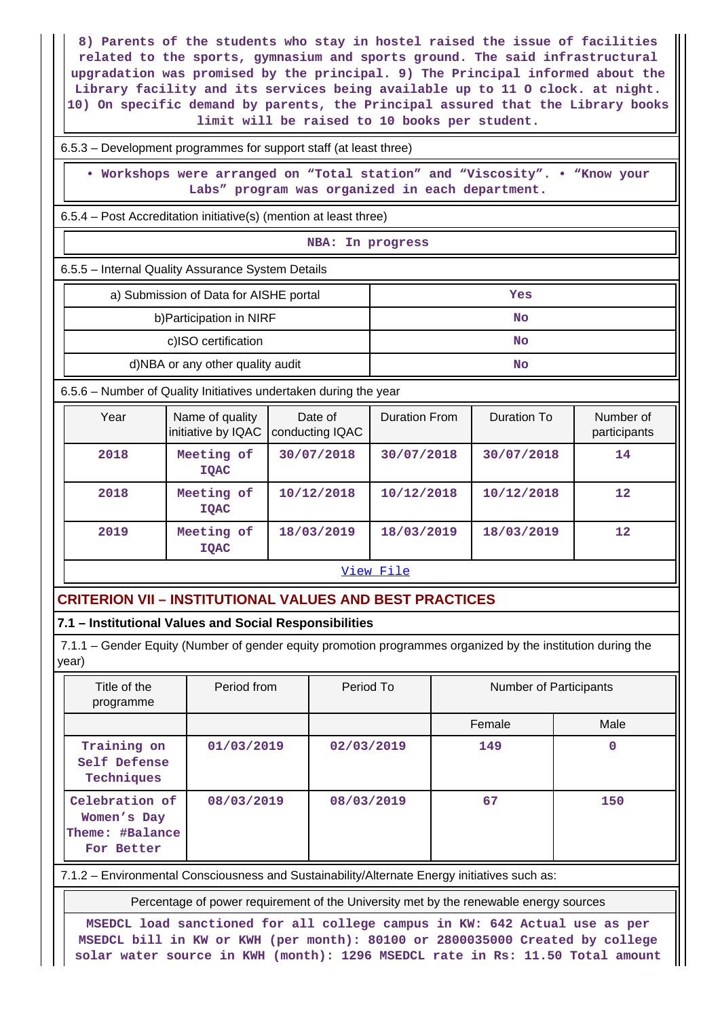**8) Parents of the students who stay in hostel raised the issue of facilities related to the sports, gymnasium and sports ground. The said infrastructural upgradation was promised by the principal. 9) The Principal informed about the Library facility and its services being available up to 11 O clock. at night. 10) On specific demand by parents, the Principal assured that the Library books limit will be raised to 10 books per student.**

#### 6.5.3 – Development programmes for support staff (at least three)

 **• Workshops were arranged on "Total station" and "Viscosity". • "Know your Labs" program was organized in each department.**

6.5.4 – Post Accreditation initiative(s) (mention at least three)

#### **NBA: In progress**

6.5.5 – Internal Quality Assurance System Details

| a) Submission of Data for AISHE portal | Yes |
|----------------------------------------|-----|
| b) Participation in NIRF               | No  |
| c)ISO certification                    | No  |
| d)NBA or any other quality audit       | No  |

6.5.6 – Number of Quality Initiatives undertaken during the year

| Year      | Name of quality<br>initiative by IQAC | Date of<br>conducting IQAC | <b>Duration From</b> | Duration To | Number of<br>participants |  |  |  |
|-----------|---------------------------------------|----------------------------|----------------------|-------------|---------------------------|--|--|--|
| 2018      | Meeting of<br><b>IOAC</b>             | 30/07/2018                 | 30/07/2018           | 30/07/2018  | 14                        |  |  |  |
| 2018      | Meeting of<br><b>IOAC</b>             | 10/12/2018                 | 10/12/2018           | 10/12/2018  | 12                        |  |  |  |
| 2019      | Meeting of<br><b>IOAC</b>             | 18/03/2019                 | 18/03/2019           | 18/03/2019  | $12 \overline{ }$         |  |  |  |
| View File |                                       |                            |                      |             |                           |  |  |  |

# **CRITERION VII – INSTITUTIONAL VALUES AND BEST PRACTICES**

## **7.1 – Institutional Values and Social Responsibilities**

 7.1.1 – Gender Equity (Number of gender equity promotion programmes organized by the institution during the year)

| Title of the<br>programme                                      | Period from | Period To  | Number of Participants |      |  |
|----------------------------------------------------------------|-------------|------------|------------------------|------|--|
|                                                                |             |            | Female                 | Male |  |
| Training on<br>Self Defense<br>Techniques                      | 01/03/2019  | 02/03/2019 | 149                    |      |  |
| Celebration of<br>Women's Day<br>Theme: #Balance<br>For Better | 08/03/2019  | 08/03/2019 | 67                     | 150  |  |

7.1.2 – Environmental Consciousness and Sustainability/Alternate Energy initiatives such as:

Percentage of power requirement of the University met by the renewable energy sources

**MSEDCL load sanctioned for all college campus in KW: 642 Actual use as per MSEDCL bill in KW or KWH (per month): 80100 or 2800035000 Created by college solar water source in KWH (month): 1296 MSEDCL rate in Rs: 11.50 Total amount**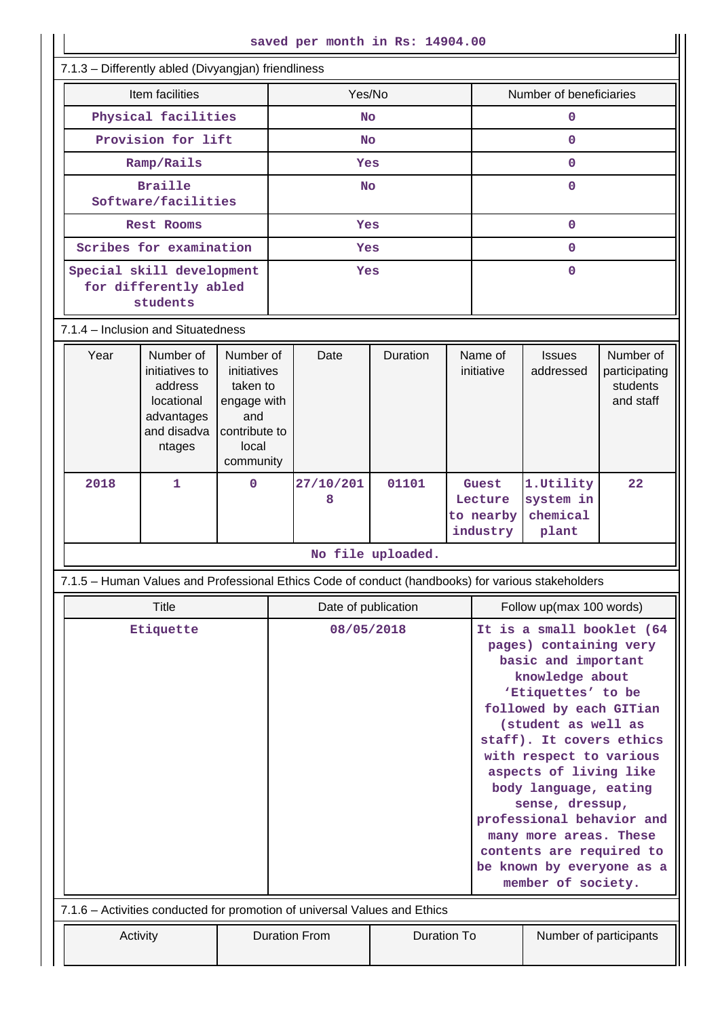| saved per month in Rs: 14904.00                                                                   |                                                                                             |                                                                                                   |                                            |                |                        |                                                                                                                                                                                                                                                                                                                                                                                                                                          |                                           |                                              |                                                     |
|---------------------------------------------------------------------------------------------------|---------------------------------------------------------------------------------------------|---------------------------------------------------------------------------------------------------|--------------------------------------------|----------------|------------------------|------------------------------------------------------------------------------------------------------------------------------------------------------------------------------------------------------------------------------------------------------------------------------------------------------------------------------------------------------------------------------------------------------------------------------------------|-------------------------------------------|----------------------------------------------|-----------------------------------------------------|
| 7.1.3 - Differently abled (Divyangjan) friendliness                                               |                                                                                             |                                                                                                   |                                            |                |                        |                                                                                                                                                                                                                                                                                                                                                                                                                                          |                                           |                                              |                                                     |
| Item facilities                                                                                   |                                                                                             |                                                                                                   | Yes/No                                     |                |                        | Number of beneficiaries                                                                                                                                                                                                                                                                                                                                                                                                                  |                                           |                                              |                                                     |
| Physical facilities                                                                               |                                                                                             |                                                                                                   |                                            | <b>No</b>      |                        |                                                                                                                                                                                                                                                                                                                                                                                                                                          | $\mathbf 0$                               |                                              |                                                     |
| Provision for lift                                                                                |                                                                                             |                                                                                                   |                                            | <b>No</b>      |                        |                                                                                                                                                                                                                                                                                                                                                                                                                                          | $\Omega$                                  |                                              |                                                     |
| Ramp/Rails                                                                                        |                                                                                             | Yes                                                                                               |                                            |                | $\Omega$               |                                                                                                                                                                                                                                                                                                                                                                                                                                          |                                           |                                              |                                                     |
| <b>Braille</b><br>Software/facilities                                                             |                                                                                             | <b>No</b>                                                                                         |                                            |                | $\mathbf 0$            |                                                                                                                                                                                                                                                                                                                                                                                                                                          |                                           |                                              |                                                     |
| <b>Rest Rooms</b>                                                                                 |                                                                                             | Yes                                                                                               |                                            |                | $\mathbf{0}$           |                                                                                                                                                                                                                                                                                                                                                                                                                                          |                                           |                                              |                                                     |
|                                                                                                   | Scribes for examination                                                                     |                                                                                                   |                                            | Yes            |                        |                                                                                                                                                                                                                                                                                                                                                                                                                                          | $\mathbf{0}$                              |                                              |                                                     |
| Special skill development<br>for differently abled<br>students                                    |                                                                                             | Yes                                                                                               |                                            | $\mathbf{0}$   |                        |                                                                                                                                                                                                                                                                                                                                                                                                                                          |                                           |                                              |                                                     |
| 7.1.4 - Inclusion and Situatedness                                                                |                                                                                             |                                                                                                   |                                            |                |                        |                                                                                                                                                                                                                                                                                                                                                                                                                                          |                                           |                                              |                                                     |
| Year                                                                                              | Number of<br>initiatives to<br>address<br>locational<br>advantages<br>and disadva<br>ntages | Number of<br>initiatives<br>taken to<br>engage with<br>and<br>contribute to<br>local<br>community |                                            | Date           | Duration               |                                                                                                                                                                                                                                                                                                                                                                                                                                          | Name of<br>initiative                     | <b>Issues</b><br>addressed                   | Number of<br>participating<br>students<br>and staff |
| 2018                                                                                              | $\mathbf{1}$                                                                                | $\Omega$                                                                                          |                                            | 27/10/201<br>8 | 01101                  |                                                                                                                                                                                                                                                                                                                                                                                                                                          | Guest<br>Lecture<br>to nearby<br>industry | 1. Utility<br>system in<br>chemical<br>plant | 22                                                  |
|                                                                                                   |                                                                                             |                                                                                                   |                                            |                | No file uploaded.      |                                                                                                                                                                                                                                                                                                                                                                                                                                          |                                           |                                              |                                                     |
| 7.1.5 - Human Values and Professional Ethics Code of conduct (handbooks) for various stakeholders |                                                                                             |                                                                                                   |                                            |                |                        |                                                                                                                                                                                                                                                                                                                                                                                                                                          |                                           |                                              |                                                     |
|                                                                                                   | Title                                                                                       |                                                                                                   | Date of publication                        |                |                        | Follow up(max 100 words)                                                                                                                                                                                                                                                                                                                                                                                                                 |                                           |                                              |                                                     |
| Etiquette                                                                                         |                                                                                             |                                                                                                   | 08/05/2018                                 |                |                        | It is a small booklet (64<br>pages) containing very<br>basic and important<br>knowledge about<br>'Etiquettes' to be<br>followed by each GITian<br>(student as well as<br>staff). It covers ethics<br>with respect to various<br>aspects of living like<br>body language, eating<br>sense, dressup,<br>professional behavior and<br>many more areas. These<br>contents are required to<br>be known by everyone as a<br>member of society. |                                           |                                              |                                                     |
| 7.1.6 - Activities conducted for promotion of universal Values and Ethics                         |                                                                                             |                                                                                                   |                                            |                |                        |                                                                                                                                                                                                                                                                                                                                                                                                                                          |                                           |                                              |                                                     |
| Activity                                                                                          |                                                                                             |                                                                                                   | <b>Duration From</b><br><b>Duration To</b> |                | Number of participants |                                                                                                                                                                                                                                                                                                                                                                                                                                          |                                           |                                              |                                                     |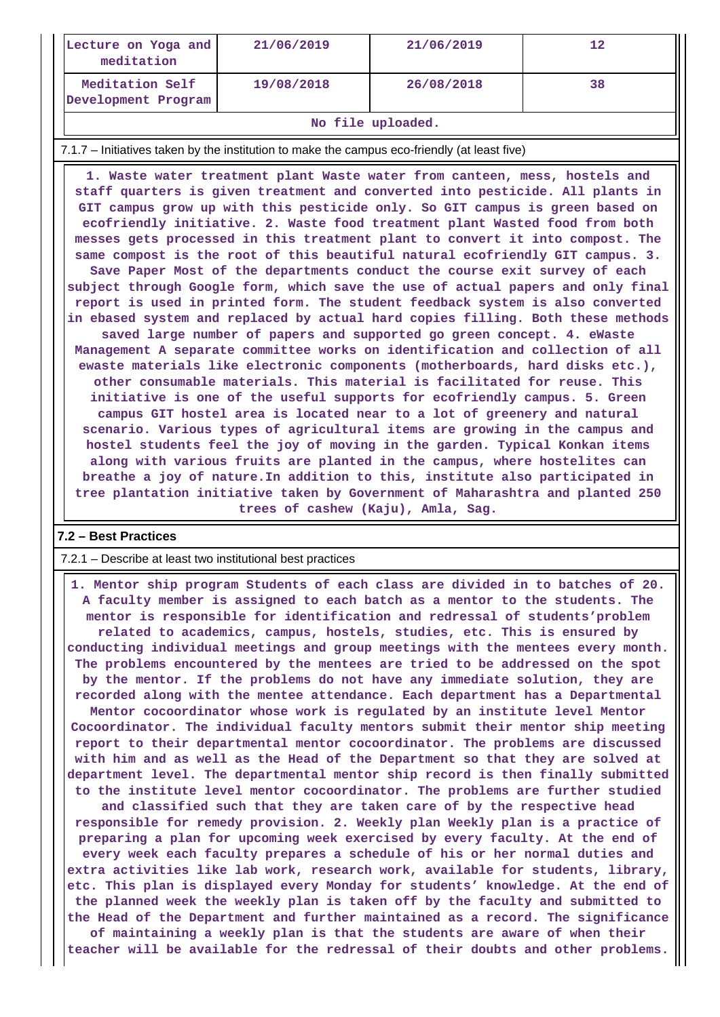| Lecture on Yoga and<br>meditation      | 21/06/2019 | 21/06/2019 | 12 |
|----------------------------------------|------------|------------|----|
| Meditation Self<br>Development Program | 19/08/2018 | 26/08/2018 | 38 |

#### **No file uploaded.**

#### 7.1.7 – Initiatives taken by the institution to make the campus eco-friendly (at least five)

 **1. Waste water treatment plant Waste water from canteen, mess, hostels and staff quarters is given treatment and converted into pesticide. All plants in GIT campus grow up with this pesticide only. So GIT campus is green based on ecofriendly initiative. 2. Waste food treatment plant Wasted food from both messes gets processed in this treatment plant to convert it into compost. The same compost is the root of this beautiful natural ecofriendly GIT campus. 3. Save Paper Most of the departments conduct the course exit survey of each subject through Google form, which save the use of actual papers and only final report is used in printed form. The student feedback system is also converted in ebased system and replaced by actual hard copies filling. Both these methods saved large number of papers and supported go green concept. 4. eWaste Management A separate committee works on identification and collection of all ewaste materials like electronic components (motherboards, hard disks etc.), other consumable materials. This material is facilitated for reuse. This initiative is one of the useful supports for ecofriendly campus. 5. Green campus GIT hostel area is located near to a lot of greenery and natural scenario. Various types of agricultural items are growing in the campus and hostel students feel the joy of moving in the garden. Typical Konkan items along with various fruits are planted in the campus, where hostelites can breathe a joy of nature.In addition to this, institute also participated in tree plantation initiative taken by Government of Maharashtra and planted 250 trees of cashew (Kaju), Amla, Sag.**

#### **7.2 – Best Practices**

#### 7.2.1 – Describe at least two institutional best practices

 **1. Mentor ship program Students of each class are divided in to batches of 20. A faculty member is assigned to each batch as a mentor to the students. The mentor is responsible for identification and redressal of students'problem related to academics, campus, hostels, studies, etc. This is ensured by conducting individual meetings and group meetings with the mentees every month. The problems encountered by the mentees are tried to be addressed on the spot by the mentor. If the problems do not have any immediate solution, they are recorded along with the mentee attendance. Each department has a Departmental Mentor cocoordinator whose work is regulated by an institute level Mentor Cocoordinator. The individual faculty mentors submit their mentor ship meeting report to their departmental mentor cocoordinator. The problems are discussed with him and as well as the Head of the Department so that they are solved at department level. The departmental mentor ship record is then finally submitted to the institute level mentor cocoordinator. The problems are further studied and classified such that they are taken care of by the respective head responsible for remedy provision. 2. Weekly plan Weekly plan is a practice of preparing a plan for upcoming week exercised by every faculty. At the end of every week each faculty prepares a schedule of his or her normal duties and extra activities like lab work, research work, available for students, library, etc. This plan is displayed every Monday for students' knowledge. At the end of the planned week the weekly plan is taken off by the faculty and submitted to the Head of the Department and further maintained as a record. The significance of maintaining a weekly plan is that the students are aware of when their teacher will be available for the redressal of their doubts and other problems.**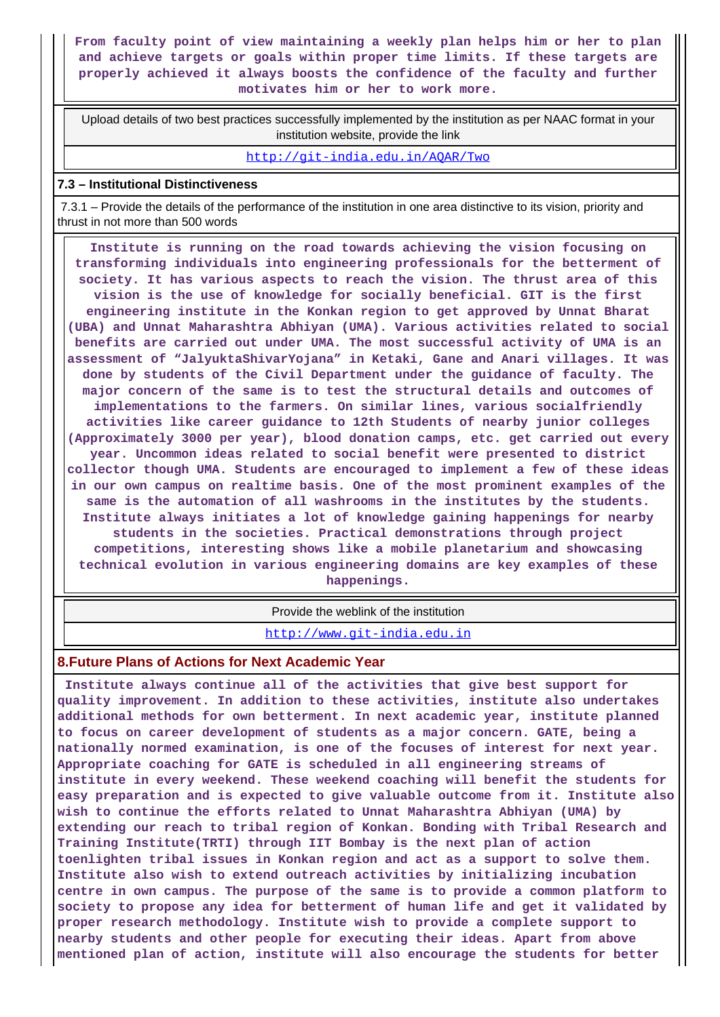**From faculty point of view maintaining a weekly plan helps him or her to plan and achieve targets or goals within proper time limits. If these targets are properly achieved it always boosts the confidence of the faculty and further motivates him or her to work more.**

 Upload details of two best practices successfully implemented by the institution as per NAAC format in your institution website, provide the link

<http://git-india.edu.in/AQAR/Two>

#### **7.3 – Institutional Distinctiveness**

 7.3.1 – Provide the details of the performance of the institution in one area distinctive to its vision, priority and thrust in not more than 500 words

 **Institute is running on the road towards achieving the vision focusing on transforming individuals into engineering professionals for the betterment of society. It has various aspects to reach the vision. The thrust area of this vision is the use of knowledge for socially beneficial. GIT is the first engineering institute in the Konkan region to get approved by Unnat Bharat (UBA) and Unnat Maharashtra Abhiyan (UMA). Various activities related to social benefits are carried out under UMA. The most successful activity of UMA is an assessment of "JalyuktaShivarYojana" in Ketaki, Gane and Anari villages. It was done by students of the Civil Department under the guidance of faculty. The major concern of the same is to test the structural details and outcomes of implementations to the farmers. On similar lines, various socialfriendly activities like career guidance to 12th Students of nearby junior colleges (Approximately 3000 per year), blood donation camps, etc. get carried out every year. Uncommon ideas related to social benefit were presented to district collector though UMA. Students are encouraged to implement a few of these ideas in our own campus on realtime basis. One of the most prominent examples of the same is the automation of all washrooms in the institutes by the students. Institute always initiates a lot of knowledge gaining happenings for nearby students in the societies. Practical demonstrations through project competitions, interesting shows like a mobile planetarium and showcasing technical evolution in various engineering domains are key examples of these**

**happenings.**

Provide the weblink of the institution

<http://www.git-india.edu.in>

#### **8.Future Plans of Actions for Next Academic Year**

 **Institute always continue all of the activities that give best support for quality improvement. In addition to these activities, institute also undertakes additional methods for own betterment. In next academic year, institute planned to focus on career development of students as a major concern. GATE, being a nationally normed examination, is one of the focuses of interest for next year. Appropriate coaching for GATE is scheduled in all engineering streams of institute in every weekend. These weekend coaching will benefit the students for easy preparation and is expected to give valuable outcome from it. Institute also wish to continue the efforts related to Unnat Maharashtra Abhiyan (UMA) by extending our reach to tribal region of Konkan. Bonding with Tribal Research and Training Institute(TRTI) through IIT Bombay is the next plan of action toenlighten tribal issues in Konkan region and act as a support to solve them. Institute also wish to extend outreach activities by initializing incubation centre in own campus. The purpose of the same is to provide a common platform to society to propose any idea for betterment of human life and get it validated by proper research methodology. Institute wish to provide a complete support to nearby students and other people for executing their ideas. Apart from above mentioned plan of action, institute will also encourage the students for better**